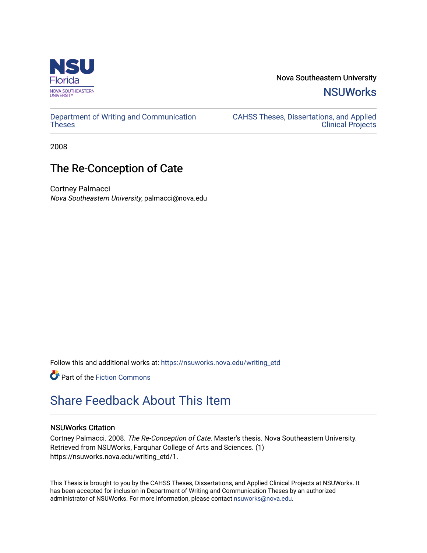

Nova Southeastern University **NSUWorks** 

[Department of Writing and Communication](https://nsuworks.nova.edu/writing_etd)  **Theses** 

[CAHSS Theses, Dissertations, and Applied](https://nsuworks.nova.edu/cahss_etd)  [Clinical Projects](https://nsuworks.nova.edu/cahss_etd) 

2008

## The Re-Conception of Cate

Cortney Palmacci Nova Southeastern University, palmacci@nova.edu

Follow this and additional works at: [https://nsuworks.nova.edu/writing\\_etd](https://nsuworks.nova.edu/writing_etd?utm_source=nsuworks.nova.edu%2Fwriting_etd%2F1&utm_medium=PDF&utm_campaign=PDFCoverPages)

**C** Part of the Fiction Commons

# [Share Feedback About This Item](http://nsuworks.nova.edu/user_survey.html)

#### NSUWorks Citation

Cortney Palmacci. 2008. The Re-Conception of Cate. Master's thesis. Nova Southeastern University. Retrieved from NSUWorks, Farquhar College of Arts and Sciences. (1) https://nsuworks.nova.edu/writing\_etd/1.

This Thesis is brought to you by the CAHSS Theses, Dissertations, and Applied Clinical Projects at NSUWorks. It has been accepted for inclusion in Department of Writing and Communication Theses by an authorized administrator of NSUWorks. For more information, please contact [nsuworks@nova.edu.](mailto:nsuworks@nova.edu)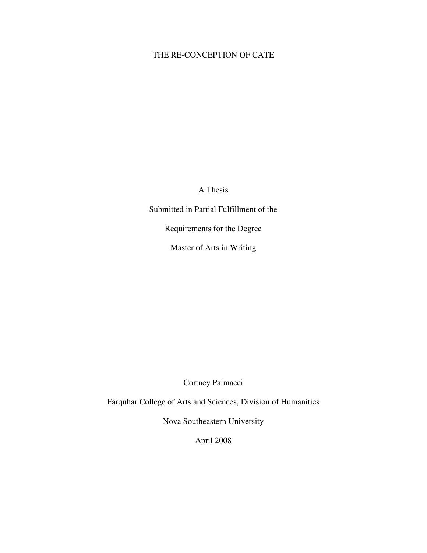### THE RE-CONCEPTION OF CATE

A Thesis

Submitted in Partial Fulfillment of the

Requirements for the Degree

Master of Arts in Writing

Cortney Palmacci

Farquhar College of Arts and Sciences, Division of Humanities

Nova Southeastern University

April 2008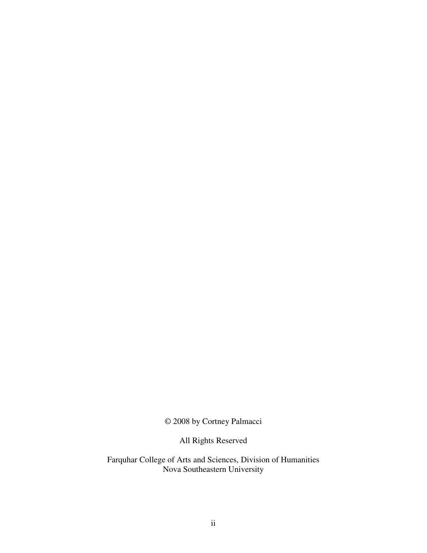© 2008 by Cortney Palmacci

All Rights Reserved

Farquhar College of Arts and Sciences, Division of Humanities Nova Southeastern University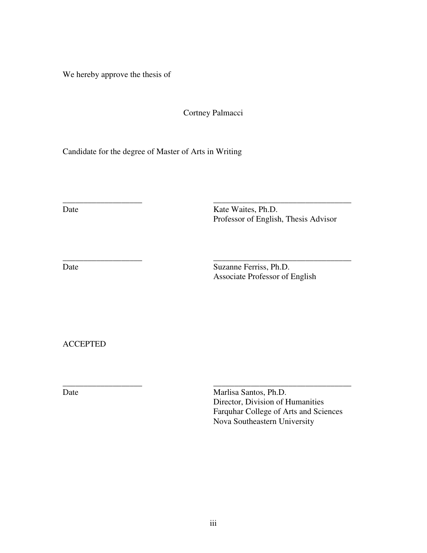We hereby approve the thesis of

Cortney Palmacci

\_\_\_\_\_\_\_\_\_\_\_\_\_\_\_\_\_\_\_ \_\_\_\_\_\_\_\_\_\_\_\_\_\_\_\_\_\_\_\_\_\_\_\_\_\_\_\_\_\_\_\_\_

Candidate for the degree of Master of Arts in Writing

Date Waites, Ph.D. Professor of English, Thesis Advisor

\_\_\_\_\_\_\_\_\_\_\_\_\_\_\_\_\_\_\_ \_\_\_\_\_\_\_\_\_\_\_\_\_\_\_\_\_\_\_\_\_\_\_\_\_\_\_\_\_\_\_\_\_ Date Suzanne Ferriss, Ph.D. Associate Professor of English

ACCEPTED

\_\_\_\_\_\_\_\_\_\_\_\_\_\_\_\_\_\_\_ \_\_\_\_\_\_\_\_\_\_\_\_\_\_\_\_\_\_\_\_\_\_\_\_\_\_\_\_\_\_\_\_\_ Date Marlisa Santos, Ph.D. Director, Division of Humanities Farquhar College of Arts and Sciences Nova Southeastern University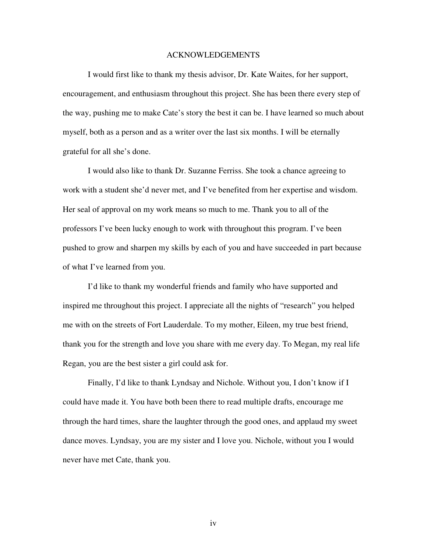#### ACKNOWLEDGEMENTS

 I would first like to thank my thesis advisor, Dr. Kate Waites, for her support, encouragement, and enthusiasm throughout this project. She has been there every step of the way, pushing me to make Cate's story the best it can be. I have learned so much about myself, both as a person and as a writer over the last six months. I will be eternally grateful for all she's done.

 I would also like to thank Dr. Suzanne Ferriss. She took a chance agreeing to work with a student she'd never met, and I've benefited from her expertise and wisdom. Her seal of approval on my work means so much to me. Thank you to all of the professors I've been lucky enough to work with throughout this program. I've been pushed to grow and sharpen my skills by each of you and have succeeded in part because of what I've learned from you.

 I'd like to thank my wonderful friends and family who have supported and inspired me throughout this project. I appreciate all the nights of "research" you helped me with on the streets of Fort Lauderdale. To my mother, Eileen, my true best friend, thank you for the strength and love you share with me every day. To Megan, my real life Regan, you are the best sister a girl could ask for.

 Finally, I'd like to thank Lyndsay and Nichole. Without you, I don't know if I could have made it. You have both been there to read multiple drafts, encourage me through the hard times, share the laughter through the good ones, and applaud my sweet dance moves. Lyndsay, you are my sister and I love you. Nichole, without you I would never have met Cate, thank you.

iv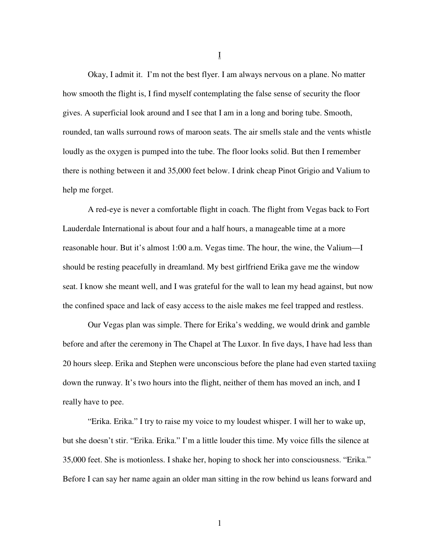Okay, I admit it. I'm not the best flyer. I am always nervous on a plane. No matter how smooth the flight is, I find myself contemplating the false sense of security the floor gives. A superficial look around and I see that I am in a long and boring tube. Smooth, rounded, tan walls surround rows of maroon seats. The air smells stale and the vents whistle loudly as the oxygen is pumped into the tube. The floor looks solid. But then I remember there is nothing between it and 35,000 feet below. I drink cheap Pinot Grigio and Valium to help me forget.

 A red-eye is never a comfortable flight in coach. The flight from Vegas back to Fort Lauderdale International is about four and a half hours, a manageable time at a more reasonable hour. But it's almost 1:00 a.m. Vegas time. The hour, the wine, the Valium—I should be resting peacefully in dreamland. My best girlfriend Erika gave me the window seat. I know she meant well, and I was grateful for the wall to lean my head against, but now the confined space and lack of easy access to the aisle makes me feel trapped and restless.

Our Vegas plan was simple. There for Erika's wedding, we would drink and gamble before and after the ceremony in The Chapel at The Luxor. In five days, I have had less than 20 hours sleep. Erika and Stephen were unconscious before the plane had even started taxiing down the runway. It's two hours into the flight, neither of them has moved an inch, and I really have to pee.

 "Erika. Erika." I try to raise my voice to my loudest whisper. I will her to wake up, but she doesn't stir. "Erika. Erika." I'm a little louder this time. My voice fills the silence at 35,000 feet. She is motionless. I shake her, hoping to shock her into consciousness. "Erika." Before I can say her name again an older man sitting in the row behind us leans forward and

I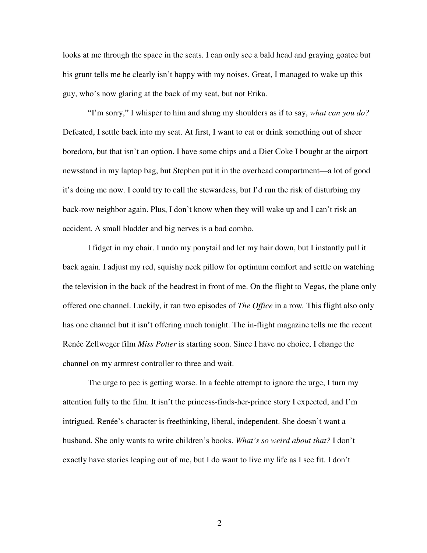looks at me through the space in the seats. I can only see a bald head and graying goatee but his grunt tells me he clearly isn't happy with my noises. Great, I managed to wake up this guy, who's now glaring at the back of my seat, but not Erika.

 "I'm sorry," I whisper to him and shrug my shoulders as if to say, *what can you do?*  Defeated, I settle back into my seat. At first, I want to eat or drink something out of sheer boredom, but that isn't an option. I have some chips and a Diet Coke I bought at the airport newsstand in my laptop bag, but Stephen put it in the overhead compartment—a lot of good it's doing me now. I could try to call the stewardess, but I'd run the risk of disturbing my back-row neighbor again. Plus, I don't know when they will wake up and I can't risk an accident. A small bladder and big nerves is a bad combo.

 I fidget in my chair. I undo my ponytail and let my hair down, but I instantly pull it back again. I adjust my red, squishy neck pillow for optimum comfort and settle on watching the television in the back of the headrest in front of me. On the flight to Vegas, the plane only offered one channel. Luckily, it ran two episodes of *The Office* in a row*.* This flight also only has one channel but it isn't offering much tonight. The in-flight magazine tells me the recent Renée Zellweger film *Miss Potter* is starting soon. Since I have no choice, I change the channel on my armrest controller to three and wait.

 The urge to pee is getting worse. In a feeble attempt to ignore the urge, I turn my attention fully to the film. It isn't the princess-finds-her-prince story I expected, and I'm intrigued. Renée's character is freethinking, liberal, independent. She doesn't want a husband. She only wants to write children's books. *What's so weird about that?* I don't exactly have stories leaping out of me, but I do want to live my life as I see fit. I don't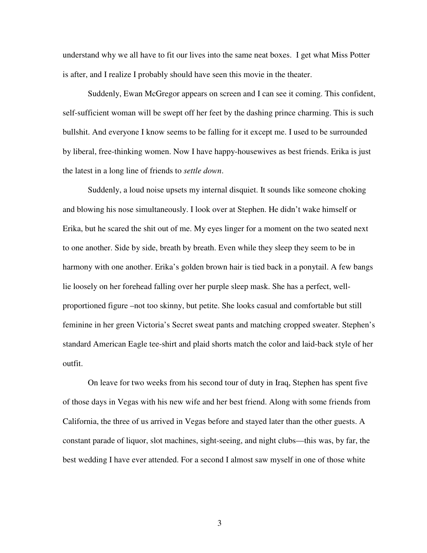understand why we all have to fit our lives into the same neat boxes. I get what Miss Potter is after, and I realize I probably should have seen this movie in the theater.

 Suddenly, Ewan McGregor appears on screen and I can see it coming. This confident, self-sufficient woman will be swept off her feet by the dashing prince charming. This is such bullshit. And everyone I know seems to be falling for it except me. I used to be surrounded by liberal, free-thinking women. Now I have happy-housewives as best friends. Erika is just the latest in a long line of friends to *settle down*.

 Suddenly, a loud noise upsets my internal disquiet. It sounds like someone choking and blowing his nose simultaneously. I look over at Stephen. He didn't wake himself or Erika, but he scared the shit out of me. My eyes linger for a moment on the two seated next to one another. Side by side, breath by breath. Even while they sleep they seem to be in harmony with one another. Erika's golden brown hair is tied back in a ponytail. A few bangs lie loosely on her forehead falling over her purple sleep mask. She has a perfect, wellproportioned figure –not too skinny, but petite. She looks casual and comfortable but still feminine in her green Victoria's Secret sweat pants and matching cropped sweater. Stephen's standard American Eagle tee-shirt and plaid shorts match the color and laid-back style of her outfit.

 On leave for two weeks from his second tour of duty in Iraq, Stephen has spent five of those days in Vegas with his new wife and her best friend. Along with some friends from California, the three of us arrived in Vegas before and stayed later than the other guests. A constant parade of liquor, slot machines, sight-seeing, and night clubs—this was, by far, the best wedding I have ever attended. For a second I almost saw myself in one of those white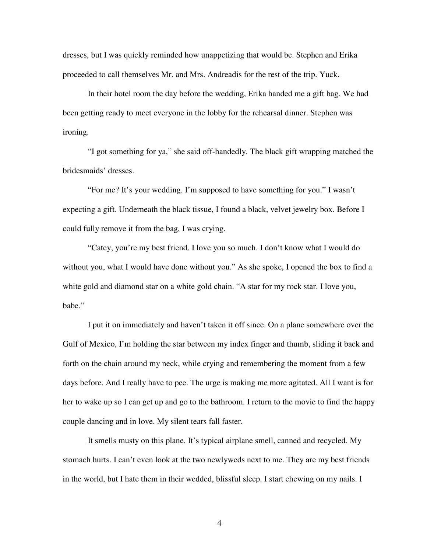dresses, but I was quickly reminded how unappetizing that would be. Stephen and Erika proceeded to call themselves Mr. and Mrs. Andreadis for the rest of the trip. Yuck.

 In their hotel room the day before the wedding, Erika handed me a gift bag. We had been getting ready to meet everyone in the lobby for the rehearsal dinner. Stephen was ironing.

 "I got something for ya," she said off-handedly. The black gift wrapping matched the bridesmaids' dresses.

 "For me? It's your wedding. I'm supposed to have something for you." I wasn't expecting a gift. Underneath the black tissue, I found a black, velvet jewelry box. Before I could fully remove it from the bag, I was crying.

 "Catey, you're my best friend. I love you so much. I don't know what I would do without you, what I would have done without you." As she spoke, I opened the box to find a white gold and diamond star on a white gold chain. "A star for my rock star. I love you, babe."

 I put it on immediately and haven't taken it off since. On a plane somewhere over the Gulf of Mexico, I'm holding the star between my index finger and thumb, sliding it back and forth on the chain around my neck, while crying and remembering the moment from a few days before. And I really have to pee. The urge is making me more agitated. All I want is for her to wake up so I can get up and go to the bathroom. I return to the movie to find the happy couple dancing and in love. My silent tears fall faster.

It smells musty on this plane. It's typical airplane smell, canned and recycled. My stomach hurts. I can't even look at the two newlyweds next to me. They are my best friends in the world, but I hate them in their wedded, blissful sleep. I start chewing on my nails. I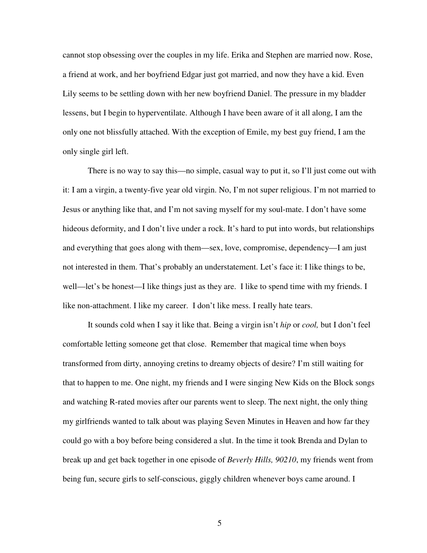cannot stop obsessing over the couples in my life. Erika and Stephen are married now. Rose, a friend at work, and her boyfriend Edgar just got married, and now they have a kid. Even Lily seems to be settling down with her new boyfriend Daniel. The pressure in my bladder lessens, but I begin to hyperventilate. Although I have been aware of it all along, I am the only one not blissfully attached. With the exception of Emile, my best guy friend, I am the only single girl left.

There is no way to say this—no simple, casual way to put it, so I'll just come out with it: I am a virgin, a twenty-five year old virgin. No, I'm not super religious. I'm not married to Jesus or anything like that, and I'm not saving myself for my soul-mate. I don't have some hideous deformity, and I don't live under a rock. It's hard to put into words, but relationships and everything that goes along with them—sex, love, compromise, dependency—I am just not interested in them. That's probably an understatement. Let's face it: I like things to be, well—let's be honest—I like things just as they are. I like to spend time with my friends. I like non-attachment. I like my career. I don't like mess. I really hate tears.

 It sounds cold when I say it like that. Being a virgin isn't *hip* or *cool,* but I don't feel comfortable letting someone get that close. Remember that magical time when boys transformed from dirty, annoying cretins to dreamy objects of desire? I'm still waiting for that to happen to me. One night, my friends and I were singing New Kids on the Block songs and watching R-rated movies after our parents went to sleep. The next night, the only thing my girlfriends wanted to talk about was playing Seven Minutes in Heaven and how far they could go with a boy before being considered a slut. In the time it took Brenda and Dylan to break up and get back together in one episode of *Beverly Hills, 90210*, my friends went from being fun, secure girls to self-conscious, giggly children whenever boys came around. I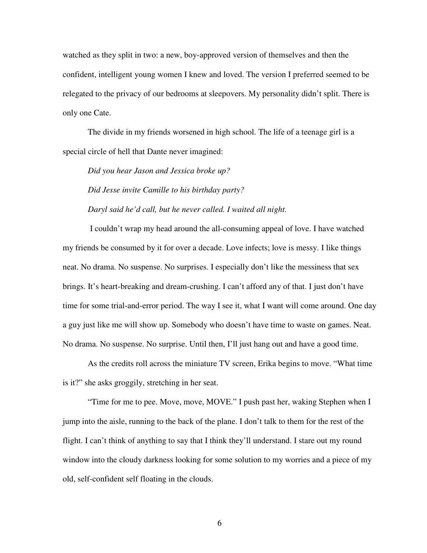watched as they split in two: a new, boy-approved version of themselves and then the confident, intelligent young women I knew and loved. The version I preferred seemed to be relegated to the privacy of our bedrooms at sleepovers. My personality didn't split. There is only one Cate.

The divide in my friends worsened in high school. The life of a teenage girl is a special circle of hell that Dante never imagined:

*Did you hear Jason and Jessica broke up? Did Jesse invite Camille to his birthday party? Daryl said he'd call, but he never called. I waited all night.* 

I couldn't wrap my head around the all-consuming appeal of love. I have watched my friends be consumed by it for over a decade. Love infects; love is messy. I like things neat. No drama. No suspense. No surprises. I especially don't like the messiness that sex brings. It's heart-breaking and dream-crushing. I can't afford any of that. I just don't have time for some trial-and-error period. The way I see it, what I want will come around. One day a guy just like me will show up. Somebody who doesn't have time to waste on games. Neat. No drama. No suspense. No surprise. Until then, I'll just hang out and have a good time.

As the credits roll across the miniature TV screen, Erika begins to move. "What time is it?" she asks groggily, stretching in her seat.

"Time for me to pee. Move, move, MOVE." I push past her, waking Stephen when I jump into the aisle, running to the back of the plane. I don't talk to them for the rest of the flight. I can't think of anything to say that I think they'll understand. I stare out my round window into the cloudy darkness looking for some solution to my worries and a piece of my old, self-confident self floating in the clouds.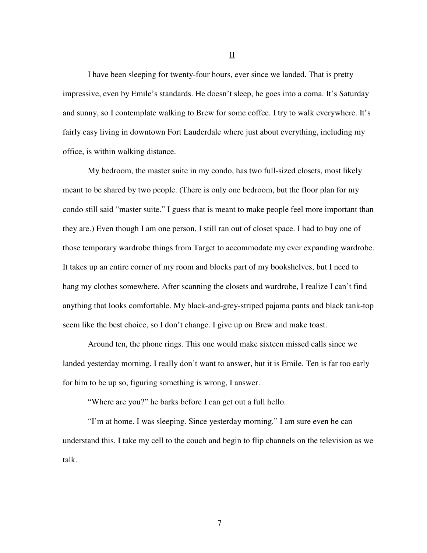I have been sleeping for twenty-four hours, ever since we landed. That is pretty impressive, even by Emile's standards. He doesn't sleep, he goes into a coma. It's Saturday and sunny, so I contemplate walking to Brew for some coffee. I try to walk everywhere. It's fairly easy living in downtown Fort Lauderdale where just about everything, including my office, is within walking distance.

 My bedroom, the master suite in my condo, has two full-sized closets, most likely meant to be shared by two people. (There is only one bedroom, but the floor plan for my condo still said "master suite." I guess that is meant to make people feel more important than they are.) Even though I am one person, I still ran out of closet space. I had to buy one of those temporary wardrobe things from Target to accommodate my ever expanding wardrobe. It takes up an entire corner of my room and blocks part of my bookshelves, but I need to hang my clothes somewhere. After scanning the closets and wardrobe, I realize I can't find anything that looks comfortable. My black-and-grey-striped pajama pants and black tank-top seem like the best choice, so I don't change. I give up on Brew and make toast.

 Around ten, the phone rings. This one would make sixteen missed calls since we landed yesterday morning. I really don't want to answer, but it is Emile. Ten is far too early for him to be up so, figuring something is wrong, I answer.

"Where are you?" he barks before I can get out a full hello.

 "I'm at home. I was sleeping. Since yesterday morning." I am sure even he can understand this. I take my cell to the couch and begin to flip channels on the television as we talk.

II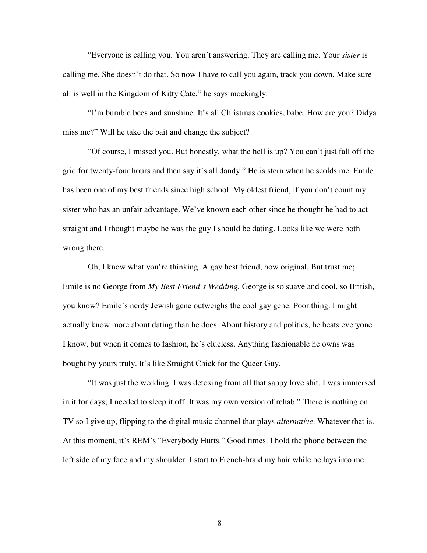"Everyone is calling you. You aren't answering. They are calling me. Your *sister* is calling me. She doesn't do that. So now I have to call you again, track you down. Make sure all is well in the Kingdom of Kitty Cate," he says mockingly.

"I'm bumble bees and sunshine. It's all Christmas cookies, babe. How are you? Didya miss me?" Will he take the bait and change the subject?

"Of course, I missed you. But honestly, what the hell is up? You can't just fall off the grid for twenty-four hours and then say it's all dandy." He is stern when he scolds me. Emile has been one of my best friends since high school. My oldest friend, if you don't count my sister who has an unfair advantage. We've known each other since he thought he had to act straight and I thought maybe he was the guy I should be dating. Looks like we were both wrong there.

Oh, I know what you're thinking. A gay best friend, how original. But trust me; Emile is no George from *My Best Friend's Wedding.* George is so suave and cool, so British, you know? Emile's nerdy Jewish gene outweighs the cool gay gene. Poor thing. I might actually know more about dating than he does. About history and politics, he beats everyone I know, but when it comes to fashion, he's clueless. Anything fashionable he owns was bought by yours truly. It's like Straight Chick for the Queer Guy.

"It was just the wedding. I was detoxing from all that sappy love shit. I was immersed in it for days; I needed to sleep it off. It was my own version of rehab." There is nothing on TV so I give up, flipping to the digital music channel that plays *alternative*. Whatever that is. At this moment, it's REM's "Everybody Hurts." Good times. I hold the phone between the left side of my face and my shoulder. I start to French-braid my hair while he lays into me.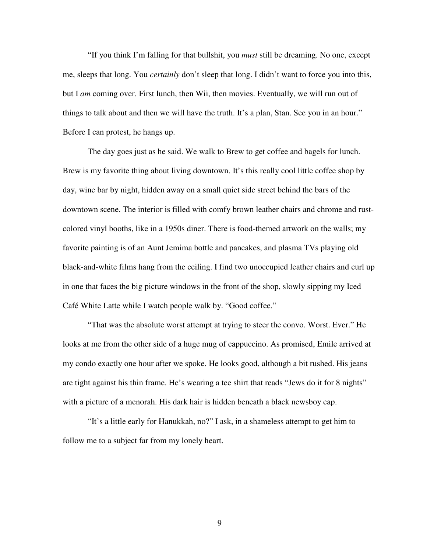"If you think I'm falling for that bullshit, you *must* still be dreaming. No one, except me, sleeps that long. You *certainly* don't sleep that long. I didn't want to force you into this, but I *am* coming over. First lunch, then Wii, then movies. Eventually, we will run out of things to talk about and then we will have the truth. It's a plan, Stan. See you in an hour." Before I can protest, he hangs up.

The day goes just as he said. We walk to Brew to get coffee and bagels for lunch. Brew is my favorite thing about living downtown. It's this really cool little coffee shop by day, wine bar by night, hidden away on a small quiet side street behind the bars of the downtown scene. The interior is filled with comfy brown leather chairs and chrome and rustcolored vinyl booths, like in a 1950s diner. There is food-themed artwork on the walls; my favorite painting is of an Aunt Jemima bottle and pancakes, and plasma TVs playing old black-and-white films hang from the ceiling. I find two unoccupied leather chairs and curl up in one that faces the big picture windows in the front of the shop, slowly sipping my Iced Café White Latte while I watch people walk by. "Good coffee."

"That was the absolute worst attempt at trying to steer the convo. Worst. Ever." He looks at me from the other side of a huge mug of cappuccino. As promised, Emile arrived at my condo exactly one hour after we spoke. He looks good, although a bit rushed. His jeans are tight against his thin frame. He's wearing a tee shirt that reads "Jews do it for 8 nights" with a picture of a menorah. His dark hair is hidden beneath a black newsboy cap.

"It's a little early for Hanukkah, no?" I ask, in a shameless attempt to get him to follow me to a subject far from my lonely heart.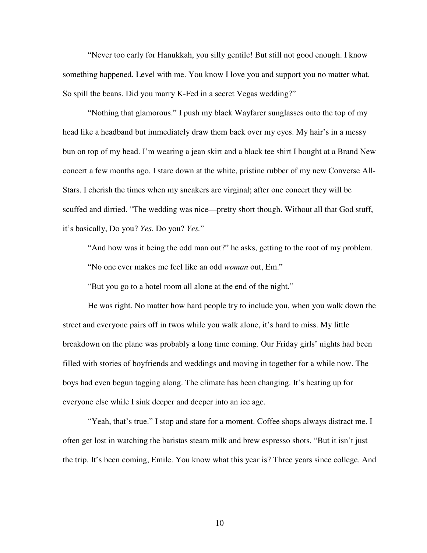"Never too early for Hanukkah, you silly gentile! But still not good enough. I know something happened. Level with me. You know I love you and support you no matter what. So spill the beans. Did you marry K-Fed in a secret Vegas wedding?"

"Nothing that glamorous." I push my black Wayfarer sunglasses onto the top of my head like a headband but immediately draw them back over my eyes. My hair's in a messy bun on top of my head. I'm wearing a jean skirt and a black tee shirt I bought at a Brand New concert a few months ago. I stare down at the white, pristine rubber of my new Converse All-Stars. I cherish the times when my sneakers are virginal; after one concert they will be scuffed and dirtied. "The wedding was nice—pretty short though. Without all that God stuff, it's basically, Do you? *Yes.* Do you? *Yes.*"

"And how was it being the odd man out?" he asks, getting to the root of my problem. "No one ever makes me feel like an odd *woman* out, Em."

"But you go to a hotel room all alone at the end of the night."

He was right. No matter how hard people try to include you, when you walk down the street and everyone pairs off in twos while you walk alone, it's hard to miss. My little breakdown on the plane was probably a long time coming. Our Friday girls' nights had been filled with stories of boyfriends and weddings and moving in together for a while now. The boys had even begun tagging along. The climate has been changing. It's heating up for everyone else while I sink deeper and deeper into an ice age.

"Yeah, that's true." I stop and stare for a moment. Coffee shops always distract me. I often get lost in watching the baristas steam milk and brew espresso shots. "But it isn't just the trip. It's been coming, Emile. You know what this year is? Three years since college. And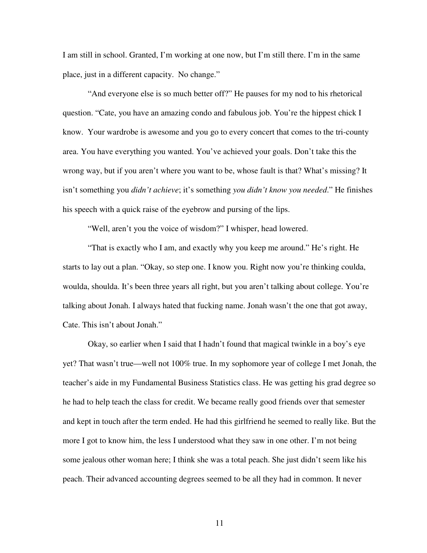I am still in school. Granted, I'm working at one now, but I'm still there. I'm in the same place, just in a different capacity. No change."

"And everyone else is so much better off?" He pauses for my nod to his rhetorical question. "Cate, you have an amazing condo and fabulous job. You're the hippest chick I know. Your wardrobe is awesome and you go to every concert that comes to the tri-county area. You have everything you wanted. You've achieved your goals. Don't take this the wrong way, but if you aren't where you want to be, whose fault is that? What's missing? It isn't something you *didn't achieve*; it's something *you didn't know you needed*." He finishes his speech with a quick raise of the eyebrow and pursing of the lips.

"Well, aren't you the voice of wisdom?" I whisper, head lowered.

"That is exactly who I am, and exactly why you keep me around." He's right. He starts to lay out a plan. "Okay, so step one. I know you. Right now you're thinking coulda, woulda, shoulda. It's been three years all right, but you aren't talking about college. You're talking about Jonah. I always hated that fucking name. Jonah wasn't the one that got away, Cate. This isn't about Jonah."

Okay, so earlier when I said that I hadn't found that magical twinkle in a boy's eye yet? That wasn't true—well not 100% true. In my sophomore year of college I met Jonah, the teacher's aide in my Fundamental Business Statistics class. He was getting his grad degree so he had to help teach the class for credit. We became really good friends over that semester and kept in touch after the term ended. He had this girlfriend he seemed to really like. But the more I got to know him, the less I understood what they saw in one other. I'm not being some jealous other woman here; I think she was a total peach. She just didn't seem like his peach. Their advanced accounting degrees seemed to be all they had in common. It never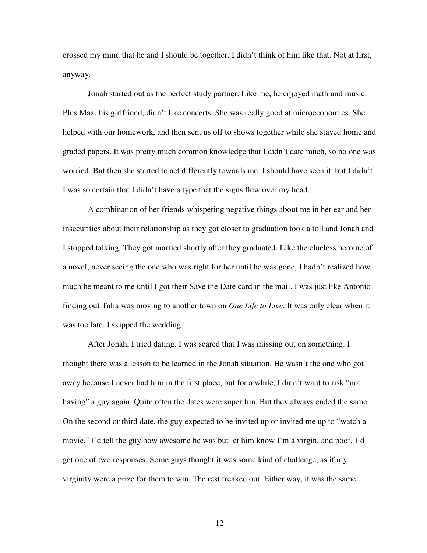crossed my mind that he and I should be together. I didn't think of him like that. Not at first, anyway.

Jonah started out as the perfect study partner. Like me, he enjoyed math and music. Plus Max, his girlfriend, didn't like concerts. She was really good at microeconomics. She helped with our homework, and then sent us off to shows together while she stayed home and graded papers. It was pretty much common knowledge that I didn't date much, so no one was worried. But then she started to act differently towards me. I should have seen it, but I didn't. I was so certain that I didn't have a type that the signs flew over my head.

A combination of her friends whispering negative things about me in her ear and her insecurities about their relationship as they got closer to graduation took a toll and Jonah and I stopped talking. They got married shortly after they graduated. Like the clueless heroine of a novel, never seeing the one who was right for her until he was gone, I hadn't realized how much he meant to me until I got their Save the Date card in the mail. I was just like Antonio finding out Talia was moving to another town on *One Life to Live*. It was only clear when it was too late. I skipped the wedding.

After Jonah, I tried dating. I was scared that I was missing out on something. I thought there was a lesson to be learned in the Jonah situation. He wasn't the one who got away because I never had him in the first place, but for a while, I didn't want to risk "not having" a guy again. Quite often the dates were super fun. But they always ended the same. On the second or third date, the guy expected to be invited up or invited me up to "watch a movie." I'd tell the guy how awesome he was but let him know I'm a virgin, and poof, I'd get one of two responses. Some guys thought it was some kind of challenge, as if my virginity were a prize for them to win. The rest freaked out. Either way, it was the same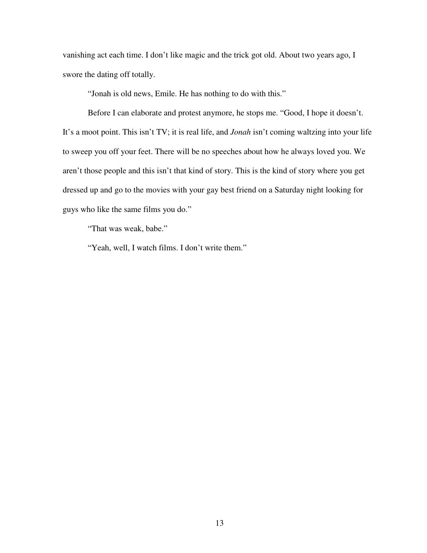vanishing act each time. I don't like magic and the trick got old. About two years ago, I swore the dating off totally.

"Jonah is old news, Emile. He has nothing to do with this."

Before I can elaborate and protest anymore, he stops me. "Good, I hope it doesn't. It's a moot point. This isn't TV; it is real life, and *Jonah* isn't coming waltzing into your life to sweep you off your feet. There will be no speeches about how he always loved you. We aren't those people and this isn't that kind of story. This is the kind of story where you get dressed up and go to the movies with your gay best friend on a Saturday night looking for guys who like the same films you do."

"That was weak, babe."

"Yeah, well, I watch films. I don't write them."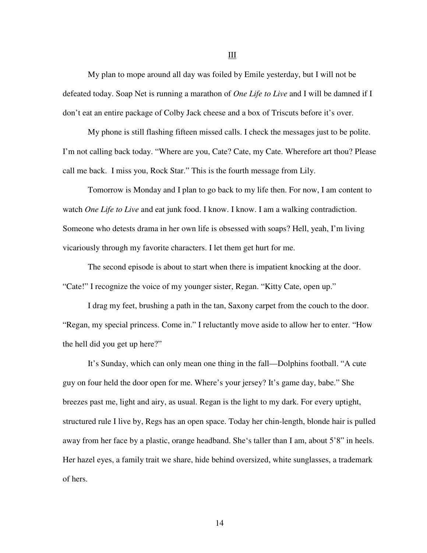My plan to mope around all day was foiled by Emile yesterday, but I will not be defeated today. Soap Net is running a marathon of *One Life to Live* and I will be damned if I don't eat an entire package of Colby Jack cheese and a box of Triscuts before it's over.

My phone is still flashing fifteen missed calls. I check the messages just to be polite. I'm not calling back today. "Where are you, Cate? Cate, my Cate. Wherefore art thou? Please call me back. I miss you, Rock Star." This is the fourth message from Lily.

Tomorrow is Monday and I plan to go back to my life then. For now, I am content to watch *One Life to Live* and eat junk food. I know. I know. I am a walking contradiction. Someone who detests drama in her own life is obsessed with soaps? Hell, yeah, I'm living vicariously through my favorite characters. I let them get hurt for me.

 The second episode is about to start when there is impatient knocking at the door. "Cate!" I recognize the voice of my younger sister, Regan. "Kitty Cate, open up."

 I drag my feet, brushing a path in the tan, Saxony carpet from the couch to the door. "Regan, my special princess. Come in." I reluctantly move aside to allow her to enter. "How the hell did you get up here?"

 It's Sunday, which can only mean one thing in the fall—Dolphins football. "A cute guy on four held the door open for me. Where's your jersey? It's game day, babe." She breezes past me, light and airy, as usual. Regan is the light to my dark. For every uptight, structured rule I live by, Regs has an open space. Today her chin-length, blonde hair is pulled away from her face by a plastic, orange headband. She's taller than I am, about 5'8" in heels. Her hazel eyes, a family trait we share, hide behind oversized, white sunglasses, a trademark of hers.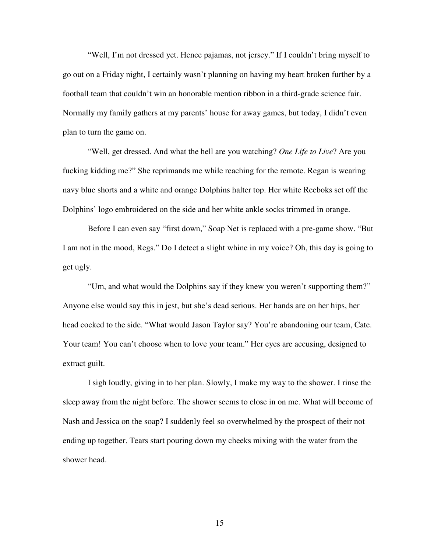"Well, I'm not dressed yet. Hence pajamas, not jersey." If I couldn't bring myself to go out on a Friday night, I certainly wasn't planning on having my heart broken further by a football team that couldn't win an honorable mention ribbon in a third-grade science fair. Normally my family gathers at my parents' house for away games, but today, I didn't even plan to turn the game on.

 "Well, get dressed. And what the hell are you watching? *One Life to Live*? Are you fucking kidding me?" She reprimands me while reaching for the remote. Regan is wearing navy blue shorts and a white and orange Dolphins halter top. Her white Reeboks set off the Dolphins' logo embroidered on the side and her white ankle socks trimmed in orange.

 Before I can even say "first down," Soap Net is replaced with a pre-game show. "But I am not in the mood, Regs." Do I detect a slight whine in my voice? Oh, this day is going to get ugly.

 "Um, and what would the Dolphins say if they knew you weren't supporting them?" Anyone else would say this in jest, but she's dead serious. Her hands are on her hips, her head cocked to the side. "What would Jason Taylor say? You're abandoning our team, Cate. Your team! You can't choose when to love your team." Her eyes are accusing, designed to extract guilt.

 I sigh loudly, giving in to her plan. Slowly, I make my way to the shower. I rinse the sleep away from the night before. The shower seems to close in on me. What will become of Nash and Jessica on the soap? I suddenly feel so overwhelmed by the prospect of their not ending up together. Tears start pouring down my cheeks mixing with the water from the shower head.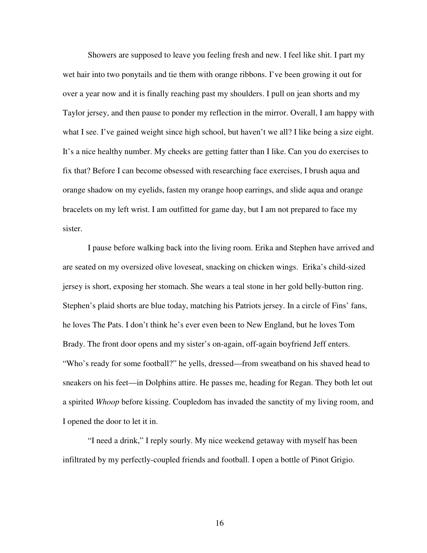Showers are supposed to leave you feeling fresh and new. I feel like shit. I part my wet hair into two ponytails and tie them with orange ribbons. I've been growing it out for over a year now and it is finally reaching past my shoulders. I pull on jean shorts and my Taylor jersey, and then pause to ponder my reflection in the mirror. Overall, I am happy with what I see. I've gained weight since high school, but haven't we all? I like being a size eight. It's a nice healthy number. My cheeks are getting fatter than I like. Can you do exercises to fix that? Before I can become obsessed with researching face exercises, I brush aqua and orange shadow on my eyelids, fasten my orange hoop earrings, and slide aqua and orange bracelets on my left wrist. I am outfitted for game day, but I am not prepared to face my sister.

 I pause before walking back into the living room. Erika and Stephen have arrived and are seated on my oversized olive loveseat, snacking on chicken wings. Erika's child-sized jersey is short, exposing her stomach. She wears a teal stone in her gold belly-button ring. Stephen's plaid shorts are blue today, matching his Patriots jersey. In a circle of Fins' fans, he loves The Pats. I don't think he's ever even been to New England, but he loves Tom Brady. The front door opens and my sister's on-again, off-again boyfriend Jeff enters. "Who's ready for some football?" he yells, dressed—from sweatband on his shaved head to sneakers on his feet—in Dolphins attire. He passes me, heading for Regan. They both let out a spirited *Whoop* before kissing. Coupledom has invaded the sanctity of my living room, and I opened the door to let it in.

 "I need a drink," I reply sourly. My nice weekend getaway with myself has been infiltrated by my perfectly-coupled friends and football. I open a bottle of Pinot Grigio.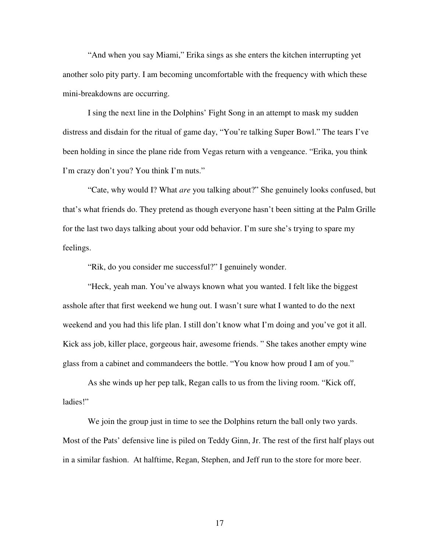"And when you say Miami," Erika sings as she enters the kitchen interrupting yet another solo pity party. I am becoming uncomfortable with the frequency with which these mini-breakdowns are occurring.

 I sing the next line in the Dolphins' Fight Song in an attempt to mask my sudden distress and disdain for the ritual of game day, "You're talking Super Bowl." The tears I've been holding in since the plane ride from Vegas return with a vengeance. "Erika, you think I'm crazy don't you? You think I'm nuts."

 "Cate, why would I? What *are* you talking about?" She genuinely looks confused, but that's what friends do. They pretend as though everyone hasn't been sitting at the Palm Grille for the last two days talking about your odd behavior. I'm sure she's trying to spare my feelings.

"Rik, do you consider me successful?" I genuinely wonder.

"Heck, yeah man. You've always known what you wanted. I felt like the biggest asshole after that first weekend we hung out. I wasn't sure what I wanted to do the next weekend and you had this life plan. I still don't know what I'm doing and you've got it all. Kick ass job, killer place, gorgeous hair, awesome friends. " She takes another empty wine glass from a cabinet and commandeers the bottle. "You know how proud I am of you."

As she winds up her pep talk, Regan calls to us from the living room. "Kick off, ladies!"

We join the group just in time to see the Dolphins return the ball only two yards. Most of the Pats' defensive line is piled on Teddy Ginn, Jr. The rest of the first half plays out in a similar fashion. At halftime, Regan, Stephen, and Jeff run to the store for more beer.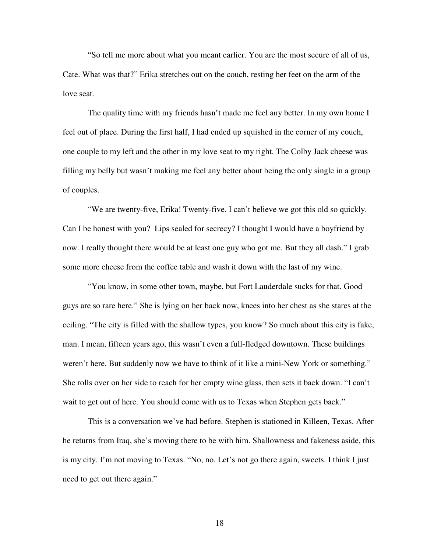"So tell me more about what you meant earlier. You are the most secure of all of us, Cate. What was that?" Erika stretches out on the couch, resting her feet on the arm of the love seat.

The quality time with my friends hasn't made me feel any better. In my own home I feel out of place. During the first half, I had ended up squished in the corner of my couch, one couple to my left and the other in my love seat to my right. The Colby Jack cheese was filling my belly but wasn't making me feel any better about being the only single in a group of couples.

"We are twenty-five, Erika! Twenty-five. I can't believe we got this old so quickly. Can I be honest with you? Lips sealed for secrecy? I thought I would have a boyfriend by now. I really thought there would be at least one guy who got me. But they all dash." I grab some more cheese from the coffee table and wash it down with the last of my wine.

"You know, in some other town, maybe, but Fort Lauderdale sucks for that. Good guys are so rare here." She is lying on her back now, knees into her chest as she stares at the ceiling. "The city is filled with the shallow types, you know? So much about this city is fake, man. I mean, fifteen years ago, this wasn't even a full-fledged downtown. These buildings weren't here. But suddenly now we have to think of it like a mini-New York or something." She rolls over on her side to reach for her empty wine glass, then sets it back down. "I can't wait to get out of here. You should come with us to Texas when Stephen gets back."

This is a conversation we've had before. Stephen is stationed in Killeen, Texas. After he returns from Iraq, she's moving there to be with him. Shallowness and fakeness aside, this is my city. I'm not moving to Texas. "No, no. Let's not go there again, sweets. I think I just need to get out there again."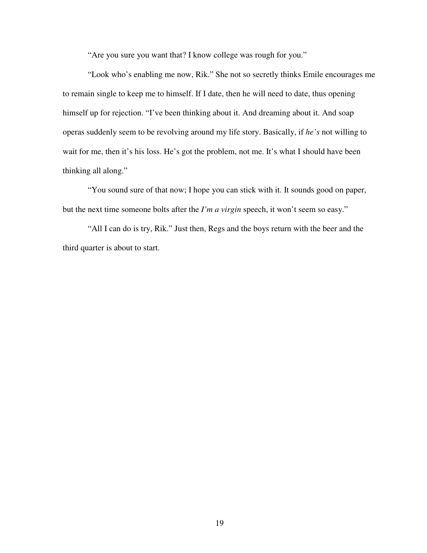"Are you sure you want that? I know college was rough for you."

"Look who's enabling me now, Rik." She not so secretly thinks Emile encourages me to remain single to keep me to himself. If I date, then he will need to date, thus opening himself up for rejection. "I've been thinking about it. And dreaming about it. And soap operas suddenly seem to be revolving around my life story. Basically, if *he's* not willing to wait for me, then it's his loss. He's got the problem, not me. It's what I should have been thinking all along."

"You sound sure of that now; I hope you can stick with it. It sounds good on paper, but the next time someone bolts after the *I'm a virgin* speech, it won't seem so easy."

"All I can do is try, Rik." Just then, Regs and the boys return with the beer and the third quarter is about to start.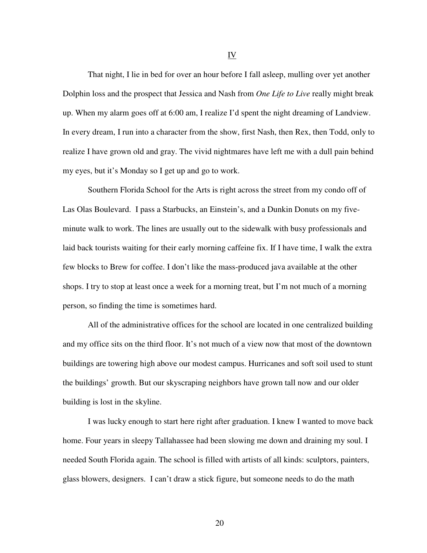That night, I lie in bed for over an hour before I fall asleep, mulling over yet another Dolphin loss and the prospect that Jessica and Nash from *One Life to Live* really might break up. When my alarm goes off at 6:00 am, I realize I'd spent the night dreaming of Landview. In every dream, I run into a character from the show, first Nash, then Rex, then Todd, only to realize I have grown old and gray. The vivid nightmares have left me with a dull pain behind my eyes, but it's Monday so I get up and go to work.

 Southern Florida School for the Arts is right across the street from my condo off of Las Olas Boulevard. I pass a Starbucks, an Einstein's, and a Dunkin Donuts on my fiveminute walk to work. The lines are usually out to the sidewalk with busy professionals and laid back tourists waiting for their early morning caffeine fix. If I have time, I walk the extra few blocks to Brew for coffee. I don't like the mass-produced java available at the other shops. I try to stop at least once a week for a morning treat, but I'm not much of a morning person, so finding the time is sometimes hard.

All of the administrative offices for the school are located in one centralized building and my office sits on the third floor. It's not much of a view now that most of the downtown buildings are towering high above our modest campus. Hurricanes and soft soil used to stunt the buildings' growth. But our skyscraping neighbors have grown tall now and our older building is lost in the skyline.

I was lucky enough to start here right after graduation. I knew I wanted to move back home. Four years in sleepy Tallahassee had been slowing me down and draining my soul. I needed South Florida again. The school is filled with artists of all kinds: sculptors, painters, glass blowers, designers. I can't draw a stick figure, but someone needs to do the math

20

IV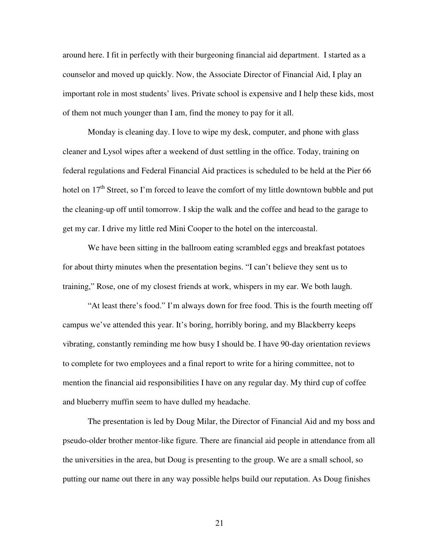around here. I fit in perfectly with their burgeoning financial aid department. I started as a counselor and moved up quickly. Now, the Associate Director of Financial Aid, I play an important role in most students' lives. Private school is expensive and I help these kids, most of them not much younger than I am, find the money to pay for it all.

Monday is cleaning day. I love to wipe my desk, computer, and phone with glass cleaner and Lysol wipes after a weekend of dust settling in the office. Today, training on federal regulations and Federal Financial Aid practices is scheduled to be held at the Pier 66 hotel on  $17<sup>th</sup>$  Street, so I'm forced to leave the comfort of my little downtown bubble and put the cleaning-up off until tomorrow. I skip the walk and the coffee and head to the garage to get my car. I drive my little red Mini Cooper to the hotel on the intercoastal.

We have been sitting in the ballroom eating scrambled eggs and breakfast potatoes for about thirty minutes when the presentation begins. "I can't believe they sent us to training," Rose, one of my closest friends at work, whispers in my ear. We both laugh.

 "At least there's food." I'm always down for free food. This is the fourth meeting off campus we've attended this year. It's boring, horribly boring, and my Blackberry keeps vibrating, constantly reminding me how busy I should be. I have 90-day orientation reviews to complete for two employees and a final report to write for a hiring committee, not to mention the financial aid responsibilities I have on any regular day. My third cup of coffee and blueberry muffin seem to have dulled my headache.

 The presentation is led by Doug Milar, the Director of Financial Aid and my boss and pseudo-older brother mentor-like figure. There are financial aid people in attendance from all the universities in the area, but Doug is presenting to the group. We are a small school, so putting our name out there in any way possible helps build our reputation. As Doug finishes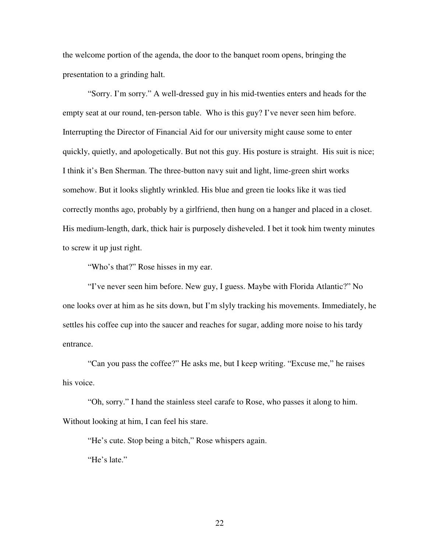the welcome portion of the agenda, the door to the banquet room opens, bringing the presentation to a grinding halt.

 "Sorry. I'm sorry." A well-dressed guy in his mid-twenties enters and heads for the empty seat at our round, ten-person table. Who is this guy? I've never seen him before. Interrupting the Director of Financial Aid for our university might cause some to enter quickly, quietly, and apologetically. But not this guy. His posture is straight. His suit is nice; I think it's Ben Sherman. The three-button navy suit and light, lime-green shirt works somehow. But it looks slightly wrinkled. His blue and green tie looks like it was tied correctly months ago, probably by a girlfriend, then hung on a hanger and placed in a closet. His medium-length, dark, thick hair is purposely disheveled. I bet it took him twenty minutes to screw it up just right.

"Who's that?" Rose hisses in my ear.

 "I've never seen him before. New guy, I guess. Maybe with Florida Atlantic?" No one looks over at him as he sits down, but I'm slyly tracking his movements. Immediately, he settles his coffee cup into the saucer and reaches for sugar, adding more noise to his tardy entrance.

 "Can you pass the coffee?" He asks me, but I keep writing. "Excuse me," he raises his voice.

 "Oh, sorry." I hand the stainless steel carafe to Rose, who passes it along to him. Without looking at him, I can feel his stare.

"He's cute. Stop being a bitch," Rose whispers again.

"He's late."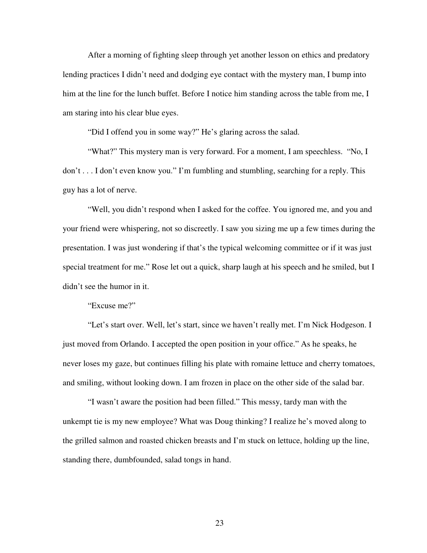After a morning of fighting sleep through yet another lesson on ethics and predatory lending practices I didn't need and dodging eye contact with the mystery man, I bump into him at the line for the lunch buffet. Before I notice him standing across the table from me, I am staring into his clear blue eyes.

"Did I offend you in some way?" He's glaring across the salad.

"What?" This mystery man is very forward. For a moment, I am speechless. "No, I don't . . . I don't even know you." I'm fumbling and stumbling, searching for a reply. This guy has a lot of nerve.

 "Well, you didn't respond when I asked for the coffee. You ignored me, and you and your friend were whispering, not so discreetly. I saw you sizing me up a few times during the presentation. I was just wondering if that's the typical welcoming committee or if it was just special treatment for me." Rose let out a quick, sharp laugh at his speech and he smiled, but I didn't see the humor in it.

"Excuse me?"

 "Let's start over. Well, let's start, since we haven't really met. I'm Nick Hodgeson. I just moved from Orlando. I accepted the open position in your office." As he speaks, he never loses my gaze, but continues filling his plate with romaine lettuce and cherry tomatoes, and smiling, without looking down. I am frozen in place on the other side of the salad bar.

 "I wasn't aware the position had been filled." This messy, tardy man with the unkempt tie is my new employee? What was Doug thinking? I realize he's moved along to the grilled salmon and roasted chicken breasts and I'm stuck on lettuce, holding up the line, standing there, dumbfounded, salad tongs in hand.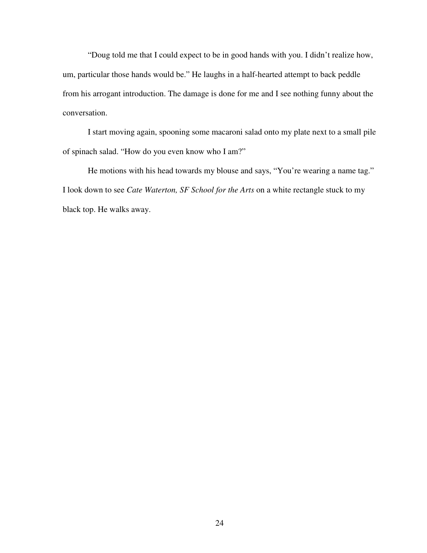"Doug told me that I could expect to be in good hands with you. I didn't realize how, um, particular those hands would be." He laughs in a half-hearted attempt to back peddle from his arrogant introduction. The damage is done for me and I see nothing funny about the conversation.

 I start moving again, spooning some macaroni salad onto my plate next to a small pile of spinach salad. "How do you even know who I am?"

 He motions with his head towards my blouse and says, "You're wearing a name tag." I look down to see *Cate Waterton, SF School for the Arts* on a white rectangle stuck to my black top. He walks away.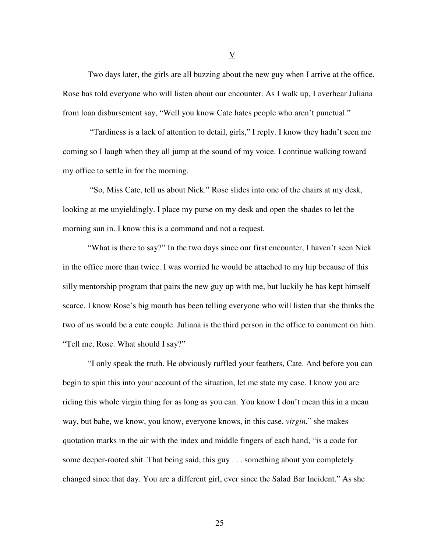Two days later, the girls are all buzzing about the new guy when I arrive at the office. Rose has told everyone who will listen about our encounter. As I walk up, I overhear Juliana from loan disbursement say, "Well you know Cate hates people who aren't punctual."

 "Tardiness is a lack of attention to detail, girls," I reply. I know they hadn't seen me coming so I laugh when they all jump at the sound of my voice. I continue walking toward my office to settle in for the morning.

 "So, Miss Cate, tell us about Nick." Rose slides into one of the chairs at my desk, looking at me unyieldingly. I place my purse on my desk and open the shades to let the morning sun in. I know this is a command and not a request.

 "What is there to say?" In the two days since our first encounter, I haven't seen Nick in the office more than twice. I was worried he would be attached to my hip because of this silly mentorship program that pairs the new guy up with me, but luckily he has kept himself scarce. I know Rose's big mouth has been telling everyone who will listen that she thinks the two of us would be a cute couple. Juliana is the third person in the office to comment on him. "Tell me, Rose. What should I say?"

 "I only speak the truth. He obviously ruffled your feathers, Cate. And before you can begin to spin this into your account of the situation, let me state my case. I know you are riding this whole virgin thing for as long as you can. You know I don't mean this in a mean way, but babe, we know, you know, everyone knows, in this case, *virgin*," she makes quotation marks in the air with the index and middle fingers of each hand, "is a code for some deeper-rooted shit. That being said, this guy . . . something about you completely changed since that day. You are a different girl, ever since the Salad Bar Incident." As she

V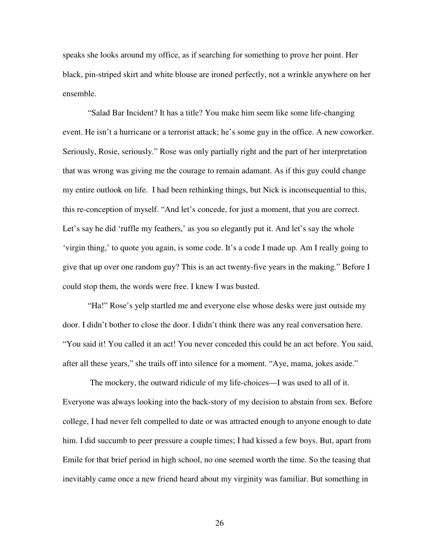speaks she looks around my office, as if searching for something to prove her point. Her black, pin-striped skirt and white blouse are ironed perfectly, not a wrinkle anywhere on her ensemble.

 "Salad Bar Incident? It has a title? You make him seem like some life-changing event. He isn't a hurricane or a terrorist attack; he's some guy in the office. A new coworker. Seriously, Rosie, seriously." Rose was only partially right and the part of her interpretation that was wrong was giving me the courage to remain adamant. As if this guy could change my entire outlook on life. I had been rethinking things, but Nick is inconsequential to this, this re-conception of myself. "And let's concede, for just a moment, that you are correct. Let's say he did 'ruffle my feathers,' as you so elegantly put it. And let's say the whole 'virgin thing,' to quote you again, is some code. It's a code I made up. Am I really going to give that up over one random guy? This is an act twenty-five years in the making." Before I could stop them, the words were free. I knew I was busted.

 "Ha!" Rose's yelp startled me and everyone else whose desks were just outside my door. I didn't bother to close the door. I didn't think there was any real conversation here. "You said it! You called it an act! You never conceded this could be an act before. You said, after all these years," she trails off into silence for a moment. "Aye, mama, jokes aside."

 The mockery, the outward ridicule of my life-choices—I was used to all of it. Everyone was always looking into the back-story of my decision to abstain from sex. Before college, I had never felt compelled to date or was attracted enough to anyone enough to date him. I did succumb to peer pressure a couple times; I had kissed a few boys. But, apart from Emile for that brief period in high school, no one seemed worth the time. So the teasing that inevitably came once a new friend heard about my virginity was familiar. But something in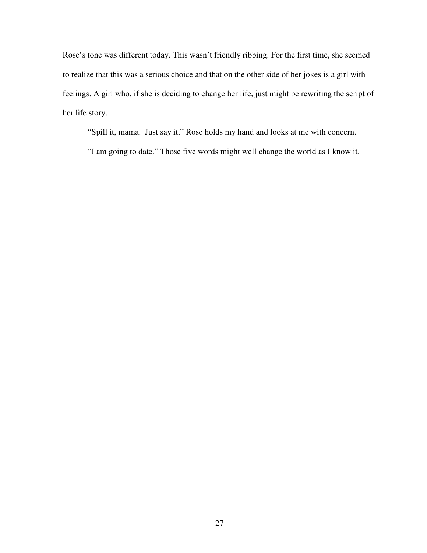Rose's tone was different today. This wasn't friendly ribbing. For the first time, she seemed to realize that this was a serious choice and that on the other side of her jokes is a girl with feelings. A girl who, if she is deciding to change her life, just might be rewriting the script of her life story.

"Spill it, mama. Just say it," Rose holds my hand and looks at me with concern.

"I am going to date." Those five words might well change the world as I know it.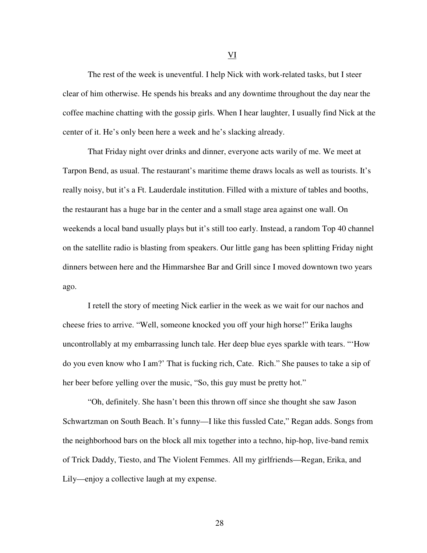The rest of the week is uneventful. I help Nick with work-related tasks, but I steer clear of him otherwise. He spends his breaks and any downtime throughout the day near the coffee machine chatting with the gossip girls. When I hear laughter, I usually find Nick at the center of it. He's only been here a week and he's slacking already.

That Friday night over drinks and dinner, everyone acts warily of me. We meet at Tarpon Bend, as usual. The restaurant's maritime theme draws locals as well as tourists. It's really noisy, but it's a Ft. Lauderdale institution. Filled with a mixture of tables and booths, the restaurant has a huge bar in the center and a small stage area against one wall. On weekends a local band usually plays but it's still too early. Instead, a random Top 40 channel on the satellite radio is blasting from speakers. Our little gang has been splitting Friday night dinners between here and the Himmarshee Bar and Grill since I moved downtown two years ago.

I retell the story of meeting Nick earlier in the week as we wait for our nachos and cheese fries to arrive. "Well, someone knocked you off your high horse!" Erika laughs uncontrollably at my embarrassing lunch tale. Her deep blue eyes sparkle with tears. "'How do you even know who I am?' That is fucking rich, Cate. Rich." She pauses to take a sip of her beer before yelling over the music, "So, this guy must be pretty hot."

 "Oh, definitely. She hasn't been this thrown off since she thought she saw Jason Schwartzman on South Beach. It's funny—I like this fussled Cate," Regan adds. Songs from the neighborhood bars on the block all mix together into a techno, hip-hop, live-band remix of Trick Daddy, Tiesto, and The Violent Femmes. All my girlfriends—Regan, Erika, and Lily—enjoy a collective laugh at my expense.

VI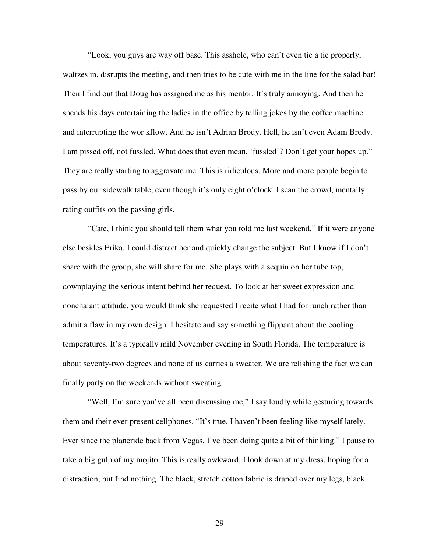"Look, you guys are way off base. This asshole, who can't even tie a tie properly, waltzes in, disrupts the meeting, and then tries to be cute with me in the line for the salad bar! Then I find out that Doug has assigned me as his mentor. It's truly annoying. And then he spends his days entertaining the ladies in the office by telling jokes by the coffee machine and interrupting the wor kflow. And he isn't Adrian Brody. Hell, he isn't even Adam Brody. I am pissed off, not fussled. What does that even mean, 'fussled'? Don't get your hopes up." They are really starting to aggravate me. This is ridiculous. More and more people begin to pass by our sidewalk table, even though it's only eight o'clock. I scan the crowd, mentally rating outfits on the passing girls.

 "Cate, I think you should tell them what you told me last weekend." If it were anyone else besides Erika, I could distract her and quickly change the subject. But I know if I don't share with the group, she will share for me. She plays with a sequin on her tube top, downplaying the serious intent behind her request. To look at her sweet expression and nonchalant attitude, you would think she requested I recite what I had for lunch rather than admit a flaw in my own design. I hesitate and say something flippant about the cooling temperatures. It's a typically mild November evening in South Florida. The temperature is about seventy-two degrees and none of us carries a sweater. We are relishing the fact we can finally party on the weekends without sweating.

 "Well, I'm sure you've all been discussing me," I say loudly while gesturing towards them and their ever present cellphones. "It's true. I haven't been feeling like myself lately. Ever since the planeride back from Vegas, I've been doing quite a bit of thinking." I pause to take a big gulp of my mojito. This is really awkward. I look down at my dress, hoping for a distraction, but find nothing. The black, stretch cotton fabric is draped over my legs, black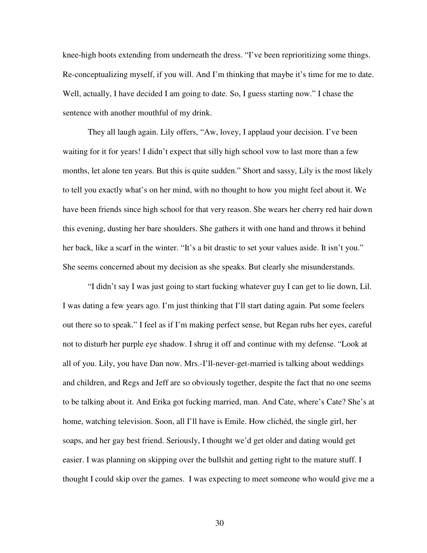knee-high boots extending from underneath the dress. "I've been reprioritizing some things. Re-conceptualizing myself, if you will. And I'm thinking that maybe it's time for me to date. Well, actually, I have decided I am going to date. So, I guess starting now." I chase the sentence with another mouthful of my drink.

 They all laugh again. Lily offers, "Aw, lovey, I applaud your decision. I've been waiting for it for years! I didn't expect that silly high school vow to last more than a few months, let alone ten years. But this is quite sudden." Short and sassy, Lily is the most likely to tell you exactly what's on her mind, with no thought to how you might feel about it. We have been friends since high school for that very reason. She wears her cherry red hair down this evening, dusting her bare shoulders. She gathers it with one hand and throws it behind her back, like a scarf in the winter. "It's a bit drastic to set your values aside. It isn't you." She seems concerned about my decision as she speaks. But clearly she misunderstands.

 "I didn't say I was just going to start fucking whatever guy I can get to lie down, Lil. I was dating a few years ago. I'm just thinking that I'll start dating again. Put some feelers out there so to speak." I feel as if I'm making perfect sense, but Regan rubs her eyes, careful not to disturb her purple eye shadow. I shrug it off and continue with my defense. "Look at all of you. Lily, you have Dan now. Mrs.-I'll-never-get-married is talking about weddings and children, and Regs and Jeff are so obviously together, despite the fact that no one seems to be talking about it. And Erika got fucking married, man. And Cate, where's Cate? She's at home, watching television. Soon, all I'll have is Emile. How clichéd, the single girl, her soaps, and her gay best friend. Seriously, I thought we'd get older and dating would get easier. I was planning on skipping over the bullshit and getting right to the mature stuff. I thought I could skip over the games. I was expecting to meet someone who would give me a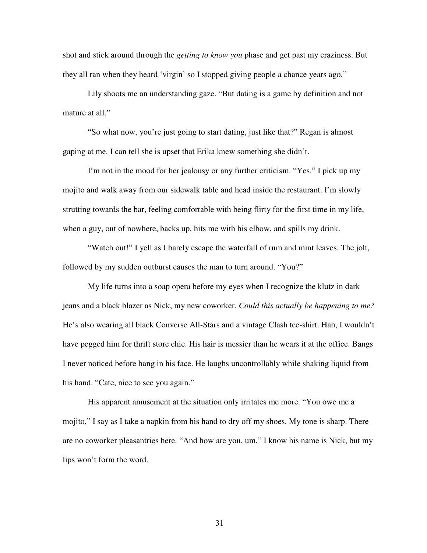shot and stick around through the *getting to know you* phase and get past my craziness. But they all ran when they heard 'virgin' so I stopped giving people a chance years ago."

 Lily shoots me an understanding gaze. "But dating is a game by definition and not mature at all."

 "So what now, you're just going to start dating, just like that?" Regan is almost gaping at me. I can tell she is upset that Erika knew something she didn't.

 I'm not in the mood for her jealousy or any further criticism. "Yes." I pick up my mojito and walk away from our sidewalk table and head inside the restaurant. I'm slowly strutting towards the bar, feeling comfortable with being flirty for the first time in my life, when a guy, out of nowhere, backs up, hits me with his elbow, and spills my drink.

"Watch out!" I yell as I barely escape the waterfall of rum and mint leaves. The jolt, followed by my sudden outburst causes the man to turn around. "You?"

My life turns into a soap opera before my eyes when I recognize the klutz in dark jeans and a black blazer as Nick, my new coworker. *Could this actually be happening to me?*  He's also wearing all black Converse All-Stars and a vintage Clash tee-shirt. Hah, I wouldn't have pegged him for thrift store chic. His hair is messier than he wears it at the office. Bangs I never noticed before hang in his face. He laughs uncontrollably while shaking liquid from his hand. "Cate, nice to see you again."

His apparent amusement at the situation only irritates me more. "You owe me a mojito," I say as I take a napkin from his hand to dry off my shoes. My tone is sharp. There are no coworker pleasantries here. "And how are you, um," I know his name is Nick, but my lips won't form the word.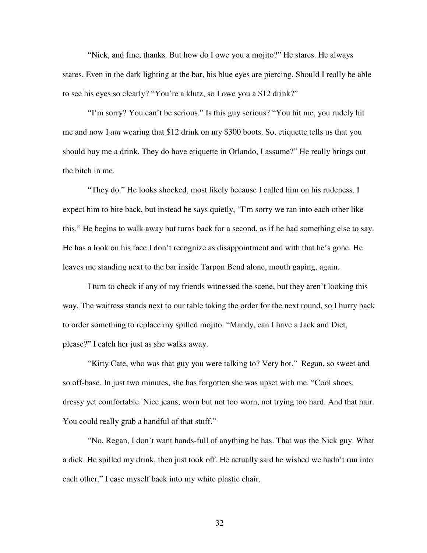"Nick, and fine, thanks. But how do I owe you a mojito?" He stares. He always stares. Even in the dark lighting at the bar, his blue eyes are piercing. Should I really be able to see his eyes so clearly? "You're a klutz, so I owe you a \$12 drink?"

 "I'm sorry? You can't be serious." Is this guy serious? "You hit me, you rudely hit me and now I *am* wearing that \$12 drink on my \$300 boots. So, etiquette tells us that you should buy me a drink. They do have etiquette in Orlando, I assume?" He really brings out the bitch in me.

 "They do." He looks shocked, most likely because I called him on his rudeness. I expect him to bite back, but instead he says quietly, "I'm sorry we ran into each other like this." He begins to walk away but turns back for a second, as if he had something else to say. He has a look on his face I don't recognize as disappointment and with that he's gone. He leaves me standing next to the bar inside Tarpon Bend alone, mouth gaping, again.

 I turn to check if any of my friends witnessed the scene, but they aren't looking this way. The waitress stands next to our table taking the order for the next round, so I hurry back to order something to replace my spilled mojito. "Mandy, can I have a Jack and Diet, please?" I catch her just as she walks away.

 "Kitty Cate, who was that guy you were talking to? Very hot." Regan, so sweet and so off-base. In just two minutes, she has forgotten she was upset with me. "Cool shoes, dressy yet comfortable. Nice jeans, worn but not too worn, not trying too hard. And that hair. You could really grab a handful of that stuff."

 "No, Regan, I don't want hands-full of anything he has. That was the Nick guy. What a dick. He spilled my drink, then just took off. He actually said he wished we hadn't run into each other." I ease myself back into my white plastic chair.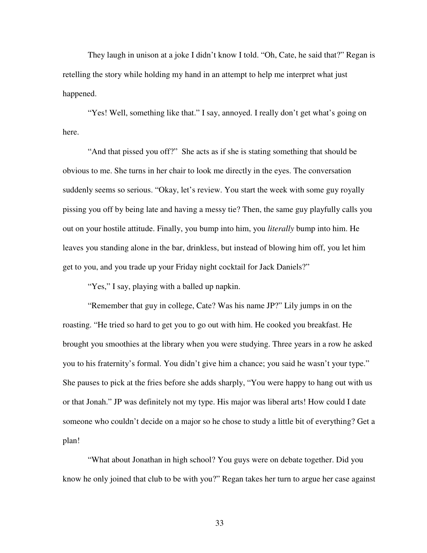They laugh in unison at a joke I didn't know I told. "Oh, Cate, he said that?" Regan is retelling the story while holding my hand in an attempt to help me interpret what just happened.

 "Yes! Well, something like that." I say, annoyed. I really don't get what's going on here.

 "And that pissed you off?" She acts as if she is stating something that should be obvious to me. She turns in her chair to look me directly in the eyes. The conversation suddenly seems so serious. "Okay, let's review. You start the week with some guy royally pissing you off by being late and having a messy tie? Then, the same guy playfully calls you out on your hostile attitude. Finally, you bump into him, you *literally* bump into him. He leaves you standing alone in the bar, drinkless, but instead of blowing him off, you let him get to you, and you trade up your Friday night cocktail for Jack Daniels?"

"Yes," I say, playing with a balled up napkin.

"Remember that guy in college, Cate? Was his name JP?" Lily jumps in on the roasting. "He tried so hard to get you to go out with him. He cooked you breakfast. He brought you smoothies at the library when you were studying. Three years in a row he asked you to his fraternity's formal. You didn't give him a chance; you said he wasn't your type." She pauses to pick at the fries before she adds sharply, "You were happy to hang out with us or that Jonah." JP was definitely not my type. His major was liberal arts! How could I date someone who couldn't decide on a major so he chose to study a little bit of everything? Get a plan!

"What about Jonathan in high school? You guys were on debate together. Did you know he only joined that club to be with you?" Regan takes her turn to argue her case against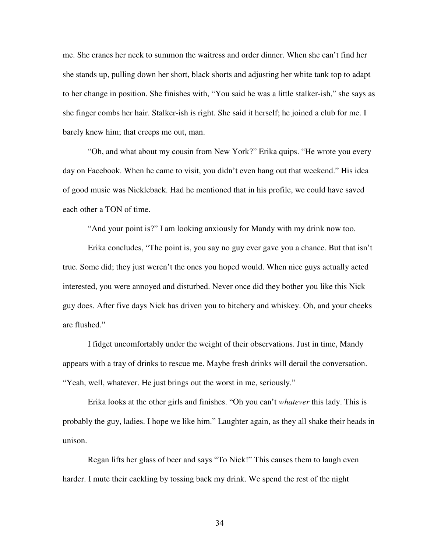me. She cranes her neck to summon the waitress and order dinner. When she can't find her she stands up, pulling down her short, black shorts and adjusting her white tank top to adapt to her change in position. She finishes with, "You said he was a little stalker-ish," she says as she finger combs her hair. Stalker-ish is right. She said it herself; he joined a club for me. I barely knew him; that creeps me out, man.

"Oh, and what about my cousin from New York?" Erika quips. "He wrote you every day on Facebook. When he came to visit, you didn't even hang out that weekend." His idea of good music was Nickleback. Had he mentioned that in his profile, we could have saved each other a TON of time.

"And your point is?" I am looking anxiously for Mandy with my drink now too.

Erika concludes, "The point is, you say no guy ever gave you a chance. But that isn't true. Some did; they just weren't the ones you hoped would. When nice guys actually acted interested, you were annoyed and disturbed. Never once did they bother you like this Nick guy does. After five days Nick has driven you to bitchery and whiskey. Oh, and your cheeks are flushed."

I fidget uncomfortably under the weight of their observations. Just in time, Mandy appears with a tray of drinks to rescue me. Maybe fresh drinks will derail the conversation. "Yeah, well, whatever. He just brings out the worst in me, seriously."

Erika looks at the other girls and finishes. "Oh you can't *whatever* this lady. This is probably the guy, ladies. I hope we like him." Laughter again, as they all shake their heads in unison.

Regan lifts her glass of beer and says "To Nick!" This causes them to laugh even harder. I mute their cackling by tossing back my drink. We spend the rest of the night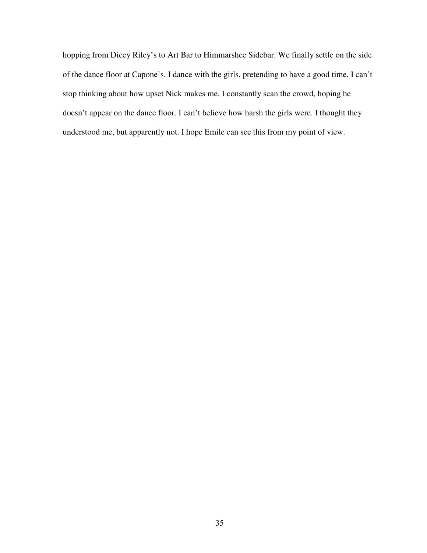hopping from Dicey Riley's to Art Bar to Himmarshee Sidebar. We finally settle on the side of the dance floor at Capone's. I dance with the girls, pretending to have a good time. I can't stop thinking about how upset Nick makes me. I constantly scan the crowd, hoping he doesn't appear on the dance floor. I can't believe how harsh the girls were. I thought they understood me, but apparently not. I hope Emile can see this from my point of view.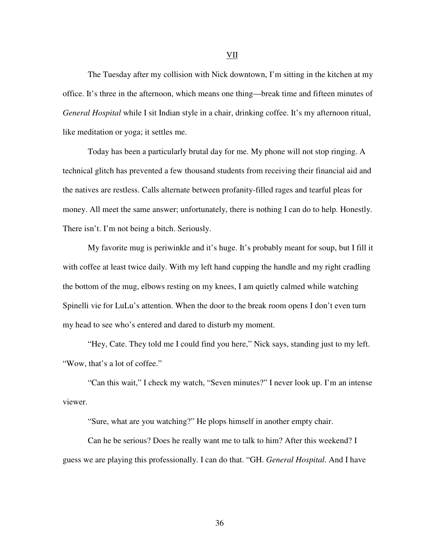The Tuesday after my collision with Nick downtown, I'm sitting in the kitchen at my office. It's three in the afternoon, which means one thing—break time and fifteen minutes of *General Hospital* while I sit Indian style in a chair, drinking coffee. It's my afternoon ritual, like meditation or yoga; it settles me.

 Today has been a particularly brutal day for me. My phone will not stop ringing. A technical glitch has prevented a few thousand students from receiving their financial aid and the natives are restless. Calls alternate between profanity-filled rages and tearful pleas for money. All meet the same answer; unfortunately, there is nothing I can do to help. Honestly. There isn't. I'm not being a bitch. Seriously.

 My favorite mug is periwinkle and it's huge. It's probably meant for soup, but I fill it with coffee at least twice daily. With my left hand cupping the handle and my right cradling the bottom of the mug, elbows resting on my knees, I am quietly calmed while watching Spinelli vie for LuLu's attention. When the door to the break room opens I don't even turn my head to see who's entered and dared to disturb my moment.

 "Hey, Cate. They told me I could find you here," Nick says, standing just to my left. "Wow, that's a lot of coffee."

 "Can this wait," I check my watch, "Seven minutes?" I never look up. I'm an intense viewer.

"Sure, what are you watching?" He plops himself in another empty chair.

 Can he be serious? Does he really want me to talk to him? After this weekend? I guess we are playing this professionally. I can do that. "GH. *General Hospital.* And I have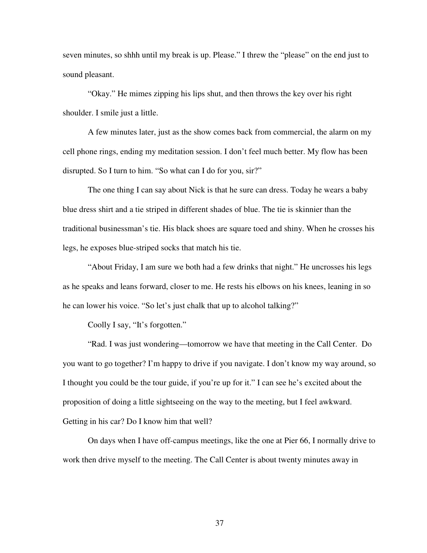seven minutes, so shhh until my break is up. Please." I threw the "please" on the end just to sound pleasant.

 "Okay." He mimes zipping his lips shut, and then throws the key over his right shoulder. I smile just a little.

 A few minutes later, just as the show comes back from commercial, the alarm on my cell phone rings, ending my meditation session. I don't feel much better. My flow has been disrupted. So I turn to him. "So what can I do for you, sir?"

 The one thing I can say about Nick is that he sure can dress. Today he wears a baby blue dress shirt and a tie striped in different shades of blue. The tie is skinnier than the traditional businessman's tie. His black shoes are square toed and shiny. When he crosses his legs, he exposes blue-striped socks that match his tie.

 "About Friday, I am sure we both had a few drinks that night." He uncrosses his legs as he speaks and leans forward, closer to me. He rests his elbows on his knees, leaning in so he can lower his voice. "So let's just chalk that up to alcohol talking?"

Coolly I say, "It's forgotten."

"Rad. I was just wondering—tomorrow we have that meeting in the Call Center. Do you want to go together? I'm happy to drive if you navigate. I don't know my way around, so I thought you could be the tour guide, if you're up for it." I can see he's excited about the proposition of doing a little sightseeing on the way to the meeting, but I feel awkward. Getting in his car? Do I know him that well?

 On days when I have off-campus meetings, like the one at Pier 66, I normally drive to work then drive myself to the meeting. The Call Center is about twenty minutes away in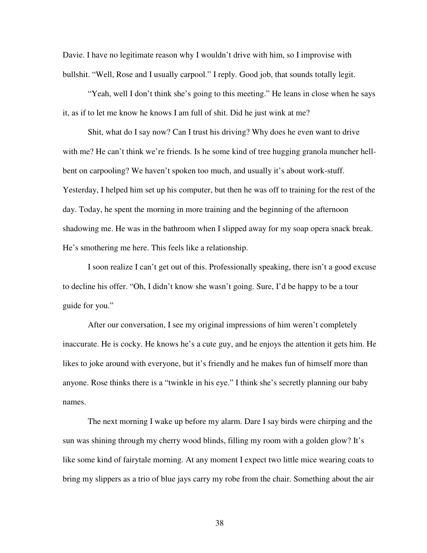Davie. I have no legitimate reason why I wouldn't drive with him, so I improvise with bullshit. "Well, Rose and I usually carpool." I reply. Good job, that sounds totally legit.

 "Yeah, well I don't think she's going to this meeting." He leans in close when he says it, as if to let me know he knows I am full of shit. Did he just wink at me?

 Shit, what do I say now? Can I trust his driving? Why does he even want to drive with me? He can't think we're friends. Is he some kind of tree hugging granola muncher hellbent on carpooling? We haven't spoken too much, and usually it's about work-stuff. Yesterday, I helped him set up his computer, but then he was off to training for the rest of the day. Today, he spent the morning in more training and the beginning of the afternoon shadowing me. He was in the bathroom when I slipped away for my soap opera snack break. He's smothering me here. This feels like a relationship.

I soon realize I can't get out of this. Professionally speaking, there isn't a good excuse to decline his offer. "Oh, I didn't know she wasn't going. Sure, I'd be happy to be a tour guide for you."

 After our conversation, I see my original impressions of him weren't completely inaccurate. He is cocky. He knows he's a cute guy, and he enjoys the attention it gets him. He likes to joke around with everyone, but it's friendly and he makes fun of himself more than anyone. Rose thinks there is a "twinkle in his eye." I think she's secretly planning our baby names.

 The next morning I wake up before my alarm. Dare I say birds were chirping and the sun was shining through my cherry wood blinds, filling my room with a golden glow? It's like some kind of fairytale morning. At any moment I expect two little mice wearing coats to bring my slippers as a trio of blue jays carry my robe from the chair. Something about the air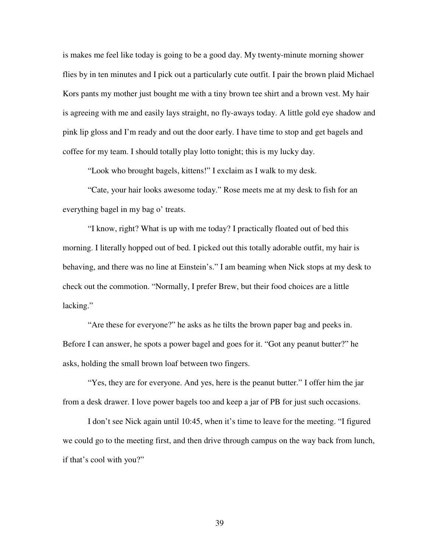is makes me feel like today is going to be a good day. My twenty-minute morning shower flies by in ten minutes and I pick out a particularly cute outfit. I pair the brown plaid Michael Kors pants my mother just bought me with a tiny brown tee shirt and a brown vest. My hair is agreeing with me and easily lays straight, no fly-aways today. A little gold eye shadow and pink lip gloss and I'm ready and out the door early. I have time to stop and get bagels and coffee for my team. I should totally play lotto tonight; this is my lucky day.

"Look who brought bagels, kittens!" I exclaim as I walk to my desk.

 "Cate, your hair looks awesome today." Rose meets me at my desk to fish for an everything bagel in my bag o' treats.

 "I know, right? What is up with me today? I practically floated out of bed this morning. I literally hopped out of bed. I picked out this totally adorable outfit, my hair is behaving, and there was no line at Einstein's." I am beaming when Nick stops at my desk to check out the commotion. "Normally, I prefer Brew, but their food choices are a little lacking."

 "Are these for everyone?" he asks as he tilts the brown paper bag and peeks in. Before I can answer, he spots a power bagel and goes for it. "Got any peanut butter?" he asks, holding the small brown loaf between two fingers.

 "Yes, they are for everyone. And yes, here is the peanut butter." I offer him the jar from a desk drawer. I love power bagels too and keep a jar of PB for just such occasions.

 I don't see Nick again until 10:45, when it's time to leave for the meeting. "I figured we could go to the meeting first, and then drive through campus on the way back from lunch, if that's cool with you?"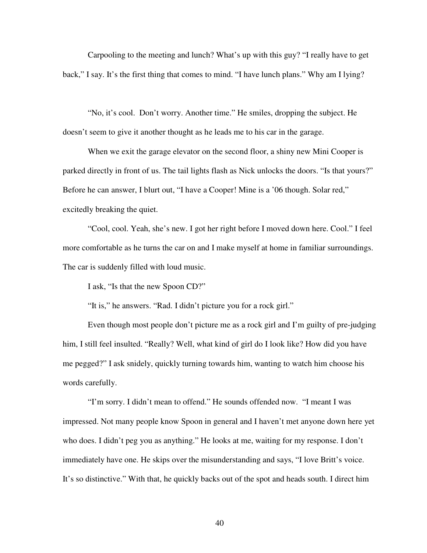Carpooling to the meeting and lunch? What's up with this guy? "I really have to get back," I say. It's the first thing that comes to mind. "I have lunch plans." Why am I lying?

 "No, it's cool. Don't worry. Another time." He smiles, dropping the subject. He doesn't seem to give it another thought as he leads me to his car in the garage.

When we exit the garage elevator on the second floor, a shiny new Mini Cooper is parked directly in front of us. The tail lights flash as Nick unlocks the doors. "Is that yours?" Before he can answer, I blurt out, "I have a Cooper! Mine is a '06 though. Solar red," excitedly breaking the quiet.

 "Cool, cool. Yeah, she's new. I got her right before I moved down here. Cool." I feel more comfortable as he turns the car on and I make myself at home in familiar surroundings. The car is suddenly filled with loud music.

I ask, "Is that the new Spoon CD?"

"It is," he answers. "Rad. I didn't picture you for a rock girl."

 Even though most people don't picture me as a rock girl and I'm guilty of pre-judging him, I still feel insulted. "Really? Well, what kind of girl do I look like? How did you have me pegged?" I ask snidely, quickly turning towards him, wanting to watch him choose his words carefully.

 "I'm sorry. I didn't mean to offend." He sounds offended now. "I meant I was impressed. Not many people know Spoon in general and I haven't met anyone down here yet who does. I didn't peg you as anything." He looks at me, waiting for my response. I don't immediately have one. He skips over the misunderstanding and says, "I love Britt's voice. It's so distinctive." With that, he quickly backs out of the spot and heads south. I direct him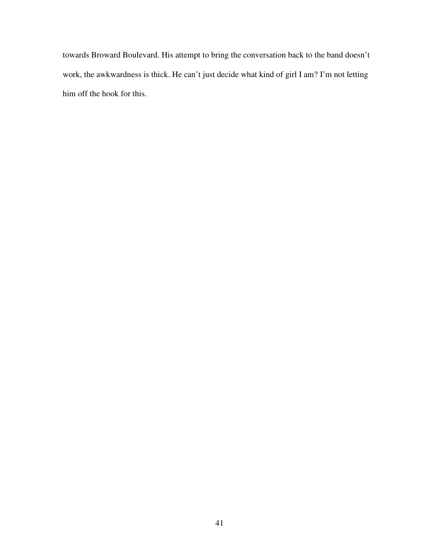towards Broward Boulevard. His attempt to bring the conversation back to the band doesn't work, the awkwardness is thick. He can't just decide what kind of girl I am? I'm not letting him off the hook for this.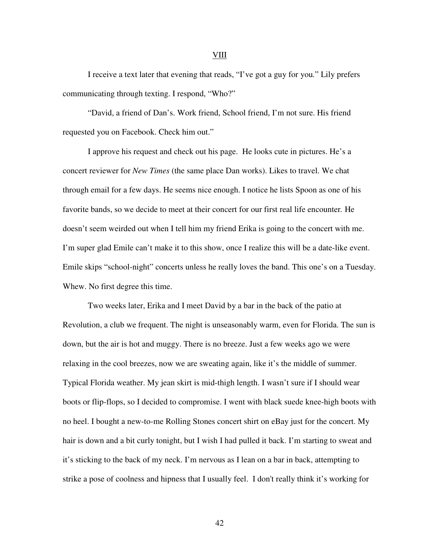I receive a text later that evening that reads, "I've got a guy for you*.*" Lily prefers communicating through texting. I respond, "Who?"

"David, a friend of Dan's. Work friend, School friend, I'm not sure. His friend requested you on Facebook. Check him out."

I approve his request and check out his page. He looks cute in pictures. He's a concert reviewer for *New Times* (the same place Dan works). Likes to travel. We chat through email for a few days. He seems nice enough. I notice he lists Spoon as one of his favorite bands, so we decide to meet at their concert for our first real life encounter*.* He doesn't seem weirded out when I tell him my friend Erika is going to the concert with me. I'm super glad Emile can't make it to this show, once I realize this will be a date-like event. Emile skips "school-night" concerts unless he really loves the band. This one's on a Tuesday. Whew. No first degree this time.

Two weeks later, Erika and I meet David by a bar in the back of the patio at Revolution, a club we frequent. The night is unseasonably warm, even for Florida. The sun is down, but the air is hot and muggy. There is no breeze. Just a few weeks ago we were relaxing in the cool breezes, now we are sweating again, like it's the middle of summer. Typical Florida weather. My jean skirt is mid-thigh length. I wasn't sure if I should wear boots or flip-flops, so I decided to compromise. I went with black suede knee-high boots with no heel. I bought a new-to-me Rolling Stones concert shirt on eBay just for the concert. My hair is down and a bit curly tonight, but I wish I had pulled it back. I'm starting to sweat and it's sticking to the back of my neck. I'm nervous as I lean on a bar in back, attempting to strike a pose of coolness and hipness that I usually feel. I don't really think it's working for

VIII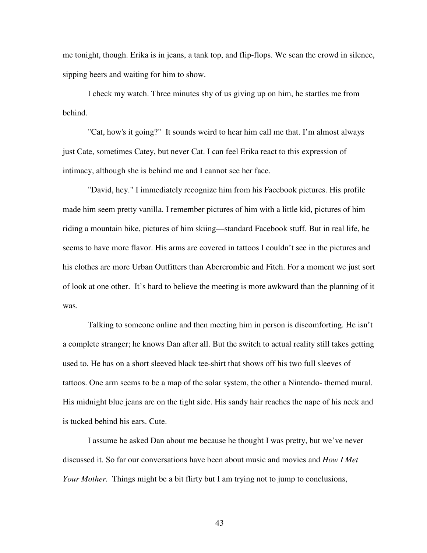me tonight, though. Erika is in jeans, a tank top, and flip-flops. We scan the crowd in silence, sipping beers and waiting for him to show.

 I check my watch. Three minutes shy of us giving up on him, he startles me from behind.

 "Cat, how's it going?" It sounds weird to hear him call me that. I'm almost always just Cate, sometimes Catey, but never Cat. I can feel Erika react to this expression of intimacy, although she is behind me and I cannot see her face.

 "David, hey." I immediately recognize him from his Facebook pictures. His profile made him seem pretty vanilla. I remember pictures of him with a little kid, pictures of him riding a mountain bike, pictures of him skiing—standard Facebook stuff. But in real life, he seems to have more flavor. His arms are covered in tattoos I couldn't see in the pictures and his clothes are more Urban Outfitters than Abercrombie and Fitch. For a moment we just sort of look at one other. It's hard to believe the meeting is more awkward than the planning of it was.

Talking to someone online and then meeting him in person is discomforting. He isn't a complete stranger; he knows Dan after all. But the switch to actual reality still takes getting used to. He has on a short sleeved black tee-shirt that shows off his two full sleeves of tattoos. One arm seems to be a map of the solar system, the other a Nintendo- themed mural. His midnight blue jeans are on the tight side. His sandy hair reaches the nape of his neck and is tucked behind his ears. Cute.

I assume he asked Dan about me because he thought I was pretty, but we've never discussed it. So far our conversations have been about music and movies and *How I Met Your Mother.* Things might be a bit flirty but I am trying not to jump to conclusions,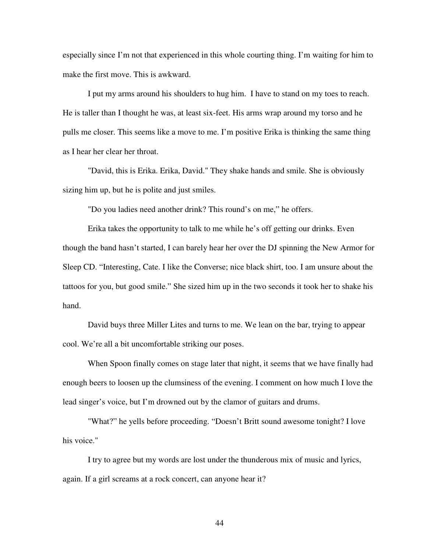especially since I'm not that experienced in this whole courting thing. I'm waiting for him to make the first move. This is awkward.

I put my arms around his shoulders to hug him. I have to stand on my toes to reach. He is taller than I thought he was, at least six-feet. His arms wrap around my torso and he pulls me closer. This seems like a move to me. I'm positive Erika is thinking the same thing as I hear her clear her throat.

 "David, this is Erika. Erika, David." They shake hands and smile. She is obviously sizing him up, but he is polite and just smiles.

"Do you ladies need another drink? This round's on me," he offers.

Erika takes the opportunity to talk to me while he's off getting our drinks. Even though the band hasn't started, I can barely hear her over the DJ spinning the New Armor for Sleep CD. "Interesting, Cate. I like the Converse; nice black shirt, too. I am unsure about the tattoos for you, but good smile." She sized him up in the two seconds it took her to shake his hand.

David buys three Miller Lites and turns to me. We lean on the bar, trying to appear cool. We're all a bit uncomfortable striking our poses.

 When Spoon finally comes on stage later that night, it seems that we have finally had enough beers to loosen up the clumsiness of the evening. I comment on how much I love the lead singer's voice, but I'm drowned out by the clamor of guitars and drums.

 "What?" he yells before proceeding. "Doesn't Britt sound awesome tonight? I love his voice."

 I try to agree but my words are lost under the thunderous mix of music and lyrics, again. If a girl screams at a rock concert, can anyone hear it?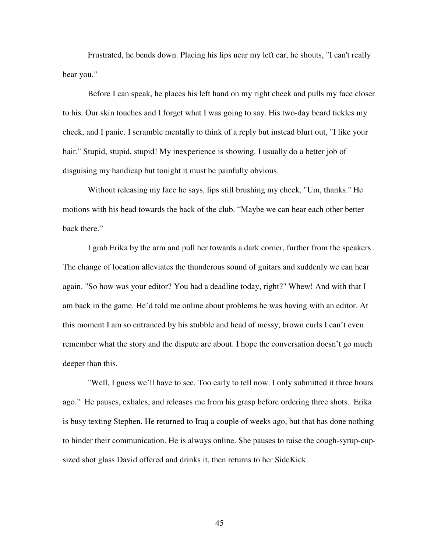Frustrated, he bends down. Placing his lips near my left ear, he shouts, "I can't really hear you."

 Before I can speak, he places his left hand on my right cheek and pulls my face closer to his. Our skin touches and I forget what I was going to say. His two-day beard tickles my cheek, and I panic. I scramble mentally to think of a reply but instead blurt out, "I like your hair." Stupid, stupid, stupid! My inexperience is showing. I usually do a better job of disguising my handicap but tonight it must be painfully obvious.

 Without releasing my face he says, lips still brushing my cheek, "Um, thanks." He motions with his head towards the back of the club. "Maybe we can hear each other better back there."

 I grab Erika by the arm and pull her towards a dark corner, further from the speakers. The change of location alleviates the thunderous sound of guitars and suddenly we can hear again. "So how was your editor? You had a deadline today, right?" Whew! And with that I am back in the game. He'd told me online about problems he was having with an editor. At this moment I am so entranced by his stubble and head of messy, brown curls I can't even remember what the story and the dispute are about. I hope the conversation doesn't go much deeper than this.

 "Well, I guess we'll have to see. Too early to tell now. I only submitted it three hours ago." He pauses, exhales, and releases me from his grasp before ordering three shots. Erika is busy texting Stephen. He returned to Iraq a couple of weeks ago, but that has done nothing to hinder their communication. He is always online. She pauses to raise the cough-syrup-cupsized shot glass David offered and drinks it, then returns to her SideKick.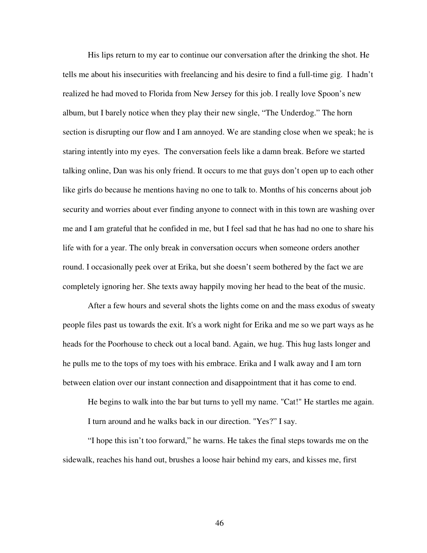His lips return to my ear to continue our conversation after the drinking the shot. He tells me about his insecurities with freelancing and his desire to find a full-time gig. I hadn't realized he had moved to Florida from New Jersey for this job. I really love Spoon's new album, but I barely notice when they play their new single, "The Underdog." The horn section is disrupting our flow and I am annoyed. We are standing close when we speak; he is staring intently into my eyes. The conversation feels like a damn break. Before we started talking online, Dan was his only friend. It occurs to me that guys don't open up to each other like girls do because he mentions having no one to talk to. Months of his concerns about job security and worries about ever finding anyone to connect with in this town are washing over me and I am grateful that he confided in me, but I feel sad that he has had no one to share his life with for a year. The only break in conversation occurs when someone orders another round. I occasionally peek over at Erika, but she doesn't seem bothered by the fact we are completely ignoring her. She texts away happily moving her head to the beat of the music.

 After a few hours and several shots the lights come on and the mass exodus of sweaty people files past us towards the exit. It's a work night for Erika and me so we part ways as he heads for the Poorhouse to check out a local band. Again, we hug. This hug lasts longer and he pulls me to the tops of my toes with his embrace. Erika and I walk away and I am torn between elation over our instant connection and disappointment that it has come to end.

 He begins to walk into the bar but turns to yell my name. "Cat!" He startles me again. I turn around and he walks back in our direction. "Yes?" I say.

 "I hope this isn't too forward," he warns. He takes the final steps towards me on the sidewalk, reaches his hand out, brushes a loose hair behind my ears, and kisses me, first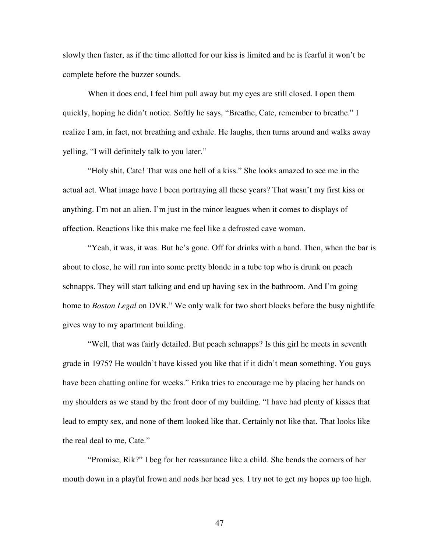slowly then faster, as if the time allotted for our kiss is limited and he is fearful it won't be complete before the buzzer sounds.

When it does end, I feel him pull away but my eyes are still closed. I open them quickly, hoping he didn't notice. Softly he says, "Breathe, Cate, remember to breathe." I realize I am, in fact, not breathing and exhale. He laughs, then turns around and walks away yelling, "I will definitely talk to you later."

 "Holy shit, Cate! That was one hell of a kiss." She looks amazed to see me in the actual act. What image have I been portraying all these years? That wasn't my first kiss or anything. I'm not an alien. I'm just in the minor leagues when it comes to displays of affection. Reactions like this make me feel like a defrosted cave woman.

 "Yeah, it was, it was. But he's gone. Off for drinks with a band. Then, when the bar is about to close, he will run into some pretty blonde in a tube top who is drunk on peach schnapps. They will start talking and end up having sex in the bathroom. And I'm going home to *Boston Legal* on DVR." We only walk for two short blocks before the busy nightlife gives way to my apartment building.

 "Well, that was fairly detailed. But peach schnapps? Is this girl he meets in seventh grade in 1975? He wouldn't have kissed you like that if it didn't mean something. You guys have been chatting online for weeks." Erika tries to encourage me by placing her hands on my shoulders as we stand by the front door of my building. "I have had plenty of kisses that lead to empty sex, and none of them looked like that. Certainly not like that. That looks like the real deal to me, Cate."

 "Promise, Rik?" I beg for her reassurance like a child. She bends the corners of her mouth down in a playful frown and nods her head yes. I try not to get my hopes up too high.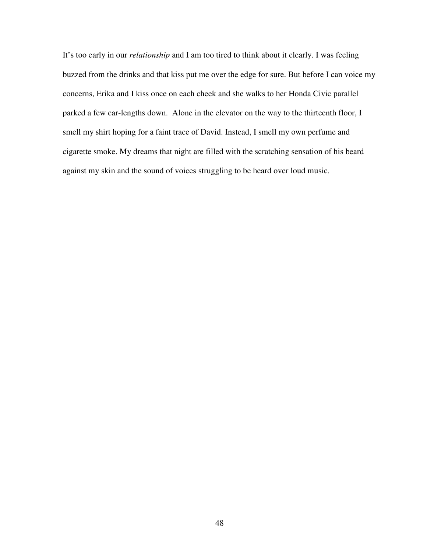It's too early in our *relationship* and I am too tired to think about it clearly. I was feeling buzzed from the drinks and that kiss put me over the edge for sure. But before I can voice my concerns, Erika and I kiss once on each cheek and she walks to her Honda Civic parallel parked a few car-lengths down. Alone in the elevator on the way to the thirteenth floor, I smell my shirt hoping for a faint trace of David. Instead, I smell my own perfume and cigarette smoke. My dreams that night are filled with the scratching sensation of his beard against my skin and the sound of voices struggling to be heard over loud music.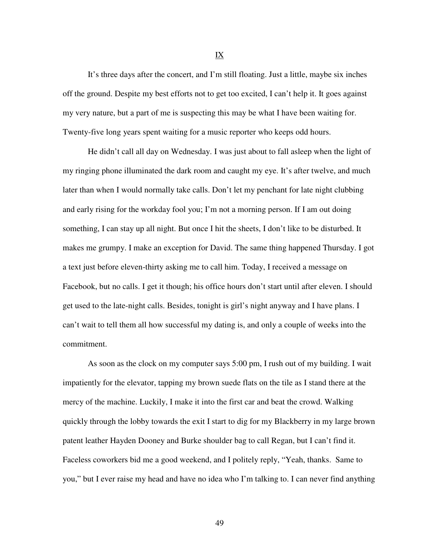It's three days after the concert, and I'm still floating. Just a little, maybe six inches off the ground. Despite my best efforts not to get too excited, I can't help it. It goes against my very nature, but a part of me is suspecting this may be what I have been waiting for. Twenty-five long years spent waiting for a music reporter who keeps odd hours.

He didn't call all day on Wednesday. I was just about to fall asleep when the light of my ringing phone illuminated the dark room and caught my eye. It's after twelve, and much later than when I would normally take calls. Don't let my penchant for late night clubbing and early rising for the workday fool you; I'm not a morning person. If I am out doing something, I can stay up all night. But once I hit the sheets, I don't like to be disturbed. It makes me grumpy. I make an exception for David. The same thing happened Thursday. I got a text just before eleven-thirty asking me to call him. Today, I received a message on Facebook, but no calls. I get it though; his office hours don't start until after eleven. I should get used to the late-night calls. Besides, tonight is girl's night anyway and I have plans. I can't wait to tell them all how successful my dating is, and only a couple of weeks into the commitment.

 As soon as the clock on my computer says 5:00 pm, I rush out of my building. I wait impatiently for the elevator, tapping my brown suede flats on the tile as I stand there at the mercy of the machine. Luckily, I make it into the first car and beat the crowd. Walking quickly through the lobby towards the exit I start to dig for my Blackberry in my large brown patent leather Hayden Dooney and Burke shoulder bag to call Regan, but I can't find it. Faceless coworkers bid me a good weekend, and I politely reply, "Yeah, thanks. Same to you," but I ever raise my head and have no idea who I'm talking to. I can never find anything

IX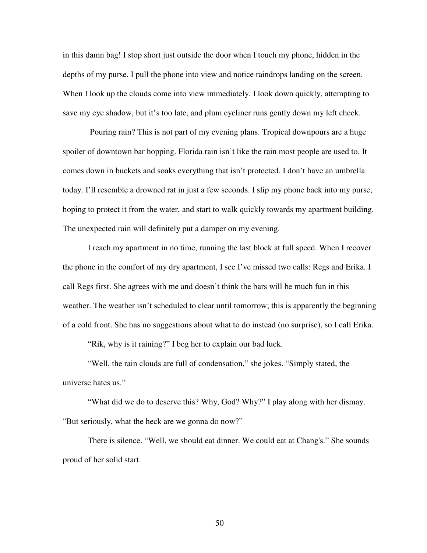in this damn bag! I stop short just outside the door when I touch my phone, hidden in the depths of my purse. I pull the phone into view and notice raindrops landing on the screen. When I look up the clouds come into view immediately. I look down quickly, attempting to save my eye shadow, but it's too late, and plum eyeliner runs gently down my left cheek.

 Pouring rain? This is not part of my evening plans. Tropical downpours are a huge spoiler of downtown bar hopping. Florida rain isn't like the rain most people are used to. It comes down in buckets and soaks everything that isn't protected. I don't have an umbrella today. I'll resemble a drowned rat in just a few seconds. I slip my phone back into my purse, hoping to protect it from the water, and start to walk quickly towards my apartment building. The unexpected rain will definitely put a damper on my evening.

 I reach my apartment in no time, running the last block at full speed. When I recover the phone in the comfort of my dry apartment, I see I've missed two calls: Regs and Erika. I call Regs first. She agrees with me and doesn't think the bars will be much fun in this weather. The weather isn't scheduled to clear until tomorrow; this is apparently the beginning of a cold front. She has no suggestions about what to do instead (no surprise), so I call Erika.

"Rik, why is it raining?" I beg her to explain our bad luck.

 "Well, the rain clouds are full of condensation," she jokes. "Simply stated, the universe hates us."

 "What did we do to deserve this? Why, God? Why?" I play along with her dismay. "But seriously, what the heck are we gonna do now?"

 There is silence. "Well, we should eat dinner. We could eat at Chang's." She sounds proud of her solid start.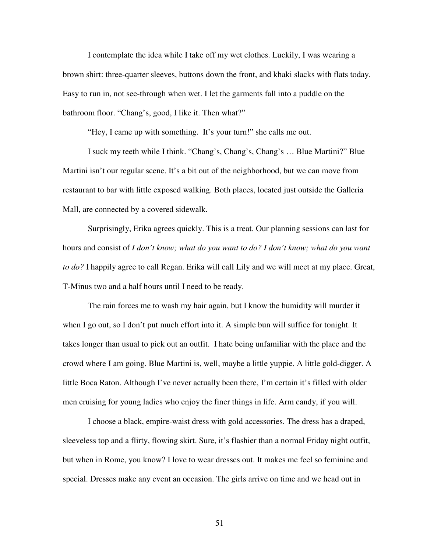I contemplate the idea while I take off my wet clothes. Luckily, I was wearing a brown shirt: three-quarter sleeves, buttons down the front, and khaki slacks with flats today. Easy to run in, not see-through when wet. I let the garments fall into a puddle on the bathroom floor. "Chang's, good, I like it. Then what?"

"Hey, I came up with something. It's your turn!" she calls me out.

 I suck my teeth while I think. "Chang's, Chang's, Chang's … Blue Martini?" Blue Martini isn't our regular scene. It's a bit out of the neighborhood, but we can move from restaurant to bar with little exposed walking. Both places, located just outside the Galleria Mall, are connected by a covered sidewalk.

 Surprisingly, Erika agrees quickly. This is a treat. Our planning sessions can last for hours and consist of *I don't know; what do you want to do? I don't know; what do you want to do?* I happily agree to call Regan. Erika will call Lily and we will meet at my place. Great, T-Minus two and a half hours until I need to be ready.

 The rain forces me to wash my hair again, but I know the humidity will murder it when I go out, so I don't put much effort into it. A simple bun will suffice for tonight. It takes longer than usual to pick out an outfit. I hate being unfamiliar with the place and the crowd where I am going. Blue Martini is, well, maybe a little yuppie. A little gold-digger. A little Boca Raton. Although I've never actually been there, I'm certain it's filled with older men cruising for young ladies who enjoy the finer things in life. Arm candy, if you will.

 I choose a black, empire-waist dress with gold accessories. The dress has a draped, sleeveless top and a flirty, flowing skirt. Sure, it's flashier than a normal Friday night outfit, but when in Rome, you know? I love to wear dresses out. It makes me feel so feminine and special. Dresses make any event an occasion. The girls arrive on time and we head out in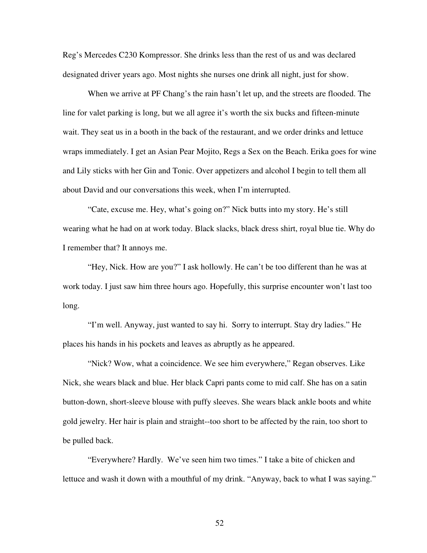Reg's Mercedes C230 Kompressor. She drinks less than the rest of us and was declared designated driver years ago. Most nights she nurses one drink all night, just for show.

 When we arrive at PF Chang's the rain hasn't let up, and the streets are flooded. The line for valet parking is long, but we all agree it's worth the six bucks and fifteen-minute wait. They seat us in a booth in the back of the restaurant, and we order drinks and lettuce wraps immediately. I get an Asian Pear Mojito, Regs a Sex on the Beach. Erika goes for wine and Lily sticks with her Gin and Tonic. Over appetizers and alcohol I begin to tell them all about David and our conversations this week, when I'm interrupted.

 "Cate, excuse me. Hey, what's going on?" Nick butts into my story. He's still wearing what he had on at work today. Black slacks, black dress shirt, royal blue tie. Why do I remember that? It annoys me.

 "Hey, Nick. How are you?" I ask hollowly. He can't be too different than he was at work today. I just saw him three hours ago. Hopefully, this surprise encounter won't last too long.

 "I'm well. Anyway, just wanted to say hi. Sorry to interrupt. Stay dry ladies." He places his hands in his pockets and leaves as abruptly as he appeared.

 "Nick? Wow, what a coincidence. We see him everywhere," Regan observes. Like Nick, she wears black and blue. Her black Capri pants come to mid calf. She has on a satin button-down, short-sleeve blouse with puffy sleeves. She wears black ankle boots and white gold jewelry. Her hair is plain and straight--too short to be affected by the rain, too short to be pulled back.

 "Everywhere? Hardly. We've seen him two times." I take a bite of chicken and lettuce and wash it down with a mouthful of my drink. "Anyway, back to what I was saying."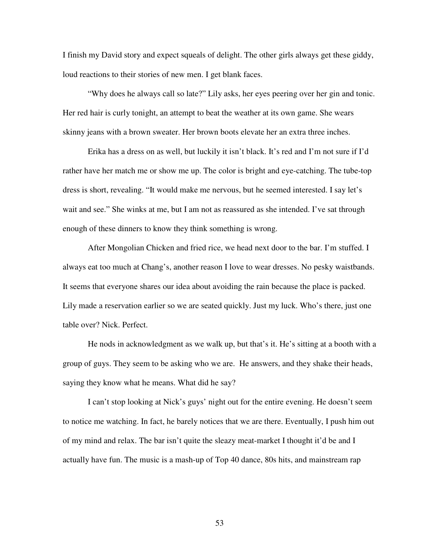I finish my David story and expect squeals of delight. The other girls always get these giddy, loud reactions to their stories of new men. I get blank faces.

 "Why does he always call so late?" Lily asks, her eyes peering over her gin and tonic. Her red hair is curly tonight, an attempt to beat the weather at its own game. She wears skinny jeans with a brown sweater. Her brown boots elevate her an extra three inches.

 Erika has a dress on as well, but luckily it isn't black. It's red and I'm not sure if I'd rather have her match me or show me up. The color is bright and eye-catching. The tube-top dress is short, revealing. "It would make me nervous, but he seemed interested. I say let's wait and see." She winks at me, but I am not as reassured as she intended. I've sat through enough of these dinners to know they think something is wrong.

 After Mongolian Chicken and fried rice, we head next door to the bar. I'm stuffed. I always eat too much at Chang's, another reason I love to wear dresses. No pesky waistbands. It seems that everyone shares our idea about avoiding the rain because the place is packed. Lily made a reservation earlier so we are seated quickly. Just my luck. Who's there, just one table over? Nick. Perfect.

 He nods in acknowledgment as we walk up, but that's it. He's sitting at a booth with a group of guys. They seem to be asking who we are. He answers, and they shake their heads, saying they know what he means. What did he say?

 I can't stop looking at Nick's guys' night out for the entire evening. He doesn't seem to notice me watching. In fact, he barely notices that we are there. Eventually, I push him out of my mind and relax. The bar isn't quite the sleazy meat-market I thought it'd be and I actually have fun. The music is a mash-up of Top 40 dance, 80s hits, and mainstream rap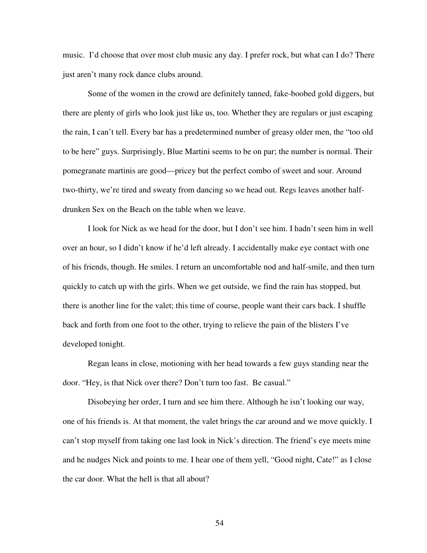music. I'd choose that over most club music any day. I prefer rock, but what can I do? There just aren't many rock dance clubs around.

Some of the women in the crowd are definitely tanned, fake-boobed gold diggers, but there are plenty of girls who look just like us, too. Whether they are regulars or just escaping the rain, I can't tell. Every bar has a predetermined number of greasy older men, the "too old to be here" guys. Surprisingly, Blue Martini seems to be on par; the number is normal. Their pomegranate martinis are good—pricey but the perfect combo of sweet and sour. Around two-thirty, we're tired and sweaty from dancing so we head out. Regs leaves another halfdrunken Sex on the Beach on the table when we leave.

I look for Nick as we head for the door, but I don't see him. I hadn't seen him in well over an hour, so I didn't know if he'd left already. I accidentally make eye contact with one of his friends, though. He smiles. I return an uncomfortable nod and half-smile, and then turn quickly to catch up with the girls. When we get outside, we find the rain has stopped, but there is another line for the valet; this time of course, people want their cars back. I shuffle back and forth from one foot to the other, trying to relieve the pain of the blisters I've developed tonight.

Regan leans in close, motioning with her head towards a few guys standing near the door. "Hey, is that Nick over there? Don't turn too fast. Be casual."

Disobeying her order, I turn and see him there. Although he isn't looking our way, one of his friends is. At that moment, the valet brings the car around and we move quickly. I can't stop myself from taking one last look in Nick's direction. The friend's eye meets mine and he nudges Nick and points to me. I hear one of them yell, "Good night, Cate!" as I close the car door. What the hell is that all about?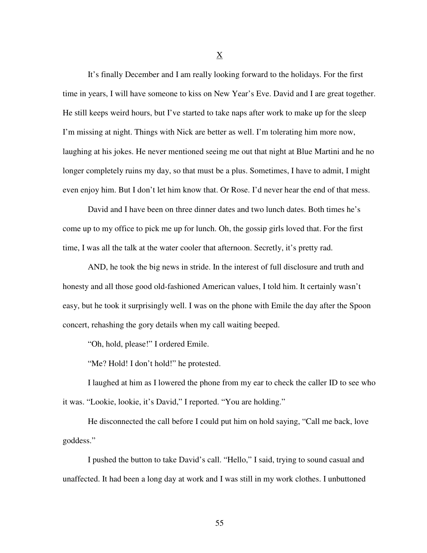It's finally December and I am really looking forward to the holidays. For the first time in years, I will have someone to kiss on New Year's Eve. David and I are great together. He still keeps weird hours, but I've started to take naps after work to make up for the sleep I'm missing at night. Things with Nick are better as well. I'm tolerating him more now, laughing at his jokes. He never mentioned seeing me out that night at Blue Martini and he no longer completely ruins my day, so that must be a plus. Sometimes, I have to admit, I might even enjoy him. But I don't let him know that. Or Rose. I'd never hear the end of that mess.

David and I have been on three dinner dates and two lunch dates. Both times he's come up to my office to pick me up for lunch. Oh, the gossip girls loved that. For the first time, I was all the talk at the water cooler that afternoon. Secretly, it's pretty rad.

 AND, he took the big news in stride. In the interest of full disclosure and truth and honesty and all those good old-fashioned American values, I told him. It certainly wasn't easy, but he took it surprisingly well. I was on the phone with Emile the day after the Spoon concert, rehashing the gory details when my call waiting beeped.

"Oh, hold, please!" I ordered Emile.

"Me? Hold! I don't hold!" he protested.

I laughed at him as I lowered the phone from my ear to check the caller ID to see who it was. "Lookie, lookie, it's David," I reported. "You are holding."

 He disconnected the call before I could put him on hold saying, "Call me back, love goddess."

I pushed the button to take David's call. "Hello," I said, trying to sound casual and unaffected. It had been a long day at work and I was still in my work clothes. I unbuttoned

X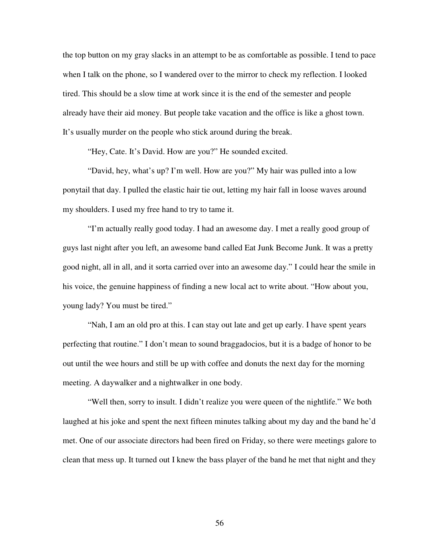the top button on my gray slacks in an attempt to be as comfortable as possible. I tend to pace when I talk on the phone, so I wandered over to the mirror to check my reflection. I looked tired. This should be a slow time at work since it is the end of the semester and people already have their aid money. But people take vacation and the office is like a ghost town. It's usually murder on the people who stick around during the break.

"Hey, Cate. It's David. How are you?" He sounded excited.

"David, hey, what's up? I'm well. How are you?" My hair was pulled into a low ponytail that day. I pulled the elastic hair tie out, letting my hair fall in loose waves around my shoulders. I used my free hand to try to tame it.

"I'm actually really good today. I had an awesome day. I met a really good group of guys last night after you left, an awesome band called Eat Junk Become Junk. It was a pretty good night, all in all, and it sorta carried over into an awesome day." I could hear the smile in his voice, the genuine happiness of finding a new local act to write about. "How about you, young lady? You must be tired."

"Nah, I am an old pro at this. I can stay out late and get up early. I have spent years perfecting that routine." I don't mean to sound braggadocios, but it is a badge of honor to be out until the wee hours and still be up with coffee and donuts the next day for the morning meeting. A daywalker and a nightwalker in one body.

"Well then, sorry to insult. I didn't realize you were queen of the nightlife." We both laughed at his joke and spent the next fifteen minutes talking about my day and the band he'd met. One of our associate directors had been fired on Friday, so there were meetings galore to clean that mess up. It turned out I knew the bass player of the band he met that night and they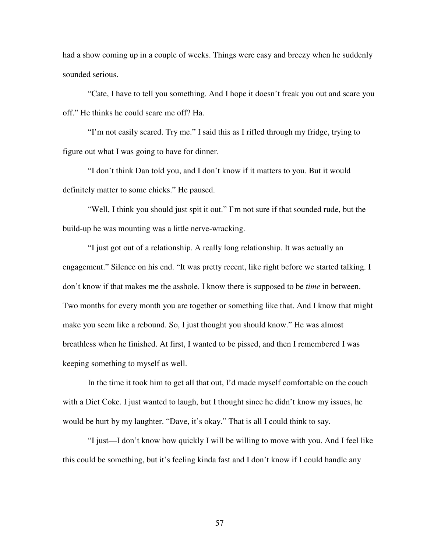had a show coming up in a couple of weeks. Things were easy and breezy when he suddenly sounded serious.

"Cate, I have to tell you something. And I hope it doesn't freak you out and scare you off." He thinks he could scare me off? Ha.

"I'm not easily scared. Try me." I said this as I rifled through my fridge, trying to figure out what I was going to have for dinner.

"I don't think Dan told you, and I don't know if it matters to you. But it would definitely matter to some chicks." He paused.

"Well, I think you should just spit it out." I'm not sure if that sounded rude, but the build-up he was mounting was a little nerve-wracking.

"I just got out of a relationship. A really long relationship. It was actually an engagement." Silence on his end. "It was pretty recent, like right before we started talking. I don't know if that makes me the asshole. I know there is supposed to be *time* in between. Two months for every month you are together or something like that. And I know that might make you seem like a rebound. So, I just thought you should know." He was almost breathless when he finished. At first, I wanted to be pissed, and then I remembered I was keeping something to myself as well.

In the time it took him to get all that out, I'd made myself comfortable on the couch with a Diet Coke. I just wanted to laugh, but I thought since he didn't know my issues, he would be hurt by my laughter. "Dave, it's okay." That is all I could think to say.

"I just—I don't know how quickly I will be willing to move with you. And I feel like this could be something, but it's feeling kinda fast and I don't know if I could handle any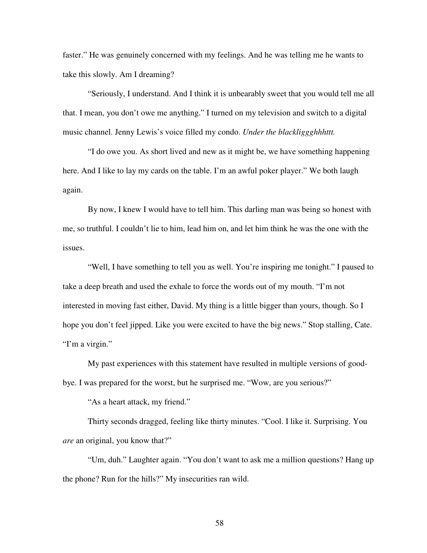faster." He was genuinely concerned with my feelings. And he was telling me he wants to take this slowly. Am I dreaming?

"Seriously, I understand. And I think it is unbearably sweet that you would tell me all that. I mean, you don't owe me anything." I turned on my television and switch to a digital music channel. Jenny Lewis's voice filled my condo. *Under the blackliggghhhttt.* 

"I do owe you. As short lived and new as it might be, we have something happening here. And I like to lay my cards on the table. I'm an awful poker player." We both laugh again.

By now, I knew I would have to tell him. This darling man was being so honest with me, so truthful. I couldn't lie to him, lead him on, and let him think he was the one with the issues.

"Well, I have something to tell you as well. You're inspiring me tonight." I paused to take a deep breath and used the exhale to force the words out of my mouth. "I'm not interested in moving fast either, David. My thing is a little bigger than yours, though. So I hope you don't feel jipped. Like you were excited to have the big news." Stop stalling, Cate. "I'm a virgin."

My past experiences with this statement have resulted in multiple versions of goodbye. I was prepared for the worst, but he surprised me. "Wow, are you serious?"

"As a heart attack, my friend."

Thirty seconds dragged, feeling like thirty minutes. "Cool. I like it. Surprising. You *are* an original, you know that?"

"Um, duh." Laughter again. "You don't want to ask me a million questions? Hang up the phone? Run for the hills?" My insecurities ran wild.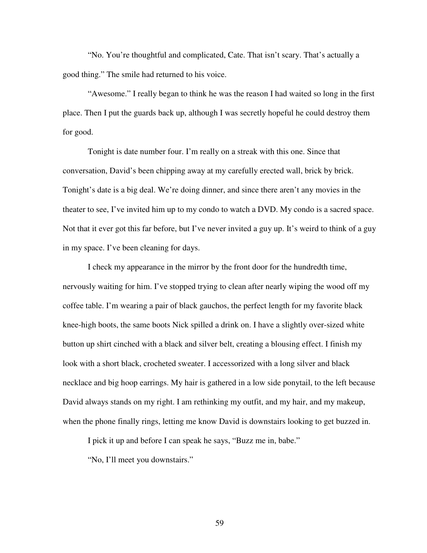"No. You're thoughtful and complicated, Cate. That isn't scary. That's actually a good thing." The smile had returned to his voice.

"Awesome." I really began to think he was the reason I had waited so long in the first place. Then I put the guards back up, although I was secretly hopeful he could destroy them for good.

Tonight is date number four. I'm really on a streak with this one. Since that conversation, David's been chipping away at my carefully erected wall, brick by brick. Tonight's date is a big deal. We're doing dinner, and since there aren't any movies in the theater to see, I've invited him up to my condo to watch a DVD. My condo is a sacred space. Not that it ever got this far before, but I've never invited a guy up. It's weird to think of a guy in my space. I've been cleaning for days.

I check my appearance in the mirror by the front door for the hundredth time, nervously waiting for him. I've stopped trying to clean after nearly wiping the wood off my coffee table. I'm wearing a pair of black gauchos, the perfect length for my favorite black knee-high boots, the same boots Nick spilled a drink on. I have a slightly over-sized white button up shirt cinched with a black and silver belt, creating a blousing effect. I finish my look with a short black, crocheted sweater. I accessorized with a long silver and black necklace and big hoop earrings. My hair is gathered in a low side ponytail, to the left because David always stands on my right. I am rethinking my outfit, and my hair, and my makeup, when the phone finally rings, letting me know David is downstairs looking to get buzzed in.

I pick it up and before I can speak he says, "Buzz me in, babe."

"No, I'll meet you downstairs."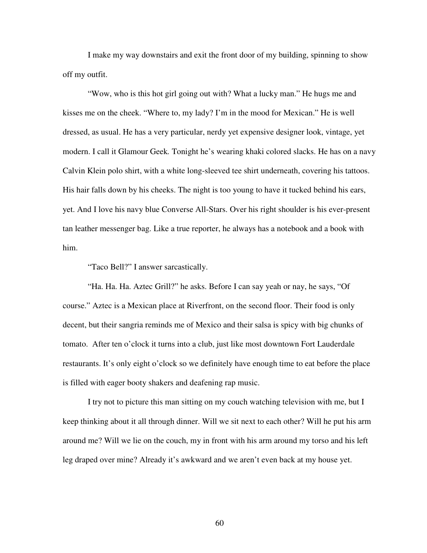I make my way downstairs and exit the front door of my building, spinning to show off my outfit.

"Wow, who is this hot girl going out with? What a lucky man." He hugs me and kisses me on the cheek. "Where to, my lady? I'm in the mood for Mexican." He is well dressed, as usual. He has a very particular, nerdy yet expensive designer look, vintage, yet modern. I call it Glamour Geek*.* Tonight he's wearing khaki colored slacks. He has on a navy Calvin Klein polo shirt, with a white long-sleeved tee shirt underneath, covering his tattoos. His hair falls down by his cheeks. The night is too young to have it tucked behind his ears, yet. And I love his navy blue Converse All-Stars. Over his right shoulder is his ever-present tan leather messenger bag. Like a true reporter, he always has a notebook and a book with him.

"Taco Bell?" I answer sarcastically.

"Ha. Ha. Ha. Aztec Grill?" he asks. Before I can say yeah or nay, he says, "Of course." Aztec is a Mexican place at Riverfront, on the second floor. Their food is only decent, but their sangria reminds me of Mexico and their salsa is spicy with big chunks of tomato. After ten o'clock it turns into a club, just like most downtown Fort Lauderdale restaurants. It's only eight o'clock so we definitely have enough time to eat before the place is filled with eager booty shakers and deafening rap music.

I try not to picture this man sitting on my couch watching television with me, but I keep thinking about it all through dinner. Will we sit next to each other? Will he put his arm around me? Will we lie on the couch, my in front with his arm around my torso and his left leg draped over mine? Already it's awkward and we aren't even back at my house yet.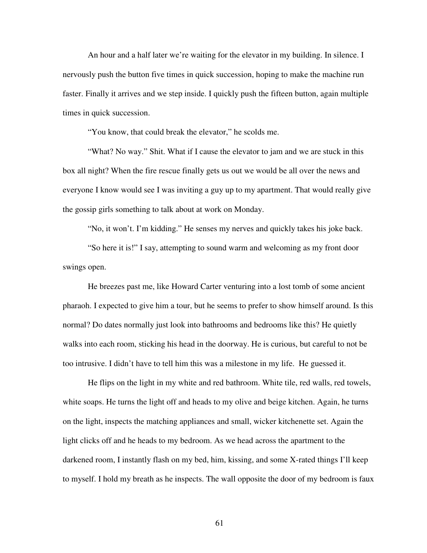An hour and a half later we're waiting for the elevator in my building. In silence. I nervously push the button five times in quick succession, hoping to make the machine run faster. Finally it arrives and we step inside. I quickly push the fifteen button, again multiple times in quick succession.

"You know, that could break the elevator," he scolds me.

"What? No way." Shit. What if I cause the elevator to jam and we are stuck in this box all night? When the fire rescue finally gets us out we would be all over the news and everyone I know would see I was inviting a guy up to my apartment. That would really give the gossip girls something to talk about at work on Monday.

"No, it won't. I'm kidding." He senses my nerves and quickly takes his joke back.

"So here it is!" I say, attempting to sound warm and welcoming as my front door swings open.

He breezes past me, like Howard Carter venturing into a lost tomb of some ancient pharaoh. I expected to give him a tour, but he seems to prefer to show himself around. Is this normal? Do dates normally just look into bathrooms and bedrooms like this? He quietly walks into each room, sticking his head in the doorway. He is curious, but careful to not be too intrusive. I didn't have to tell him this was a milestone in my life. He guessed it.

He flips on the light in my white and red bathroom. White tile, red walls, red towels, white soaps. He turns the light off and heads to my olive and beige kitchen. Again, he turns on the light, inspects the matching appliances and small, wicker kitchenette set. Again the light clicks off and he heads to my bedroom. As we head across the apartment to the darkened room, I instantly flash on my bed, him, kissing, and some X-rated things I'll keep to myself. I hold my breath as he inspects. The wall opposite the door of my bedroom is faux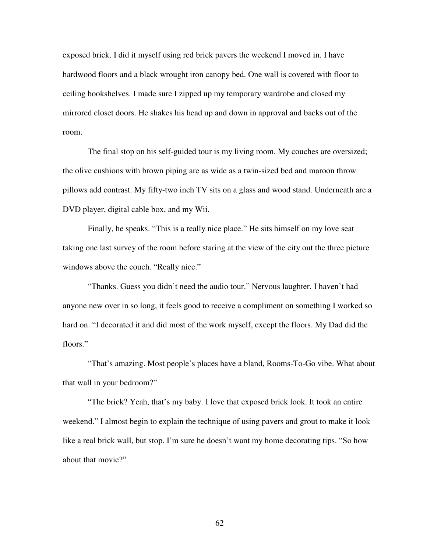exposed brick. I did it myself using red brick pavers the weekend I moved in. I have hardwood floors and a black wrought iron canopy bed. One wall is covered with floor to ceiling bookshelves. I made sure I zipped up my temporary wardrobe and closed my mirrored closet doors. He shakes his head up and down in approval and backs out of the room.

The final stop on his self-guided tour is my living room. My couches are oversized; the olive cushions with brown piping are as wide as a twin-sized bed and maroon throw pillows add contrast. My fifty-two inch TV sits on a glass and wood stand. Underneath are a DVD player, digital cable box, and my Wii.

Finally, he speaks. "This is a really nice place." He sits himself on my love seat taking one last survey of the room before staring at the view of the city out the three picture windows above the couch. "Really nice."

"Thanks. Guess you didn't need the audio tour." Nervous laughter. I haven't had anyone new over in so long, it feels good to receive a compliment on something I worked so hard on. "I decorated it and did most of the work myself, except the floors. My Dad did the floors."

"That's amazing. Most people's places have a bland, Rooms-To-Go vibe. What about that wall in your bedroom?"

"The brick? Yeah, that's my baby. I love that exposed brick look. It took an entire weekend." I almost begin to explain the technique of using pavers and grout to make it look like a real brick wall, but stop. I'm sure he doesn't want my home decorating tips. "So how about that movie?"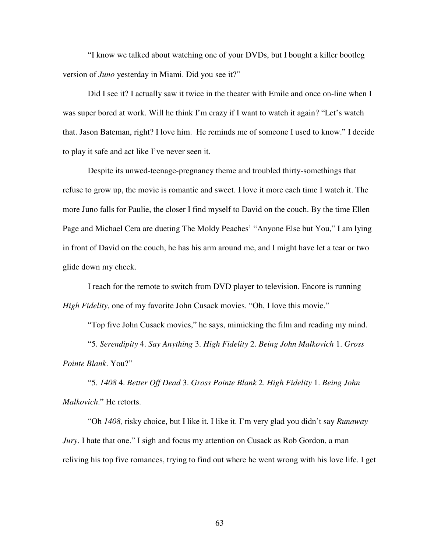"I know we talked about watching one of your DVDs, but I bought a killer bootleg version of *Juno* yesterday in Miami. Did you see it?"

Did I see it? I actually saw it twice in the theater with Emile and once on-line when I was super bored at work. Will he think I'm crazy if I want to watch it again? "Let's watch that. Jason Bateman, right? I love him. He reminds me of someone I used to know." I decide to play it safe and act like I've never seen it.

Despite its unwed-teenage-pregnancy theme and troubled thirty-somethings that refuse to grow up, the movie is romantic and sweet. I love it more each time I watch it. The more Juno falls for Paulie, the closer I find myself to David on the couch. By the time Ellen Page and Michael Cera are dueting The Moldy Peaches' "Anyone Else but You," I am lying in front of David on the couch, he has his arm around me, and I might have let a tear or two glide down my cheek.

I reach for the remote to switch from DVD player to television. Encore is running *High Fidelity*, one of my favorite John Cusack movies. "Oh, I love this movie."

"Top five John Cusack movies," he says, mimicking the film and reading my mind. "5. *Serendipity* 4. *Say Anything* 3. *High Fidelity* 2. *Being John Malkovich* 1. *Gross Pointe Blank*. You?"

"5. *1408* 4. *Better Off Dead* 3. *Gross Pointe Blank* 2. *High Fidelity* 1. *Being John Malkovich*." He retorts.

"Oh *1408,* risky choice, but I like it. I like it. I'm very glad you didn't say *Runaway Jury*. I hate that one." I sigh and focus my attention on Cusack as Rob Gordon, a man reliving his top five romances, trying to find out where he went wrong with his love life. I get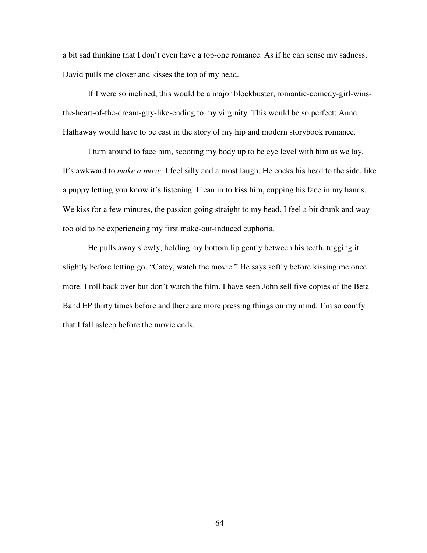a bit sad thinking that I don't even have a top-one romance. As if he can sense my sadness, David pulls me closer and kisses the top of my head.

If I were so inclined, this would be a major blockbuster, romantic-comedy-girl-winsthe-heart-of-the-dream-guy-like-ending to my virginity. This would be so perfect; Anne Hathaway would have to be cast in the story of my hip and modern storybook romance.

I turn around to face him, scooting my body up to be eye level with him as we lay. It's awkward to *make a move*. I feel silly and almost laugh. He cocks his head to the side, like a puppy letting you know it's listening. I lean in to kiss him, cupping his face in my hands. We kiss for a few minutes, the passion going straight to my head. I feel a bit drunk and way too old to be experiencing my first make-out-induced euphoria.

He pulls away slowly, holding my bottom lip gently between his teeth, tugging it slightly before letting go. "Catey, watch the movie." He says softly before kissing me once more. I roll back over but don't watch the film. I have seen John sell five copies of the Beta Band EP thirty times before and there are more pressing things on my mind. I'm so comfy that I fall asleep before the movie ends.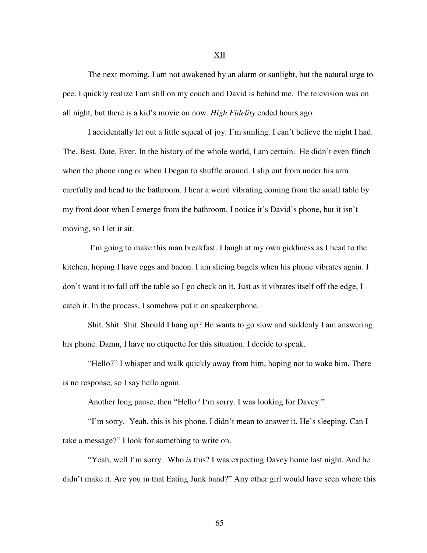The next morning, I am not awakened by an alarm or sunlight, but the natural urge to pee. I quickly realize I am still on my couch and David is behind me. The television was on all night, but there is a kid's movie on now. *High Fidelity* ended hours ago.

I accidentally let out a little squeal of joy. I'm smiling. I can't believe the night I had. The. Best. Date. Ever. In the history of the whole world, I am certain. He didn't even flinch when the phone rang or when I began to shuffle around. I slip out from under his arm carefully and head to the bathroom. I hear a weird vibrating coming from the small table by my front door when I emerge from the bathroom. I notice it's David's phone, but it isn't moving, so I let it sit.

 I'm going to make this man breakfast. I laugh at my own giddiness as I head to the kitchen, hoping I have eggs and bacon. I am slicing bagels when his phone vibrates again. I don't want it to fall off the table so I go check on it. Just as it vibrates itself off the edge, I catch it. In the process, I somehow put it on speakerphone.

Shit. Shit. Shit. Should I hang up? He wants to go slow and suddenly I am answering his phone. Damn, I have no etiquette for this situation. I decide to speak.

"Hello?" I whisper and walk quickly away from him, hoping not to wake him. There is no response, so I say hello again.

Another long pause, then "Hello? I'm sorry. I was looking for Davey."

"I'm sorry. Yeah, this is his phone. I didn't mean to answer it. He's sleeping. Can I take a message?" I look for something to write on.

"Yeah, well I'm sorry. Who *is* this? I was expecting Davey home last night. And he didn't make it. Are you in that Eating Junk band?" Any other girl would have seen where this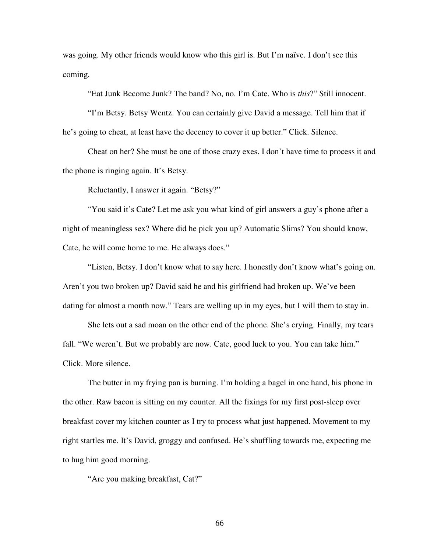was going. My other friends would know who this girl is. But I'm naïve. I don't see this coming.

"Eat Junk Become Junk? The band? No, no. I'm Cate. Who is *this*?" Still innocent.

"I'm Betsy. Betsy Wentz. You can certainly give David a message. Tell him that if he's going to cheat, at least have the decency to cover it up better." Click. Silence.

Cheat on her? She must be one of those crazy exes. I don't have time to process it and the phone is ringing again. It's Betsy.

Reluctantly, I answer it again. "Betsy?"

"You said it's Cate? Let me ask you what kind of girl answers a guy's phone after a night of meaningless sex? Where did he pick you up? Automatic Slims? You should know, Cate, he will come home to me. He always does."

"Listen, Betsy. I don't know what to say here. I honestly don't know what's going on. Aren't you two broken up? David said he and his girlfriend had broken up. We've been dating for almost a month now." Tears are welling up in my eyes, but I will them to stay in.

She lets out a sad moan on the other end of the phone. She's crying. Finally, my tears fall. "We weren't. But we probably are now. Cate, good luck to you. You can take him." Click. More silence.

The butter in my frying pan is burning. I'm holding a bagel in one hand, his phone in the other. Raw bacon is sitting on my counter. All the fixings for my first post-sleep over breakfast cover my kitchen counter as I try to process what just happened. Movement to my right startles me. It's David, groggy and confused. He's shuffling towards me, expecting me to hug him good morning.

"Are you making breakfast, Cat?"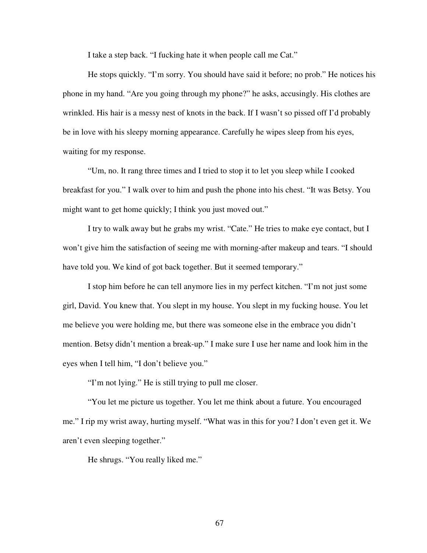I take a step back. "I fucking hate it when people call me Cat."

He stops quickly. "I'm sorry. You should have said it before; no prob." He notices his phone in my hand. "Are you going through my phone?" he asks, accusingly. His clothes are wrinkled. His hair is a messy nest of knots in the back. If I wasn't so pissed off I'd probably be in love with his sleepy morning appearance. Carefully he wipes sleep from his eyes, waiting for my response.

"Um, no. It rang three times and I tried to stop it to let you sleep while I cooked breakfast for you." I walk over to him and push the phone into his chest. "It was Betsy. You might want to get home quickly; I think you just moved out."

I try to walk away but he grabs my wrist. "Cate." He tries to make eye contact, but I won't give him the satisfaction of seeing me with morning-after makeup and tears. "I should have told you. We kind of got back together. But it seemed temporary."

I stop him before he can tell anymore lies in my perfect kitchen. "I'm not just some girl, David. You knew that. You slept in my house. You slept in my fucking house. You let me believe you were holding me, but there was someone else in the embrace you didn't mention. Betsy didn't mention a break-up." I make sure I use her name and look him in the eyes when I tell him, "I don't believe you."

"I'm not lying." He is still trying to pull me closer.

"You let me picture us together. You let me think about a future. You encouraged me." I rip my wrist away, hurting myself. "What was in this for you? I don't even get it. We aren't even sleeping together."

He shrugs. "You really liked me."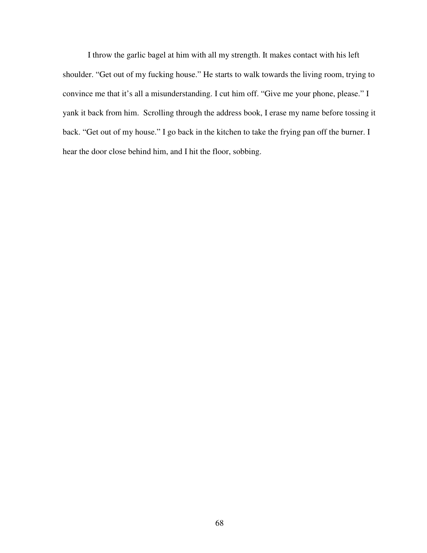I throw the garlic bagel at him with all my strength. It makes contact with his left shoulder. "Get out of my fucking house." He starts to walk towards the living room, trying to convince me that it's all a misunderstanding. I cut him off. "Give me your phone, please." I yank it back from him. Scrolling through the address book, I erase my name before tossing it back. "Get out of my house." I go back in the kitchen to take the frying pan off the burner. I hear the door close behind him, and I hit the floor, sobbing.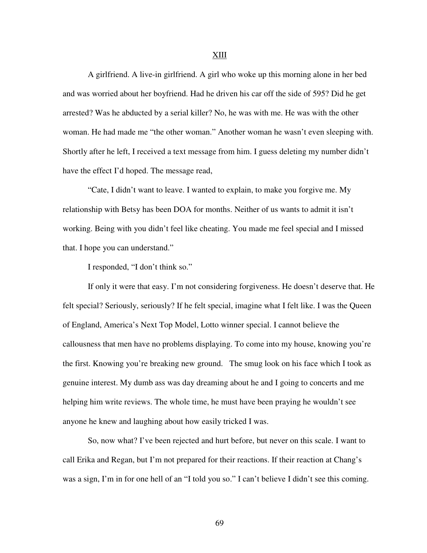A girlfriend. A live-in girlfriend. A girl who woke up this morning alone in her bed and was worried about her boyfriend. Had he driven his car off the side of 595? Did he get arrested? Was he abducted by a serial killer? No, he was with me. He was with the other woman. He had made me "the other woman." Another woman he wasn't even sleeping with. Shortly after he left, I received a text message from him. I guess deleting my number didn't have the effect I'd hoped. The message read,

"Cate, I didn't want to leave. I wanted to explain, to make you forgive me. My relationship with Betsy has been DOA for months. Neither of us wants to admit it isn't working. Being with you didn't feel like cheating. You made me feel special and I missed that. I hope you can understand."

I responded, "I don't think so."

If only it were that easy. I'm not considering forgiveness. He doesn't deserve that. He felt special? Seriously, seriously? If he felt special, imagine what I felt like. I was the Queen of England, America's Next Top Model, Lotto winner special. I cannot believe the callousness that men have no problems displaying. To come into my house, knowing you're the first. Knowing you're breaking new ground. The smug look on his face which I took as genuine interest. My dumb ass was day dreaming about he and I going to concerts and me helping him write reviews. The whole time, he must have been praying he wouldn't see anyone he knew and laughing about how easily tricked I was.

So, now what? I've been rejected and hurt before, but never on this scale. I want to call Erika and Regan, but I'm not prepared for their reactions. If their reaction at Chang's was a sign, I'm in for one hell of an "I told you so." I can't believe I didn't see this coming.

## XIII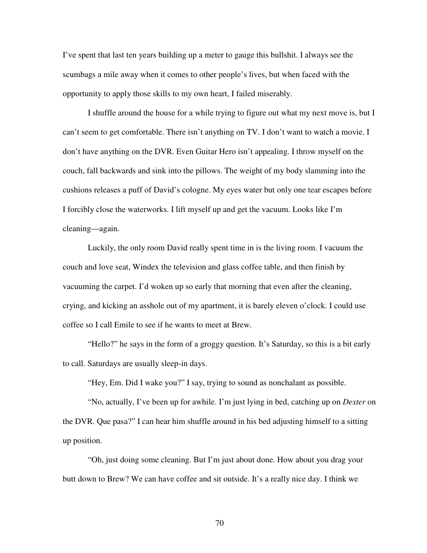I've spent that last ten years building up a meter to gauge this bullshit. I always see the scumbags a mile away when it comes to other people's lives, but when faced with the opportunity to apply those skills to my own heart, I failed miserably.

I shuffle around the house for a while trying to figure out what my next move is, but I can't seem to get comfortable. There isn't anything on TV. I don't want to watch a movie. I don't have anything on the DVR. Even Guitar Hero isn't appealing. I throw myself on the couch, fall backwards and sink into the pillows. The weight of my body slamming into the cushions releases a puff of David's cologne. My eyes water but only one tear escapes before I forcibly close the waterworks. I lift myself up and get the vacuum. Looks like I'm cleaning—again.

Luckily, the only room David really spent time in is the living room. I vacuum the couch and love seat, Windex the television and glass coffee table, and then finish by vacuuming the carpet. I'd woken up so early that morning that even after the cleaning, crying, and kicking an asshole out of my apartment, it is barely eleven o'clock. I could use coffee so I call Emile to see if he wants to meet at Brew.

"Hello?" he says in the form of a groggy question. It's Saturday, so this is a bit early to call. Saturdays are usually sleep-in days.

"Hey, Em. Did I wake you?" I say, trying to sound as nonchalant as possible.

"No, actually, I've been up for awhile. I'm just lying in bed, catching up on *Dexter* on the DVR. Que pasa?" I can hear him shuffle around in his bed adjusting himself to a sitting up position.

"Oh, just doing some cleaning. But I'm just about done. How about you drag your butt down to Brew? We can have coffee and sit outside. It's a really nice day. I think we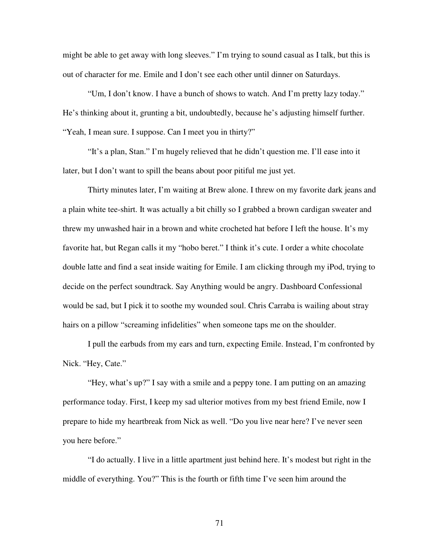might be able to get away with long sleeves." I'm trying to sound casual as I talk, but this is out of character for me. Emile and I don't see each other until dinner on Saturdays.

"Um, I don't know. I have a bunch of shows to watch. And I'm pretty lazy today." He's thinking about it, grunting a bit, undoubtedly, because he's adjusting himself further. "Yeah, I mean sure. I suppose. Can I meet you in thirty?"

"It's a plan, Stan." I'm hugely relieved that he didn't question me. I'll ease into it later, but I don't want to spill the beans about poor pitiful me just yet.

Thirty minutes later, I'm waiting at Brew alone. I threw on my favorite dark jeans and a plain white tee-shirt. It was actually a bit chilly so I grabbed a brown cardigan sweater and threw my unwashed hair in a brown and white crocheted hat before I left the house. It's my favorite hat, but Regan calls it my "hobo beret." I think it's cute. I order a white chocolate double latte and find a seat inside waiting for Emile. I am clicking through my iPod, trying to decide on the perfect soundtrack. Say Anything would be angry. Dashboard Confessional would be sad, but I pick it to soothe my wounded soul. Chris Carraba is wailing about stray hairs on a pillow "screaming infidelities" when someone taps me on the shoulder.

I pull the earbuds from my ears and turn, expecting Emile. Instead, I'm confronted by Nick. "Hey, Cate."

"Hey, what's up?" I say with a smile and a peppy tone. I am putting on an amazing performance today. First, I keep my sad ulterior motives from my best friend Emile, now I prepare to hide my heartbreak from Nick as well. "Do you live near here? I've never seen you here before."

"I do actually. I live in a little apartment just behind here. It's modest but right in the middle of everything. You?" This is the fourth or fifth time I've seen him around the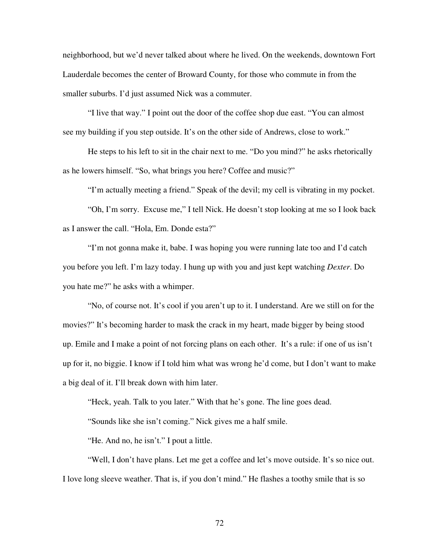neighborhood, but we'd never talked about where he lived. On the weekends, downtown Fort Lauderdale becomes the center of Broward County, for those who commute in from the smaller suburbs. I'd just assumed Nick was a commuter.

"I live that way." I point out the door of the coffee shop due east. "You can almost see my building if you step outside. It's on the other side of Andrews, close to work."

He steps to his left to sit in the chair next to me. "Do you mind?" he asks rhetorically as he lowers himself. "So, what brings you here? Coffee and music?"

"I'm actually meeting a friend." Speak of the devil; my cell is vibrating in my pocket.

"Oh, I'm sorry. Excuse me," I tell Nick. He doesn't stop looking at me so I look back as I answer the call. "Hola, Em. Donde esta?"

"I'm not gonna make it, babe. I was hoping you were running late too and I'd catch you before you left. I'm lazy today. I hung up with you and just kept watching *Dexter*. Do you hate me?" he asks with a whimper.

"No, of course not. It's cool if you aren't up to it. I understand. Are we still on for the movies?" It's becoming harder to mask the crack in my heart, made bigger by being stood up. Emile and I make a point of not forcing plans on each other. It's a rule: if one of us isn't up for it, no biggie. I know if I told him what was wrong he'd come, but I don't want to make a big deal of it. I'll break down with him later.

"Heck, yeah. Talk to you later." With that he's gone. The line goes dead.

"Sounds like she isn't coming." Nick gives me a half smile.

"He. And no, he isn't." I pout a little.

"Well, I don't have plans. Let me get a coffee and let's move outside. It's so nice out. I love long sleeve weather. That is, if you don't mind." He flashes a toothy smile that is so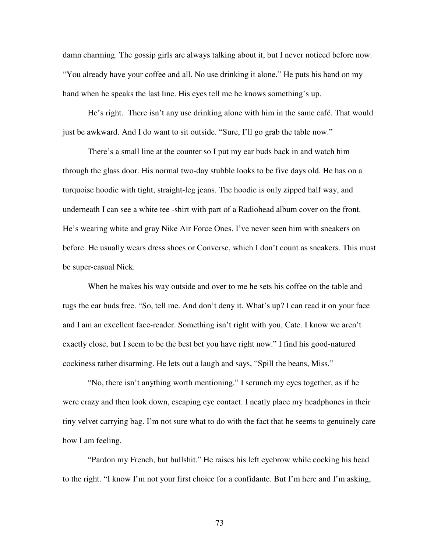damn charming. The gossip girls are always talking about it, but I never noticed before now. "You already have your coffee and all. No use drinking it alone." He puts his hand on my hand when he speaks the last line. His eyes tell me he knows something's up.

He's right. There isn't any use drinking alone with him in the same café. That would just be awkward. And I do want to sit outside. "Sure, I'll go grab the table now."

There's a small line at the counter so I put my ear buds back in and watch him through the glass door. His normal two-day stubble looks to be five days old. He has on a turquoise hoodie with tight, straight-leg jeans. The hoodie is only zipped half way, and underneath I can see a white tee -shirt with part of a Radiohead album cover on the front. He's wearing white and gray Nike Air Force Ones. I've never seen him with sneakers on before. He usually wears dress shoes or Converse, which I don't count as sneakers. This must be super-casual Nick.

When he makes his way outside and over to me he sets his coffee on the table and tugs the ear buds free. "So, tell me. And don't deny it. What's up? I can read it on your face and I am an excellent face-reader. Something isn't right with you, Cate. I know we aren't exactly close, but I seem to be the best bet you have right now." I find his good-natured cockiness rather disarming. He lets out a laugh and says, "Spill the beans, Miss."

"No, there isn't anything worth mentioning." I scrunch my eyes together, as if he were crazy and then look down, escaping eye contact. I neatly place my headphones in their tiny velvet carrying bag. I'm not sure what to do with the fact that he seems to genuinely care how I am feeling.

"Pardon my French, but bullshit." He raises his left eyebrow while cocking his head to the right. "I know I'm not your first choice for a confidante. But I'm here and I'm asking,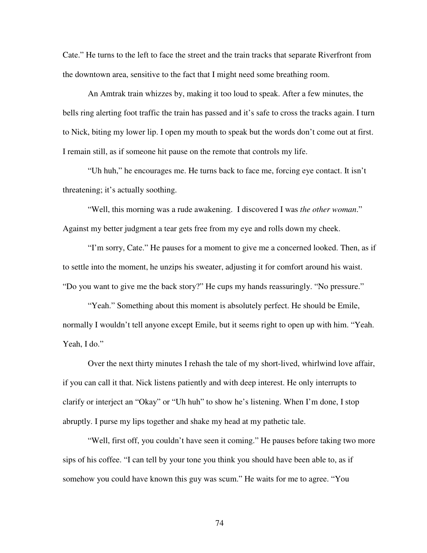Cate." He turns to the left to face the street and the train tracks that separate Riverfront from the downtown area, sensitive to the fact that I might need some breathing room.

An Amtrak train whizzes by, making it too loud to speak. After a few minutes, the bells ring alerting foot traffic the train has passed and it's safe to cross the tracks again. I turn to Nick, biting my lower lip. I open my mouth to speak but the words don't come out at first. I remain still, as if someone hit pause on the remote that controls my life.

"Uh huh," he encourages me. He turns back to face me, forcing eye contact. It isn't threatening; it's actually soothing.

"Well, this morning was a rude awakening. I discovered I was *the other woman*." Against my better judgment a tear gets free from my eye and rolls down my cheek.

"I'm sorry, Cate." He pauses for a moment to give me a concerned looked. Then, as if to settle into the moment, he unzips his sweater, adjusting it for comfort around his waist. "Do you want to give me the back story?" He cups my hands reassuringly. "No pressure."

"Yeah." Something about this moment is absolutely perfect. He should be Emile, normally I wouldn't tell anyone except Emile, but it seems right to open up with him. "Yeah. Yeah, I do."

Over the next thirty minutes I rehash the tale of my short-lived, whirlwind love affair, if you can call it that. Nick listens patiently and with deep interest. He only interrupts to clarify or interject an "Okay" or "Uh huh" to show he's listening. When I'm done, I stop abruptly. I purse my lips together and shake my head at my pathetic tale.

"Well, first off, you couldn't have seen it coming." He pauses before taking two more sips of his coffee. "I can tell by your tone you think you should have been able to, as if somehow you could have known this guy was scum." He waits for me to agree. "You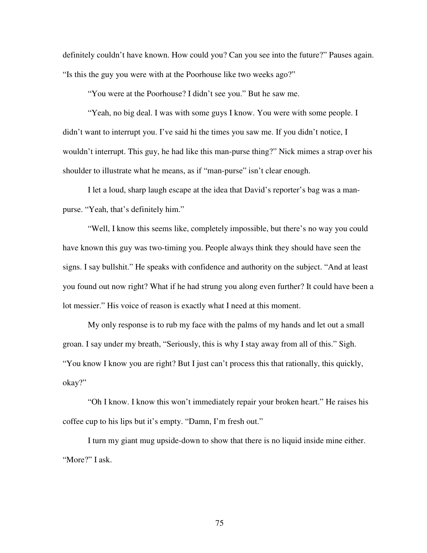definitely couldn't have known. How could you? Can you see into the future?" Pauses again. "Is this the guy you were with at the Poorhouse like two weeks ago?"

"You were at the Poorhouse? I didn't see you." But he saw me.

"Yeah, no big deal. I was with some guys I know. You were with some people. I didn't want to interrupt you. I've said hi the times you saw me. If you didn't notice, I wouldn't interrupt. This guy, he had like this man-purse thing?" Nick mimes a strap over his shoulder to illustrate what he means, as if "man-purse" isn't clear enough.

I let a loud, sharp laugh escape at the idea that David's reporter's bag was a manpurse. "Yeah, that's definitely him."

"Well, I know this seems like, completely impossible, but there's no way you could have known this guy was two-timing you. People always think they should have seen the signs. I say bullshit." He speaks with confidence and authority on the subject. "And at least you found out now right? What if he had strung you along even further? It could have been a lot messier." His voice of reason is exactly what I need at this moment.

My only response is to rub my face with the palms of my hands and let out a small groan. I say under my breath, "Seriously, this is why I stay away from all of this." Sigh. "You know I know you are right? But I just can't process this that rationally, this quickly, okay?"

"Oh I know. I know this won't immediately repair your broken heart." He raises his coffee cup to his lips but it's empty. "Damn, I'm fresh out."

I turn my giant mug upside-down to show that there is no liquid inside mine either. "More?" I ask.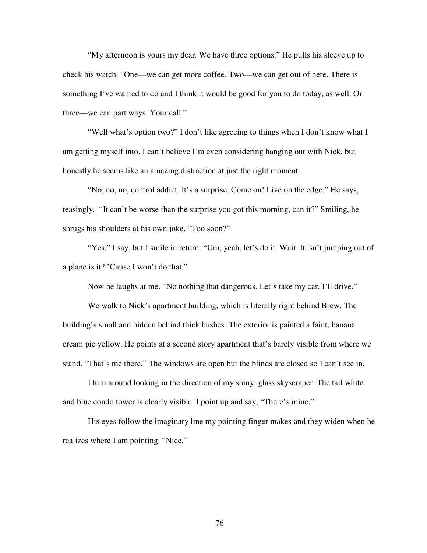"My afternoon is yours my dear. We have three options." He pulls his sleeve up to check his watch. "One—we can get more coffee. Two—we can get out of here. There is something I've wanted to do and I think it would be good for you to do today, as well. Or three—we can part ways. Your call."

"Well what's option two?" I don't like agreeing to things when I don't know what I am getting myself into. I can't believe I'm even considering hanging out with Nick, but honestly he seems like an amazing distraction at just the right moment.

"No, no, no, control addict. It's a surprise. Come on! Live on the edge." He says, teasingly. "It can't be worse than the surprise you got this morning, can it?" Smiling, he shrugs his shoulders at his own joke. "Too soon?"

"Yes," I say, but I smile in return. "Um, yeah, let's do it. Wait. It isn't jumping out of a plane is it? 'Cause I won't do that."

Now he laughs at me. "No nothing that dangerous. Let's take my car. I'll drive."

We walk to Nick's apartment building, which is literally right behind Brew. The building's small and hidden behind thick bushes. The exterior is painted a faint, banana cream pie yellow. He points at a second story apartment that's barely visible from where we stand. "That's me there." The windows are open but the blinds are closed so I can't see in.

I turn around looking in the direction of my shiny, glass skyscraper. The tall white and blue condo tower is clearly visible. I point up and say, "There's mine."

His eyes follow the imaginary line my pointing finger makes and they widen when he realizes where I am pointing. "Nice."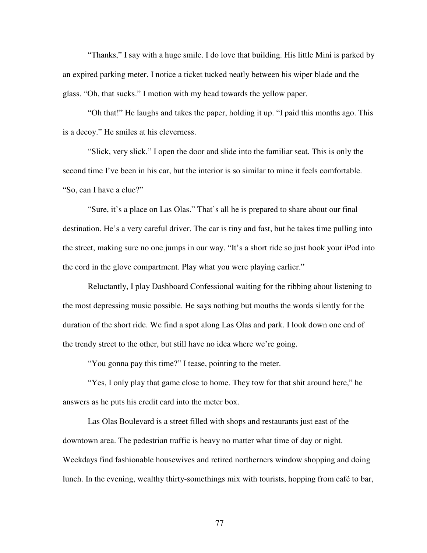"Thanks," I say with a huge smile. I do love that building. His little Mini is parked by an expired parking meter. I notice a ticket tucked neatly between his wiper blade and the glass. "Oh, that sucks." I motion with my head towards the yellow paper.

"Oh that!" He laughs and takes the paper, holding it up. "I paid this months ago. This is a decoy." He smiles at his cleverness.

"Slick, very slick." I open the door and slide into the familiar seat. This is only the second time I've been in his car, but the interior is so similar to mine it feels comfortable. "So, can I have a clue?"

"Sure, it's a place on Las Olas." That's all he is prepared to share about our final destination. He's a very careful driver. The car is tiny and fast, but he takes time pulling into the street, making sure no one jumps in our way. "It's a short ride so just hook your iPod into the cord in the glove compartment. Play what you were playing earlier."

Reluctantly, I play Dashboard Confessional waiting for the ribbing about listening to the most depressing music possible. He says nothing but mouths the words silently for the duration of the short ride. We find a spot along Las Olas and park. I look down one end of the trendy street to the other, but still have no idea where we're going.

"You gonna pay this time?" I tease, pointing to the meter.

"Yes, I only play that game close to home. They tow for that shit around here," he answers as he puts his credit card into the meter box.

Las Olas Boulevard is a street filled with shops and restaurants just east of the downtown area. The pedestrian traffic is heavy no matter what time of day or night. Weekdays find fashionable housewives and retired northerners window shopping and doing lunch. In the evening, wealthy thirty-somethings mix with tourists, hopping from café to bar,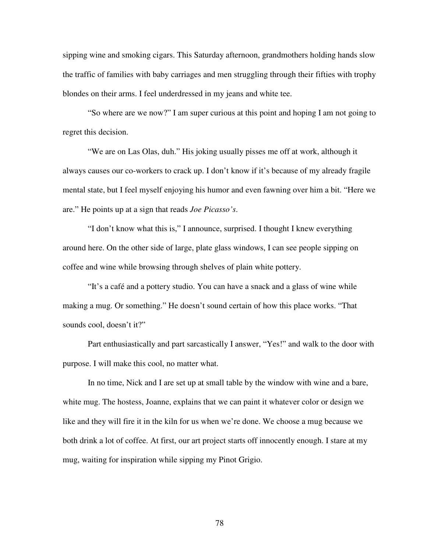sipping wine and smoking cigars. This Saturday afternoon, grandmothers holding hands slow the traffic of families with baby carriages and men struggling through their fifties with trophy blondes on their arms. I feel underdressed in my jeans and white tee.

"So where are we now?" I am super curious at this point and hoping I am not going to regret this decision.

"We are on Las Olas, duh." His joking usually pisses me off at work, although it always causes our co-workers to crack up. I don't know if it's because of my already fragile mental state, but I feel myself enjoying his humor and even fawning over him a bit. "Here we are." He points up at a sign that reads *Joe Picasso's*.

"I don't know what this is," I announce, surprised. I thought I knew everything around here. On the other side of large, plate glass windows, I can see people sipping on coffee and wine while browsing through shelves of plain white pottery.

"It's a café and a pottery studio. You can have a snack and a glass of wine while making a mug. Or something." He doesn't sound certain of how this place works. "That sounds cool, doesn't it?"

Part enthusiastically and part sarcastically I answer, "Yes!" and walk to the door with purpose. I will make this cool, no matter what.

In no time, Nick and I are set up at small table by the window with wine and a bare, white mug. The hostess, Joanne, explains that we can paint it whatever color or design we like and they will fire it in the kiln for us when we're done. We choose a mug because we both drink a lot of coffee. At first, our art project starts off innocently enough. I stare at my mug, waiting for inspiration while sipping my Pinot Grigio.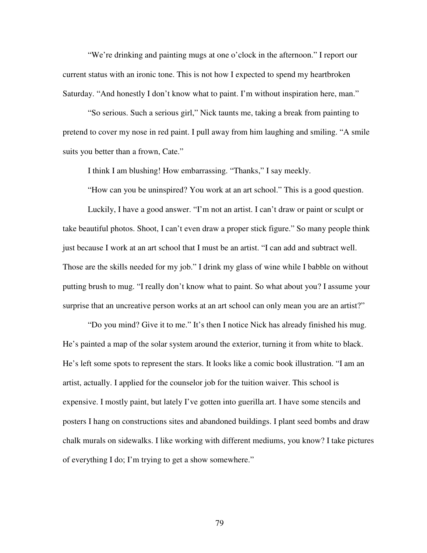"We're drinking and painting mugs at one o'clock in the afternoon." I report our current status with an ironic tone. This is not how I expected to spend my heartbroken Saturday. "And honestly I don't know what to paint. I'm without inspiration here, man."

"So serious. Such a serious girl," Nick taunts me, taking a break from painting to pretend to cover my nose in red paint. I pull away from him laughing and smiling. "A smile suits you better than a frown, Cate."

I think I am blushing! How embarrassing. "Thanks," I say meekly.

"How can you be uninspired? You work at an art school." This is a good question.

Luckily, I have a good answer. "I'm not an artist. I can't draw or paint or sculpt or take beautiful photos. Shoot, I can't even draw a proper stick figure." So many people think just because I work at an art school that I must be an artist. "I can add and subtract well. Those are the skills needed for my job." I drink my glass of wine while I babble on without putting brush to mug. "I really don't know what to paint. So what about you? I assume your surprise that an uncreative person works at an art school can only mean you are an artist?"

"Do you mind? Give it to me." It's then I notice Nick has already finished his mug. He's painted a map of the solar system around the exterior, turning it from white to black. He's left some spots to represent the stars. It looks like a comic book illustration. "I am an artist, actually. I applied for the counselor job for the tuition waiver. This school is expensive. I mostly paint, but lately I've gotten into guerilla art. I have some stencils and posters I hang on constructions sites and abandoned buildings. I plant seed bombs and draw chalk murals on sidewalks. I like working with different mediums, you know? I take pictures of everything I do; I'm trying to get a show somewhere."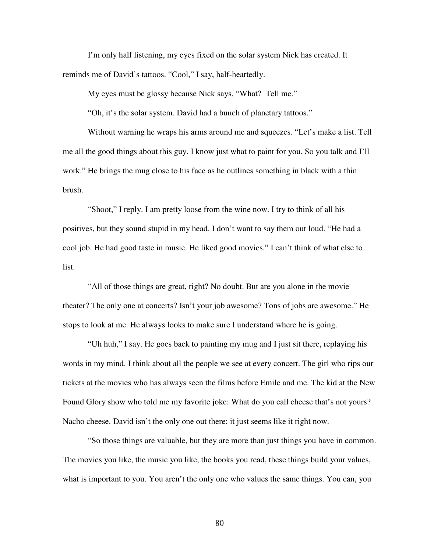I'm only half listening, my eyes fixed on the solar system Nick has created. It reminds me of David's tattoos. "Cool," I say, half-heartedly.

My eyes must be glossy because Nick says, "What? Tell me."

"Oh, it's the solar system. David had a bunch of planetary tattoos."

Without warning he wraps his arms around me and squeezes. "Let's make a list. Tell me all the good things about this guy. I know just what to paint for you. So you talk and I'll work." He brings the mug close to his face as he outlines something in black with a thin brush.

"Shoot," I reply. I am pretty loose from the wine now. I try to think of all his positives, but they sound stupid in my head. I don't want to say them out loud. "He had a cool job. He had good taste in music. He liked good movies." I can't think of what else to list.

"All of those things are great, right? No doubt. But are you alone in the movie theater? The only one at concerts? Isn't your job awesome? Tons of jobs are awesome." He stops to look at me. He always looks to make sure I understand where he is going.

"Uh huh," I say. He goes back to painting my mug and I just sit there, replaying his words in my mind. I think about all the people we see at every concert. The girl who rips our tickets at the movies who has always seen the films before Emile and me. The kid at the New Found Glory show who told me my favorite joke: What do you call cheese that's not yours? Nacho cheese. David isn't the only one out there; it just seems like it right now.

"So those things are valuable, but they are more than just things you have in common. The movies you like, the music you like, the books you read, these things build your values, what is important to you. You aren't the only one who values the same things. You can, you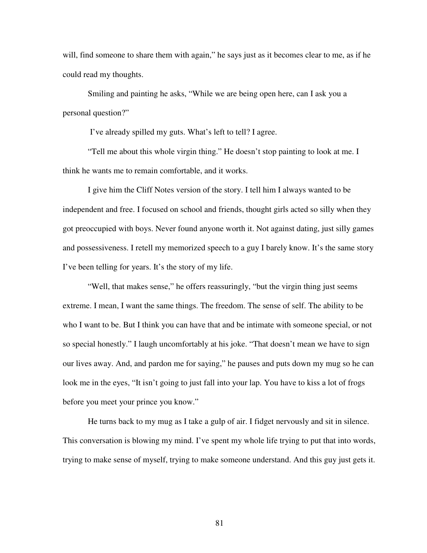will, find someone to share them with again," he says just as it becomes clear to me, as if he could read my thoughts.

Smiling and painting he asks, "While we are being open here, can I ask you a personal question?"

I've already spilled my guts. What's left to tell? I agree.

"Tell me about this whole virgin thing." He doesn't stop painting to look at me. I think he wants me to remain comfortable, and it works.

I give him the Cliff Notes version of the story. I tell him I always wanted to be independent and free. I focused on school and friends, thought girls acted so silly when they got preoccupied with boys. Never found anyone worth it. Not against dating, just silly games and possessiveness. I retell my memorized speech to a guy I barely know. It's the same story I've been telling for years. It's the story of my life.

"Well, that makes sense," he offers reassuringly, "but the virgin thing just seems extreme. I mean, I want the same things. The freedom. The sense of self. The ability to be who I want to be. But I think you can have that and be intimate with someone special, or not so special honestly." I laugh uncomfortably at his joke. "That doesn't mean we have to sign our lives away. And, and pardon me for saying," he pauses and puts down my mug so he can look me in the eyes, "It isn't going to just fall into your lap. You have to kiss a lot of frogs before you meet your prince you know."

He turns back to my mug as I take a gulp of air. I fidget nervously and sit in silence. This conversation is blowing my mind. I've spent my whole life trying to put that into words, trying to make sense of myself, trying to make someone understand. And this guy just gets it.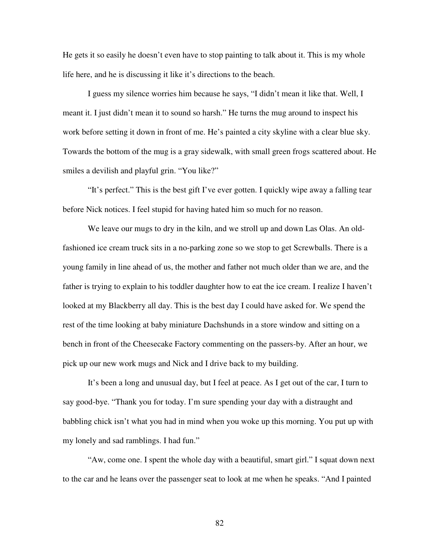He gets it so easily he doesn't even have to stop painting to talk about it. This is my whole life here, and he is discussing it like it's directions to the beach.

I guess my silence worries him because he says, "I didn't mean it like that. Well, I meant it. I just didn't mean it to sound so harsh." He turns the mug around to inspect his work before setting it down in front of me. He's painted a city skyline with a clear blue sky. Towards the bottom of the mug is a gray sidewalk, with small green frogs scattered about. He smiles a devilish and playful grin. "You like?"

"It's perfect." This is the best gift I've ever gotten. I quickly wipe away a falling tear before Nick notices. I feel stupid for having hated him so much for no reason.

We leave our mugs to dry in the kiln, and we stroll up and down Las Olas. An oldfashioned ice cream truck sits in a no-parking zone so we stop to get Screwballs. There is a young family in line ahead of us, the mother and father not much older than we are, and the father is trying to explain to his toddler daughter how to eat the ice cream. I realize I haven't looked at my Blackberry all day. This is the best day I could have asked for. We spend the rest of the time looking at baby miniature Dachshunds in a store window and sitting on a bench in front of the Cheesecake Factory commenting on the passers-by. After an hour, we pick up our new work mugs and Nick and I drive back to my building.

It's been a long and unusual day, but I feel at peace. As I get out of the car, I turn to say good-bye. "Thank you for today. I'm sure spending your day with a distraught and babbling chick isn't what you had in mind when you woke up this morning. You put up with my lonely and sad ramblings. I had fun."

"Aw, come one. I spent the whole day with a beautiful, smart girl." I squat down next to the car and he leans over the passenger seat to look at me when he speaks. "And I painted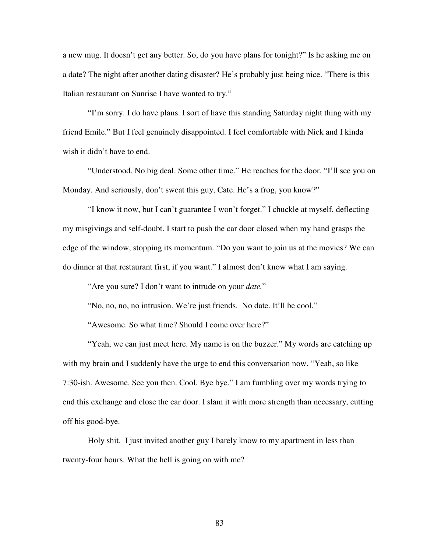a new mug. It doesn't get any better. So, do you have plans for tonight?" Is he asking me on a date? The night after another dating disaster? He's probably just being nice. "There is this Italian restaurant on Sunrise I have wanted to try."

"I'm sorry. I do have plans. I sort of have this standing Saturday night thing with my friend Emile." But I feel genuinely disappointed. I feel comfortable with Nick and I kinda wish it didn't have to end.

"Understood. No big deal. Some other time." He reaches for the door. "I'll see you on Monday. And seriously, don't sweat this guy, Cate. He's a frog, you know?"

"I know it now, but I can't guarantee I won't forget." I chuckle at myself, deflecting my misgivings and self-doubt. I start to push the car door closed when my hand grasps the edge of the window, stopping its momentum. "Do you want to join us at the movies? We can do dinner at that restaurant first, if you want." I almost don't know what I am saying.

"Are you sure? I don't want to intrude on your *date.*"

"No, no, no, no intrusion. We're just friends. No date. It'll be cool."

"Awesome. So what time? Should I come over here?"

"Yeah, we can just meet here. My name is on the buzzer." My words are catching up with my brain and I suddenly have the urge to end this conversation now. "Yeah, so like 7:30-ish. Awesome. See you then. Cool. Bye bye." I am fumbling over my words trying to end this exchange and close the car door. I slam it with more strength than necessary, cutting off his good-bye.

Holy shit. I just invited another guy I barely know to my apartment in less than twenty-four hours. What the hell is going on with me?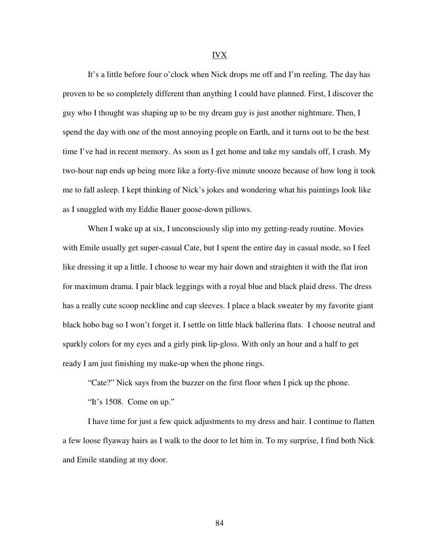## IVX

It's a little before four o'clock when Nick drops me off and I'm reeling. The day has proven to be so completely different than anything I could have planned. First, I discover the guy who I thought was shaping up to be my dream guy is just another nightmare. Then, I spend the day with one of the most annoying people on Earth, and it turns out to be the best time I've had in recent memory. As soon as I get home and take my sandals off, I crash. My two-hour nap ends up being more like a forty-five minute snooze because of how long it took me to fall asleep. I kept thinking of Nick's jokes and wondering what his paintings look like as I snuggled with my Eddie Bauer goose-down pillows.

When I wake up at six, I unconsciously slip into my getting-ready routine. Movies with Emile usually get super-casual Cate, but I spent the entire day in casual mode, so I feel like dressing it up a little. I choose to wear my hair down and straighten it with the flat iron for maximum drama. I pair black leggings with a royal blue and black plaid dress. The dress has a really cute scoop neckline and cap sleeves. I place a black sweater by my favorite giant black hobo bag so I won't forget it. I settle on little black ballerina flats. I choose neutral and sparkly colors for my eyes and a girly pink lip-gloss. With only an hour and a half to get ready I am just finishing my make-up when the phone rings.

"Cate?" Nick says from the buzzer on the first floor when I pick up the phone.

"It's 1508. Come on up."

I have time for just a few quick adjustments to my dress and hair. I continue to flatten a few loose flyaway hairs as I walk to the door to let him in. To my surprise, I find both Nick and Emile standing at my door.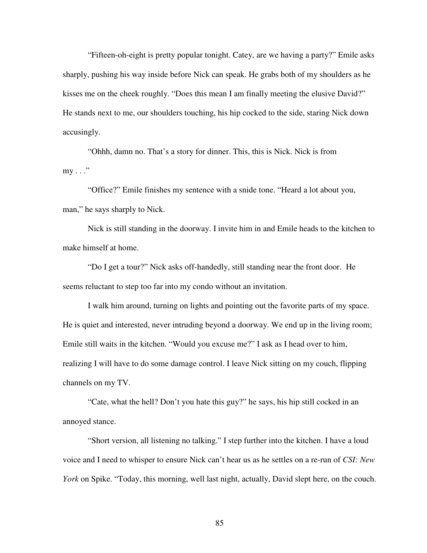"Fifteen-oh-eight is pretty popular tonight. Catey, are we having a party?" Emile asks sharply, pushing his way inside before Nick can speak. He grabs both of my shoulders as he kisses me on the cheek roughly. "Does this mean I am finally meeting the elusive David?" He stands next to me, our shoulders touching, his hip cocked to the side, staring Nick down accusingly.

"Ohhh, damn no. That's a story for dinner. This, this is Nick. Nick is from  $my \ldots$ "

"Office?" Emile finishes my sentence with a snide tone. "Heard a lot about you, man," he says sharply to Nick.

Nick is still standing in the doorway. I invite him in and Emile heads to the kitchen to make himself at home.

"Do I get a tour?" Nick asks off-handedly, still standing near the front door. He seems reluctant to step too far into my condo without an invitation.

I walk him around, turning on lights and pointing out the favorite parts of my space. He is quiet and interested, never intruding beyond a doorway. We end up in the living room; Emile still waits in the kitchen. "Would you excuse me?" I ask as I head over to him, realizing I will have to do some damage control. I leave Nick sitting on my couch, flipping channels on my TV.

"Cate, what the hell? Don't you hate this guy?" he says, his hip still cocked in an annoyed stance.

"Short version, all listening no talking." I step further into the kitchen. I have a loud voice and I need to whisper to ensure Nick can't hear us as he settles on a re-run of *CSI: New York* on Spike. "Today, this morning, well last night, actually, David slept here, on the couch.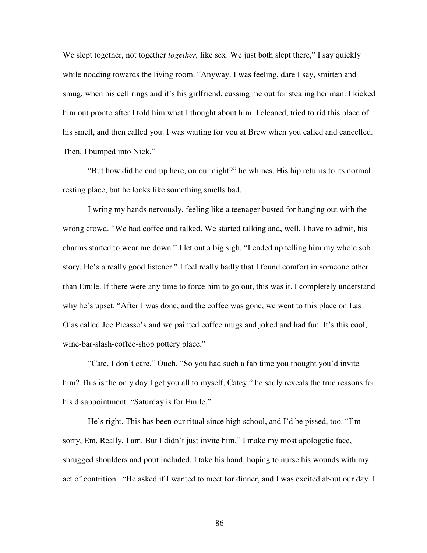We slept together, not together *together*, like sex. We just both slept there," I say quickly while nodding towards the living room. "Anyway. I was feeling, dare I say, smitten and smug, when his cell rings and it's his girlfriend, cussing me out for stealing her man. I kicked him out pronto after I told him what I thought about him. I cleaned, tried to rid this place of his smell, and then called you. I was waiting for you at Brew when you called and cancelled. Then, I bumped into Nick."

"But how did he end up here, on our night?" he whines. His hip returns to its normal resting place, but he looks like something smells bad.

I wring my hands nervously, feeling like a teenager busted for hanging out with the wrong crowd. "We had coffee and talked. We started talking and, well, I have to admit, his charms started to wear me down." I let out a big sigh. "I ended up telling him my whole sob story. He's a really good listener." I feel really badly that I found comfort in someone other than Emile. If there were any time to force him to go out, this was it. I completely understand why he's upset. "After I was done, and the coffee was gone, we went to this place on Las Olas called Joe Picasso's and we painted coffee mugs and joked and had fun. It's this cool, wine-bar-slash-coffee-shop pottery place."

"Cate, I don't care." Ouch. "So you had such a fab time you thought you'd invite him? This is the only day I get you all to myself, Catey," he sadly reveals the true reasons for his disappointment. "Saturday is for Emile."

He's right. This has been our ritual since high school, and I'd be pissed, too. "I'm sorry, Em. Really, I am. But I didn't just invite him." I make my most apologetic face, shrugged shoulders and pout included. I take his hand, hoping to nurse his wounds with my act of contrition. "He asked if I wanted to meet for dinner, and I was excited about our day. I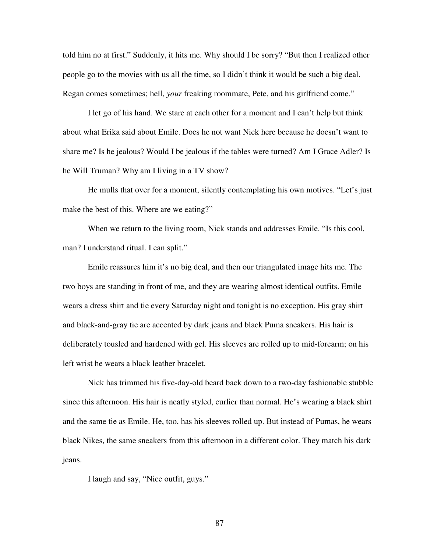told him no at first." Suddenly, it hits me. Why should I be sorry? "But then I realized other people go to the movies with us all the time, so I didn't think it would be such a big deal. Regan comes sometimes; hell, *your* freaking roommate, Pete, and his girlfriend come."

I let go of his hand. We stare at each other for a moment and I can't help but think about what Erika said about Emile. Does he not want Nick here because he doesn't want to share me? Is he jealous? Would I be jealous if the tables were turned? Am I Grace Adler? Is he Will Truman? Why am I living in a TV show?

He mulls that over for a moment, silently contemplating his own motives. "Let's just make the best of this. Where are we eating?"

When we return to the living room, Nick stands and addresses Emile. "Is this cool, man? I understand ritual. I can split."

Emile reassures him it's no big deal, and then our triangulated image hits me. The two boys are standing in front of me, and they are wearing almost identical outfits. Emile wears a dress shirt and tie every Saturday night and tonight is no exception. His gray shirt and black-and-gray tie are accented by dark jeans and black Puma sneakers. His hair is deliberately tousled and hardened with gel. His sleeves are rolled up to mid-forearm; on his left wrist he wears a black leather bracelet.

Nick has trimmed his five-day-old beard back down to a two-day fashionable stubble since this afternoon. His hair is neatly styled, curlier than normal. He's wearing a black shirt and the same tie as Emile. He, too, has his sleeves rolled up. But instead of Pumas, he wears black Nikes, the same sneakers from this afternoon in a different color. They match his dark jeans.

I laugh and say, "Nice outfit, guys."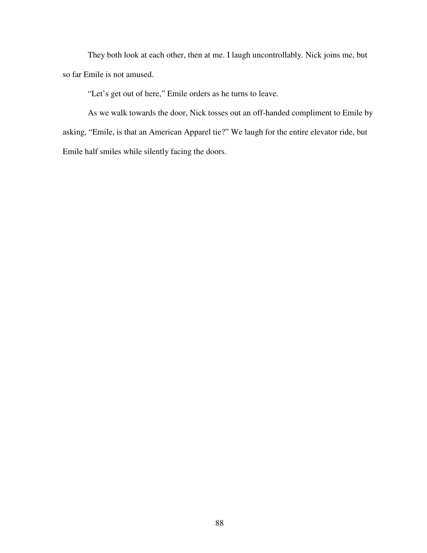They both look at each other, then at me. I laugh uncontrollably. Nick joins me, but so far Emile is not amused.

"Let's get out of here," Emile orders as he turns to leave.

As we walk towards the door, Nick tosses out an off-handed compliment to Emile by asking, "Emile, is that an American Apparel tie?" We laugh for the entire elevator ride, but Emile half smiles while silently facing the doors.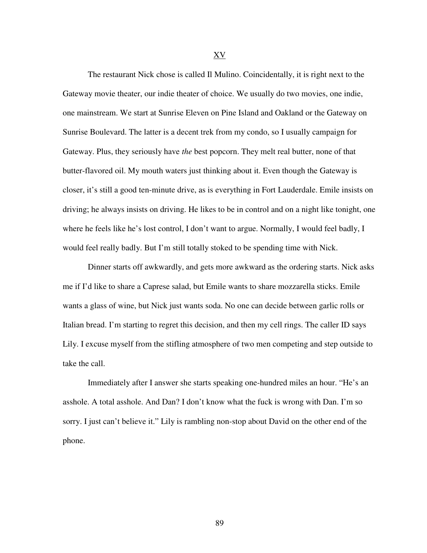XV

The restaurant Nick chose is called Il Mulino. Coincidentally, it is right next to the Gateway movie theater, our indie theater of choice. We usually do two movies, one indie, one mainstream. We start at Sunrise Eleven on Pine Island and Oakland or the Gateway on Sunrise Boulevard. The latter is a decent trek from my condo, so I usually campaign for Gateway. Plus, they seriously have *the* best popcorn. They melt real butter, none of that butter-flavored oil. My mouth waters just thinking about it. Even though the Gateway is closer, it's still a good ten-minute drive, as is everything in Fort Lauderdale. Emile insists on driving; he always insists on driving. He likes to be in control and on a night like tonight, one where he feels like he's lost control, I don't want to argue. Normally, I would feel badly, I would feel really badly. But I'm still totally stoked to be spending time with Nick.

Dinner starts off awkwardly, and gets more awkward as the ordering starts. Nick asks me if I'd like to share a Caprese salad, but Emile wants to share mozzarella sticks. Emile wants a glass of wine, but Nick just wants soda. No one can decide between garlic rolls or Italian bread. I'm starting to regret this decision, and then my cell rings. The caller ID says Lily. I excuse myself from the stifling atmosphere of two men competing and step outside to take the call.

Immediately after I answer she starts speaking one-hundred miles an hour. "He's an asshole. A total asshole. And Dan? I don't know what the fuck is wrong with Dan. I'm so sorry. I just can't believe it." Lily is rambling non-stop about David on the other end of the phone.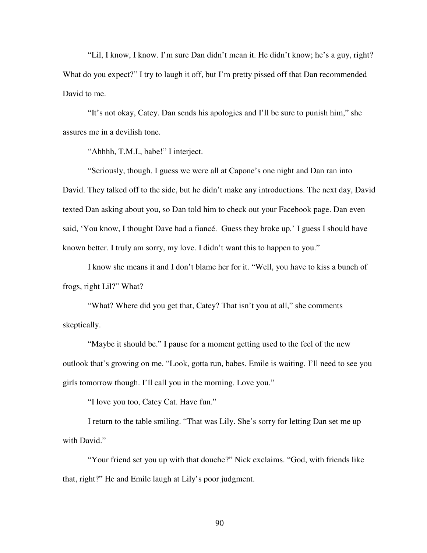"Lil, I know, I know. I'm sure Dan didn't mean it. He didn't know; he's a guy, right? What do you expect?" I try to laugh it off, but I'm pretty pissed off that Dan recommended David to me.

"It's not okay, Catey. Dan sends his apologies and I'll be sure to punish him," she assures me in a devilish tone.

"Ahhhh, T.M.I., babe!" I interject.

"Seriously, though. I guess we were all at Capone's one night and Dan ran into David. They talked off to the side, but he didn't make any introductions. The next day, David texted Dan asking about you, so Dan told him to check out your Facebook page. Dan even said, 'You know, I thought Dave had a fiancé. Guess they broke up*.*' I guess I should have known better. I truly am sorry, my love. I didn't want this to happen to you."

I know she means it and I don't blame her for it. "Well, you have to kiss a bunch of frogs, right Lil?" What?

"What? Where did you get that, Catey? That isn't you at all," she comments skeptically.

"Maybe it should be." I pause for a moment getting used to the feel of the new outlook that's growing on me. "Look, gotta run, babes. Emile is waiting. I'll need to see you girls tomorrow though. I'll call you in the morning. Love you."

"I love you too, Catey Cat. Have fun."

I return to the table smiling. "That was Lily. She's sorry for letting Dan set me up with David."

"Your friend set you up with that douche?" Nick exclaims. "God, with friends like that, right?" He and Emile laugh at Lily's poor judgment.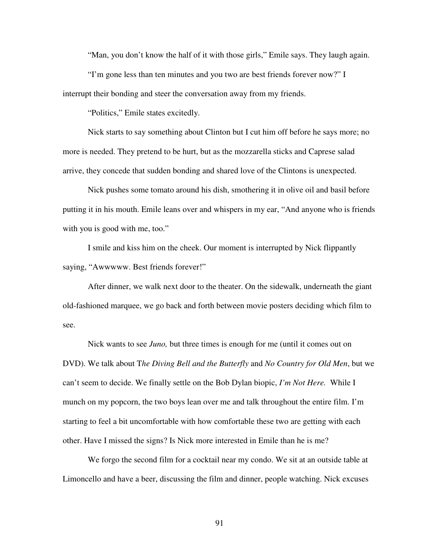"Man, you don't know the half of it with those girls," Emile says. They laugh again.

"I'm gone less than ten minutes and you two are best friends forever now?" I interrupt their bonding and steer the conversation away from my friends.

"Politics," Emile states excitedly.

Nick starts to say something about Clinton but I cut him off before he says more; no more is needed. They pretend to be hurt, but as the mozzarella sticks and Caprese salad arrive, they concede that sudden bonding and shared love of the Clintons is unexpected.

Nick pushes some tomato around his dish, smothering it in olive oil and basil before putting it in his mouth. Emile leans over and whispers in my ear, "And anyone who is friends with you is good with me, too."

I smile and kiss him on the cheek. Our moment is interrupted by Nick flippantly saying, "Awwwww. Best friends forever!"

After dinner, we walk next door to the theater. On the sidewalk, underneath the giant old-fashioned marquee, we go back and forth between movie posters deciding which film to see.

Nick wants to see *Juno,* but three times is enough for me (until it comes out on DVD). We talk about T*he Diving Bell and the Butterfly* and *No Country for Old Men*, but we can't seem to decide. We finally settle on the Bob Dylan biopic, *I'm Not Here.* While I munch on my popcorn, the two boys lean over me and talk throughout the entire film. I'm starting to feel a bit uncomfortable with how comfortable these two are getting with each other. Have I missed the signs? Is Nick more interested in Emile than he is me?

We forgo the second film for a cocktail near my condo. We sit at an outside table at Limoncello and have a beer, discussing the film and dinner, people watching. Nick excuses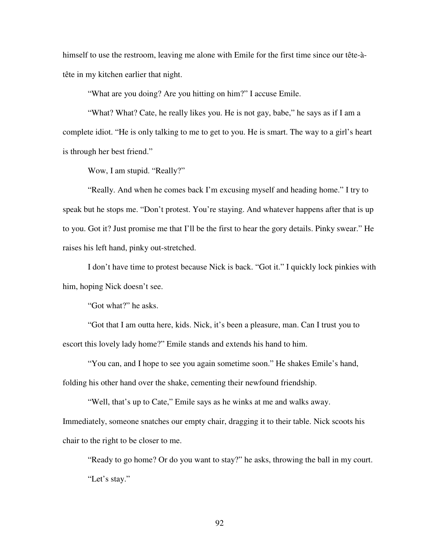himself to use the restroom, leaving me alone with Emile for the first time since our tête-àtête in my kitchen earlier that night.

"What are you doing? Are you hitting on him?" I accuse Emile.

"What? What? Cate, he really likes you. He is not gay, babe," he says as if I am a complete idiot. "He is only talking to me to get to you. He is smart. The way to a girl's heart is through her best friend."

Wow, I am stupid. "Really?"

"Really. And when he comes back I'm excusing myself and heading home." I try to speak but he stops me. "Don't protest. You're staying. And whatever happens after that is up to you. Got it? Just promise me that I'll be the first to hear the gory details. Pinky swear." He raises his left hand, pinky out-stretched.

I don't have time to protest because Nick is back. "Got it." I quickly lock pinkies with him, hoping Nick doesn't see.

"Got what?" he asks.

chair to the right to be closer to me.

"Got that I am outta here, kids. Nick, it's been a pleasure, man. Can I trust you to escort this lovely lady home?" Emile stands and extends his hand to him.

"You can, and I hope to see you again sometime soon." He shakes Emile's hand, folding his other hand over the shake, cementing their newfound friendship.

"Well, that's up to Cate," Emile says as he winks at me and walks away. Immediately, someone snatches our empty chair, dragging it to their table. Nick scoots his

"Ready to go home? Or do you want to stay?" he asks, throwing the ball in my court. "Let's stay."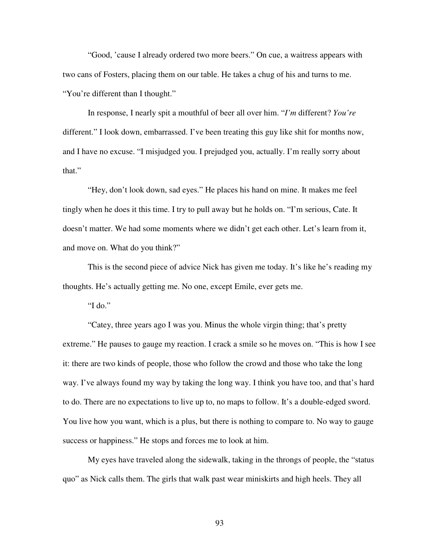"Good, 'cause I already ordered two more beers." On cue, a waitress appears with two cans of Fosters, placing them on our table. He takes a chug of his and turns to me. "You're different than I thought."

In response, I nearly spit a mouthful of beer all over him. "*I'm* different? *You're*  different." I look down, embarrassed. I've been treating this guy like shit for months now, and I have no excuse. "I misjudged you. I prejudged you, actually. I'm really sorry about that."

"Hey, don't look down, sad eyes." He places his hand on mine. It makes me feel tingly when he does it this time. I try to pull away but he holds on. "I'm serious, Cate. It doesn't matter. We had some moments where we didn't get each other. Let's learn from it, and move on. What do you think?"

This is the second piece of advice Nick has given me today. It's like he's reading my thoughts. He's actually getting me. No one, except Emile, ever gets me.

"I do."

"Catey, three years ago I was you. Minus the whole virgin thing; that's pretty extreme." He pauses to gauge my reaction. I crack a smile so he moves on. "This is how I see it: there are two kinds of people, those who follow the crowd and those who take the long way. I've always found my way by taking the long way. I think you have too, and that's hard to do. There are no expectations to live up to, no maps to follow. It's a double-edged sword. You live how you want, which is a plus, but there is nothing to compare to. No way to gauge success or happiness." He stops and forces me to look at him.

My eyes have traveled along the sidewalk, taking in the throngs of people, the "status quo" as Nick calls them. The girls that walk past wear miniskirts and high heels. They all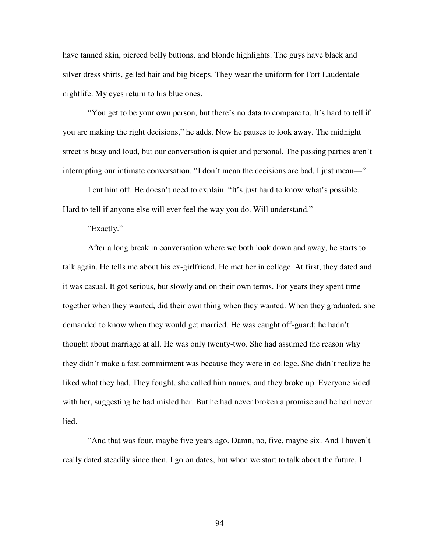have tanned skin, pierced belly buttons, and blonde highlights. The guys have black and silver dress shirts, gelled hair and big biceps. They wear the uniform for Fort Lauderdale nightlife. My eyes return to his blue ones.

"You get to be your own person, but there's no data to compare to. It's hard to tell if you are making the right decisions," he adds. Now he pauses to look away. The midnight street is busy and loud, but our conversation is quiet and personal. The passing parties aren't interrupting our intimate conversation. "I don't mean the decisions are bad, I just mean—"

I cut him off. He doesn't need to explain. "It's just hard to know what's possible. Hard to tell if anyone else will ever feel the way you do. Will understand."

## "Exactly."

After a long break in conversation where we both look down and away, he starts to talk again. He tells me about his ex-girlfriend. He met her in college. At first, they dated and it was casual. It got serious, but slowly and on their own terms. For years they spent time together when they wanted, did their own thing when they wanted. When they graduated, she demanded to know when they would get married. He was caught off-guard; he hadn't thought about marriage at all. He was only twenty-two. She had assumed the reason why they didn't make a fast commitment was because they were in college. She didn't realize he liked what they had. They fought, she called him names, and they broke up. Everyone sided with her, suggesting he had misled her. But he had never broken a promise and he had never lied.

"And that was four, maybe five years ago. Damn, no, five, maybe six. And I haven't really dated steadily since then. I go on dates, but when we start to talk about the future, I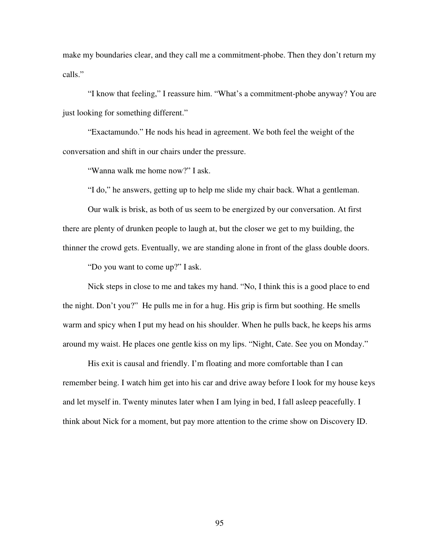make my boundaries clear, and they call me a commitment-phobe. Then they don't return my calls."

"I know that feeling," I reassure him. "What's a commitment-phobe anyway? You are just looking for something different."

"Exactamundo." He nods his head in agreement. We both feel the weight of the conversation and shift in our chairs under the pressure.

"Wanna walk me home now?" I ask.

"I do," he answers, getting up to help me slide my chair back. What a gentleman.

Our walk is brisk, as both of us seem to be energized by our conversation. At first there are plenty of drunken people to laugh at, but the closer we get to my building, the thinner the crowd gets. Eventually, we are standing alone in front of the glass double doors.

"Do you want to come up?" I ask.

Nick steps in close to me and takes my hand. "No, I think this is a good place to end the night. Don't you?" He pulls me in for a hug. His grip is firm but soothing. He smells warm and spicy when I put my head on his shoulder. When he pulls back, he keeps his arms around my waist. He places one gentle kiss on my lips. "Night, Cate. See you on Monday."

His exit is causal and friendly. I'm floating and more comfortable than I can remember being. I watch him get into his car and drive away before I look for my house keys and let myself in. Twenty minutes later when I am lying in bed, I fall asleep peacefully. I think about Nick for a moment, but pay more attention to the crime show on Discovery ID.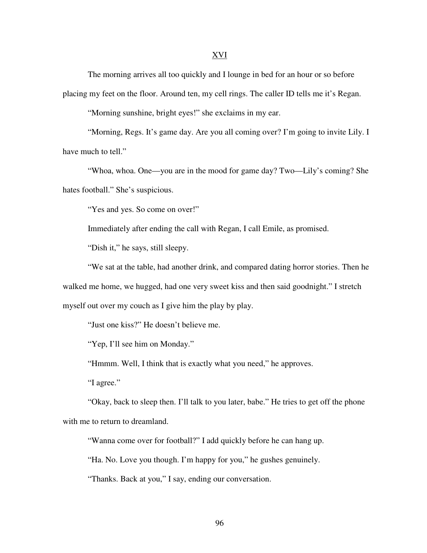The morning arrives all too quickly and I lounge in bed for an hour or so before

placing my feet on the floor. Around ten, my cell rings. The caller ID tells me it's Regan.

"Morning sunshine, bright eyes!" she exclaims in my ear.

"Morning, Regs. It's game day. Are you all coming over? I'm going to invite Lily. I have much to tell."

"Whoa, whoa. One—you are in the mood for game day? Two—Lily's coming? She hates football." She's suspicious.

"Yes and yes. So come on over!"

Immediately after ending the call with Regan, I call Emile, as promised.

"Dish it," he says, still sleepy.

"We sat at the table, had another drink, and compared dating horror stories. Then he walked me home, we hugged, had one very sweet kiss and then said goodnight." I stretch myself out over my couch as I give him the play by play.

"Just one kiss?" He doesn't believe me.

"Yep, I'll see him on Monday."

"Hmmm. Well, I think that is exactly what you need," he approves.

"I agree."

"Okay, back to sleep then. I'll talk to you later, babe." He tries to get off the phone with me to return to dreamland.

"Wanna come over for football?" I add quickly before he can hang up.

"Ha. No. Love you though. I'm happy for you," he gushes genuinely.

"Thanks. Back at you," I say, ending our conversation.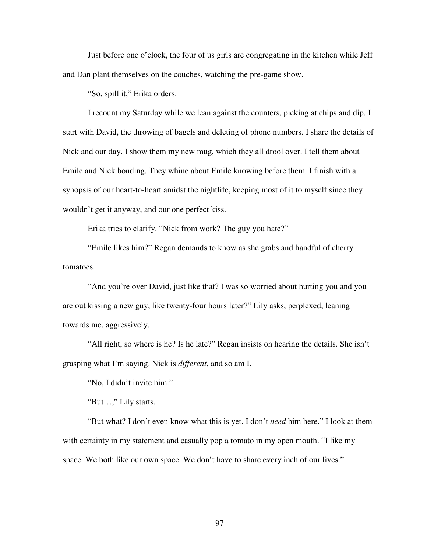Just before one o'clock, the four of us girls are congregating in the kitchen while Jeff and Dan plant themselves on the couches, watching the pre-game show.

"So, spill it," Erika orders.

I recount my Saturday while we lean against the counters, picking at chips and dip. I start with David, the throwing of bagels and deleting of phone numbers. I share the details of Nick and our day. I show them my new mug, which they all drool over. I tell them about Emile and Nick bonding. They whine about Emile knowing before them. I finish with a synopsis of our heart-to-heart amidst the nightlife, keeping most of it to myself since they wouldn't get it anyway, and our one perfect kiss.

Erika tries to clarify. "Nick from work? The guy you hate?"

"Emile likes him?" Regan demands to know as she grabs and handful of cherry tomatoes.

"And you're over David, just like that? I was so worried about hurting you and you are out kissing a new guy, like twenty-four hours later?" Lily asks, perplexed, leaning towards me, aggressively.

"All right, so where is he? Is he late?" Regan insists on hearing the details. She isn't grasping what I'm saying. Nick is *different*, and so am I.

"No, I didn't invite him."

"But…," Lily starts.

"But what? I don't even know what this is yet. I don't *need* him here." I look at them with certainty in my statement and casually pop a tomato in my open mouth. "I like my space. We both like our own space. We don't have to share every inch of our lives."